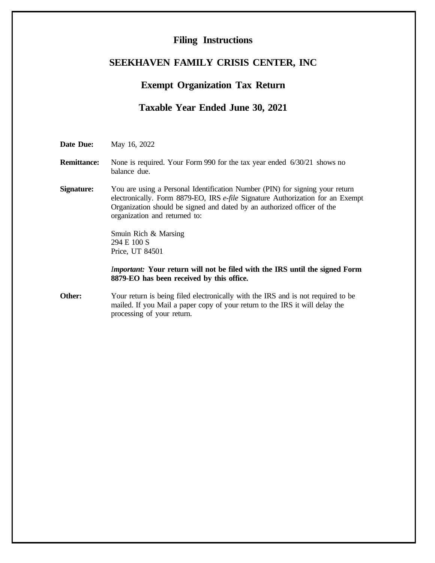# **Filing Instructions**

# **SEEKHAVEN FAMILY CRISIS CENTER, INC**

# **Exempt Organization Tax Return**

# **Taxable Year Ended June 30, 2021**

- **Date Due:** May 16, 2022
- **Remittance:** None is required. Your Form 990 for the tax year ended 6/30/21 shows no balance due.
- **Signature:** You are using a Personal Identification Number (PIN) for signing your return electronically. Form 8879-EO, IRS *e-file* Signature Authorization for an Exempt Organization should be signed and dated by an authorized officer of the organization and returned to:

Smuin Rich & Marsing 294 E 100 S Price, UT 84501

*Important:* **Your return will not be filed with the IRS until the signed Form 8879-EO has been received by this office.**

**Other:** Your return is being filed electronically with the IRS and is not required to be mailed. If you Mail a paper copy of your return to the IRS it will delay the processing of your return.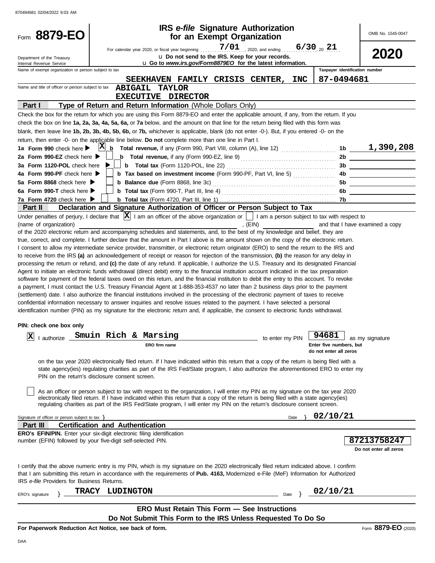870494681 02/04/2022 9:03 AM

| Form 8879-EO                                           | <b>IRS</b> e-file Signature Authorization<br>for an Exempt Organization                                                                                                                                                                                                    |                 |                                                   | OMB No. 1545-0047                                                                                                    |
|--------------------------------------------------------|----------------------------------------------------------------------------------------------------------------------------------------------------------------------------------------------------------------------------------------------------------------------------|-----------------|---------------------------------------------------|----------------------------------------------------------------------------------------------------------------------|
|                                                        |                                                                                                                                                                                                                                                                            |                 |                                                   |                                                                                                                      |
|                                                        |                                                                                                                                                                                                                                                                            |                 |                                                   | 2020                                                                                                                 |
| Department of the Treasury<br>Internal Revenue Service | u Do not send to the IRS. Keep for your records.<br>u Go to www.irs.gov/Form8879EO for the latest information.                                                                                                                                                             |                 |                                                   |                                                                                                                      |
| Name of exempt organization or person subject to tax   |                                                                                                                                                                                                                                                                            |                 | Taxpayer identification number                    |                                                                                                                      |
|                                                        | SEEKHAVEN FAMILY CRISIS CENTER,                                                                                                                                                                                                                                            | <b>INC</b>      | 87-0494681                                        |                                                                                                                      |
| Name and title of officer or person subject to tax     | <b>ABIGAIL TAYLOR</b>                                                                                                                                                                                                                                                      |                 |                                                   |                                                                                                                      |
|                                                        | EXECUTIVE DIRECTOR                                                                                                                                                                                                                                                         |                 |                                                   |                                                                                                                      |
| Part I                                                 | Type of Return and Return Information (Whole Dollars Only)                                                                                                                                                                                                                 |                 |                                                   |                                                                                                                      |
|                                                        | Check the box for the return for which you are using this Form 8879-EO and enter the applicable amount, if any, from the return. If you                                                                                                                                    |                 |                                                   |                                                                                                                      |
|                                                        | check the box on line 1a, 2a, 3a, 4a, 5a, 6a, or 7a below, and the amount on that line for the return being filed with this form was                                                                                                                                       |                 |                                                   |                                                                                                                      |
|                                                        | blank, then leave line 1b, 2b, 3b, 4b, 5b, 6b, or 7b, whichever is applicable, blank (do not enter -0-). But, if you entered -0- on the                                                                                                                                    |                 |                                                   |                                                                                                                      |
|                                                        | return, then enter -0- on the applicable line below. Do not complete more than one line in Part I.                                                                                                                                                                         |                 |                                                   |                                                                                                                      |
| 1a Form 990 check here >                               | $ {\bf X} $<br>$\mathbf{b}$ Total revenue, if any (Form 990, Part VIII, column (A), line 12) $\ldots$                                                                                                                                                                      |                 |                                                   | 1b $\frac{1,390,208}{ }$                                                                                             |
| 2a Form 990-EZ check here $\blacktriangleright$        | <b>b</b> Total revenue, if any (Form 990-EZ, line 9) $\ldots$ $\ldots$ $\ldots$ $\ldots$ $\ldots$ $\ldots$                                                                                                                                                                 |                 |                                                   | 2b                                                                                                                   |
| 3a Form 1120-POL check here                            |                                                                                                                                                                                                                                                                            |                 |                                                   |                                                                                                                      |
| 4a Form 990-PF check here                              | <b>b</b> Tax based on investment income (Form 990-PF, Part VI, line 5)                                                                                                                                                                                                     |                 | 4b                                                |                                                                                                                      |
| 5a Form 8868 check here ▶                              |                                                                                                                                                                                                                                                                            |                 |                                                   | <u> 1989 - John Stein, mars and de la politica de la politica de la politica de la politica de la politica de la</u> |
| 6a Form 990-T check here                               |                                                                                                                                                                                                                                                                            |                 | 5b                                                | <u> 1989 - John Stein, mars and de la politica de la politica de la politica de la politica de la politica de la</u> |
|                                                        |                                                                                                                                                                                                                                                                            |                 | 6b.                                               |                                                                                                                      |
| 7a Form 4720 check here ▶<br>Part II                   |                                                                                                                                                                                                                                                                            |                 | 7b.                                               |                                                                                                                      |
|                                                        | Declaration and Signature Authorization of Officer or Person Subject to Tax                                                                                                                                                                                                |                 |                                                   |                                                                                                                      |
|                                                        | Under penalties of perjury, I declare that $ \mathbf{X} $ I am an officer of the above organization or     I am a person subject to tax with respect to                                                                                                                    |                 |                                                   |                                                                                                                      |
| (name of organization)                                 | , $(EIN)$                                                                                                                                                                                                                                                                  |                 |                                                   | and that I have examined a copy                                                                                      |
|                                                        | of the 2020 electronic return and accompanying schedules and statements, and, to the best of my knowledge and belief, they are                                                                                                                                             |                 |                                                   |                                                                                                                      |
|                                                        | true, correct, and complete. I further declare that the amount in Part I above is the amount shown on the copy of the electronic return.                                                                                                                                   |                 |                                                   |                                                                                                                      |
|                                                        | I consent to allow my intermediate service provider, transmitter, or electronic return originator (ERO) to send the return to the IRS and                                                                                                                                  |                 |                                                   |                                                                                                                      |
|                                                        | to receive from the IRS (a) an acknowledgement of receipt or reason for rejection of the transmission, (b) the reason for any delay in                                                                                                                                     |                 |                                                   |                                                                                                                      |
|                                                        | processing the return or refund, and (c) the date of any refund. If applicable, I authorize the U.S. Treasury and its designated Financial                                                                                                                                 |                 |                                                   |                                                                                                                      |
|                                                        | Agent to initiate an electronic funds withdrawal (direct debit) entry to the financial institution account indicated in the tax preparation                                                                                                                                |                 |                                                   |                                                                                                                      |
|                                                        | software for payment of the federal taxes owed on this return, and the financial institution to debit the entry to this account. To revoke                                                                                                                                 |                 |                                                   |                                                                                                                      |
|                                                        | a payment, I must contact the U.S. Treasury Financial Agent at 1-888-353-4537 no later than 2 business days prior to the payment                                                                                                                                           |                 |                                                   |                                                                                                                      |
|                                                        | (settlement) date. I also authorize the financial institutions involved in the processing of the electronic payment of taxes to receive                                                                                                                                    |                 |                                                   |                                                                                                                      |
|                                                        | confidential information necessary to answer inquiries and resolve issues related to the payment. I have selected a personal<br>identification number (PIN) as my signature for the electronic return and, if applicable, the consent to electronic funds withdrawal.      |                 |                                                   |                                                                                                                      |
|                                                        |                                                                                                                                                                                                                                                                            |                 |                                                   |                                                                                                                      |
| PIN: check one box only                                |                                                                                                                                                                                                                                                                            |                 |                                                   |                                                                                                                      |
| Ezi                                                    | <sub>thorize</sub> Smuin Rich & Marsing                                                                                                                                                                                                                                    |                 | 94681                                             |                                                                                                                      |
| I authorize<br>ᅀ                                       |                                                                                                                                                                                                                                                                            | to enter my PIN |                                                   | J as my signature                                                                                                    |
|                                                        | ERO firm name                                                                                                                                                                                                                                                              |                 | Enter five numbers, but<br>do not enter all zeros |                                                                                                                      |
|                                                        |                                                                                                                                                                                                                                                                            |                 |                                                   |                                                                                                                      |
|                                                        | on the tax year 2020 electronically filed return. If I have indicated within this return that a copy of the return is being filed with a                                                                                                                                   |                 |                                                   |                                                                                                                      |
|                                                        | state agency(ies) regulating charities as part of the IRS Fed/State program, I also authorize the aforementioned ERO to enter my                                                                                                                                           |                 |                                                   |                                                                                                                      |
|                                                        | PIN on the return's disclosure consent screen.                                                                                                                                                                                                                             |                 |                                                   |                                                                                                                      |
|                                                        |                                                                                                                                                                                                                                                                            |                 |                                                   |                                                                                                                      |
|                                                        | As an officer or person subject to tax with respect to the organization, I will enter my PIN as my signature on the tax year 2020<br>electronically filed return. If I have indicated within this return that a copy of the return is being filed with a state agency(ies) |                 |                                                   |                                                                                                                      |
|                                                        | regulating charities as part of the IRS Fed/State program, I will enter my PIN on the return's disclosure consent screen.                                                                                                                                                  |                 |                                                   |                                                                                                                      |
|                                                        |                                                                                                                                                                                                                                                                            |                 |                                                   |                                                                                                                      |
| Signature of officer or person subject to tax }        |                                                                                                                                                                                                                                                                            | Date            | 02/10/21                                          |                                                                                                                      |
| <b>Part III</b>                                        | <b>Certification and Authentication</b>                                                                                                                                                                                                                                    |                 |                                                   |                                                                                                                      |
|                                                        | <b>ERO's EFIN/PIN.</b> Enter your six-digit electronic filing identification                                                                                                                                                                                               |                 |                                                   |                                                                                                                      |
|                                                        | number (EFIN) followed by your five-digit self-selected PIN.                                                                                                                                                                                                               |                 |                                                   | 87213758247                                                                                                          |
|                                                        |                                                                                                                                                                                                                                                                            |                 |                                                   | Do not enter all zeros                                                                                               |
|                                                        |                                                                                                                                                                                                                                                                            |                 |                                                   |                                                                                                                      |
|                                                        | I certify that the above numeric entry is my PIN, which is my signature on the 2020 electronically filed return indicated above. I confirm                                                                                                                                 |                 |                                                   |                                                                                                                      |
|                                                        | that I am submitting this return in accordance with the requirements of Pub. 4163, Modernized e-File (MeF) Information for Authorized                                                                                                                                      |                 |                                                   |                                                                                                                      |
| IRS e-file Providers for Business Returns.             |                                                                                                                                                                                                                                                                            |                 |                                                   |                                                                                                                      |
| <b>TRACY</b>                                           | LUDINGTON                                                                                                                                                                                                                                                                  |                 | 02/10/21                                          |                                                                                                                      |
| ERO's signature                                        |                                                                                                                                                                                                                                                                            | Date            |                                                   |                                                                                                                      |
|                                                        | <b>ERO Must Retain This Form - See Instructions</b>                                                                                                                                                                                                                        |                 |                                                   |                                                                                                                      |
|                                                        |                                                                                                                                                                                                                                                                            |                 |                                                   |                                                                                                                      |
|                                                        | Do Not Submit This Form to the IRS Unless Requested To Do So                                                                                                                                                                                                               |                 |                                                   |                                                                                                                      |
|                                                        | For Paperwork Reduction Act Notice, see back of form.                                                                                                                                                                                                                      |                 |                                                   | Form 8879-EO (2020)                                                                                                  |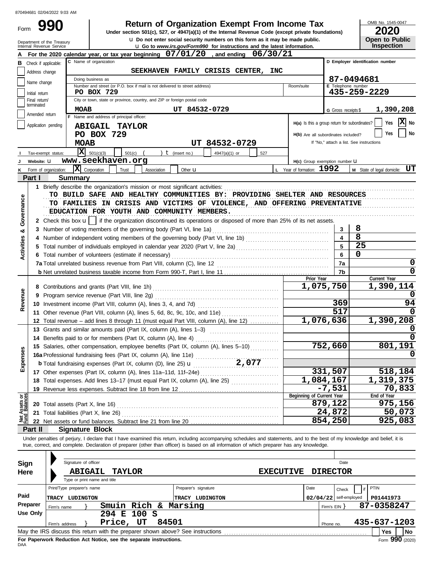Form 990

## **Return of Organization Exempt From Income Tax**

**u** Do not enter social security numbers on this form as it may be made public. **Under section 501(c), 527, or 4947(a)(1) of the Internal Revenue Code (except private foundations)** OMB No. 1545-0047

| <b>Open to Public</b> |  |  |  |  |  |  |  |
|-----------------------|--|--|--|--|--|--|--|
| <b>Inspection</b>     |  |  |  |  |  |  |  |

|                                | Department of the Treasury<br>Internal Revenue Service |                                        |                                                                               |                      |                      | <b>U</b> Do not enter social security numbers on this form as it may be made public.<br>La Go to www.irs.gov/Form990 for instructions and the latest information.          |                           |                                               |                                          |                | <b>Open to Public</b><br><b>Inspection</b> |    |
|--------------------------------|--------------------------------------------------------|----------------------------------------|-------------------------------------------------------------------------------|----------------------|----------------------|----------------------------------------------------------------------------------------------------------------------------------------------------------------------------|---------------------------|-----------------------------------------------|------------------------------------------|----------------|--------------------------------------------|----|
|                                |                                                        |                                        | For the 2020 calendar year, or tax year beginning $07/01/20$ , and ending     |                      |                      |                                                                                                                                                                            | 06/30/21                  |                                               |                                          |                |                                            |    |
| в                              | Check if applicable:                                   |                                        | C Name of organization                                                        |                      |                      |                                                                                                                                                                            |                           |                                               | D Employer identification number         |                |                                            |    |
|                                | Address change                                         |                                        |                                                                               |                      |                      | SEEKHAVEN FAMILY CRISIS CENTER, INC                                                                                                                                        |                           |                                               |                                          |                |                                            |    |
|                                |                                                        |                                        | Doing business as                                                             |                      |                      |                                                                                                                                                                            |                           |                                               |                                          | 87-0494681     |                                            |    |
|                                | Name change                                            |                                        | Number and street (or P.O. box if mail is not delivered to street address)    |                      |                      |                                                                                                                                                                            | Room/suite                |                                               | E Telephone number                       |                |                                            |    |
|                                | Initial return                                         |                                        | PO BOX 729                                                                    |                      |                      |                                                                                                                                                                            |                           |                                               |                                          | 435-259-2229   |                                            |    |
|                                | Final return/<br>terminated                            |                                        | City or town, state or province, country, and ZIP or foreign postal code      |                      |                      |                                                                                                                                                                            |                           |                                               |                                          |                |                                            |    |
|                                | Amended return                                         | MOAB                                   |                                                                               |                      | UT 84532-0729        |                                                                                                                                                                            |                           |                                               | G Gross receipts \$                      |                | 1,390,208                                  |    |
|                                |                                                        |                                        | F Name and address of principal officer:                                      |                      |                      |                                                                                                                                                                            |                           | H(a) Is this a group return for subordinates? |                                          |                | $ \mathbf{X} $ No<br>Yes                   |    |
|                                | Application pending                                    |                                        | <b>ABIGAIL TAYLOR</b>                                                         |                      |                      |                                                                                                                                                                            |                           |                                               |                                          |                |                                            |    |
|                                |                                                        |                                        | PO BOX 729                                                                    |                      |                      |                                                                                                                                                                            |                           | H(b) Are all subordinates included?           |                                          |                | Yes                                        | No |
|                                |                                                        | <b>MOAB</b>                            |                                                                               |                      |                      | UT 84532-0729                                                                                                                                                              |                           |                                               | If "No," attach a list. See instructions |                |                                            |    |
|                                | Tax-exempt status:                                     |                                        | $ \mathbf{X} $ 501(c)(3)<br>501(c)                                            |                      | $t$ (insert no.)     | 4947(a)(1) or<br>527                                                                                                                                                       |                           |                                               |                                          |                |                                            |    |
|                                | Website: U                                             |                                        | www.seekhaven.org                                                             |                      |                      |                                                                                                                                                                            |                           | H(c) Group exemption number U                 |                                          |                |                                            |    |
|                                | Form of organization:                                  | $\mathbf{X}$ Corporation               | Trust                                                                         | Association          | Other $\mathbf u$    |                                                                                                                                                                            | L Year of formation: 1992 |                                               |                                          |                | UT<br>M State of legal domicile:           |    |
|                                | Part I                                                 | <b>Summary</b>                         |                                                                               |                      |                      |                                                                                                                                                                            |                           |                                               |                                          |                |                                            |    |
|                                |                                                        |                                        | 1 Briefly describe the organization's mission or most significant activities: |                      |                      |                                                                                                                                                                            |                           |                                               |                                          |                |                                            |    |
|                                |                                                        |                                        |                                                                               |                      |                      | TO BUILD SAFE AND HEALTHY COMMUNITIES BY: PROVIDING SHELTER AND RESOURCES                                                                                                  |                           |                                               |                                          |                |                                            |    |
|                                |                                                        |                                        |                                                                               |                      |                      | TO FAMILIES IN CRISIS AND VICTIMS OF VIOLENCE, AND OFFERING PREVENTATIVE                                                                                                   |                           |                                               |                                          |                |                                            |    |
|                                |                                                        |                                        | EDUCATION FOR YOUTH AND COMMUNITY MEMBERS.                                    |                      |                      |                                                                                                                                                                            |                           |                                               |                                          |                |                                            |    |
| Governance                     |                                                        |                                        |                                                                               |                      |                      | 2 Check this box $\mathbf{u}$   if the organization discontinued its operations or disposed of more than 25% of its net assets.                                            |                           |                                               |                                          |                |                                            |    |
| య                              |                                                        |                                        | 3 Number of voting members of the governing body (Part VI, line 1a)           |                      |                      |                                                                                                                                                                            |                           |                                               | 3                                        | 8              |                                            |    |
|                                |                                                        |                                        |                                                                               |                      |                      |                                                                                                                                                                            |                           |                                               | 4                                        | $\overline{8}$ |                                            |    |
| Activities                     |                                                        |                                        |                                                                               |                      |                      |                                                                                                                                                                            |                           |                                               | 5                                        | 25             |                                            |    |
|                                |                                                        |                                        | 6 Total number of volunteers (estimate if necessary)                          |                      |                      |                                                                                                                                                                            |                           |                                               | 6                                        | $\mathbf 0$    |                                            |    |
|                                |                                                        |                                        |                                                                               |                      |                      |                                                                                                                                                                            |                           |                                               | 7a                                       |                |                                            | 0  |
|                                |                                                        |                                        |                                                                               |                      |                      |                                                                                                                                                                            |                           |                                               | 7b                                       |                |                                            | 0  |
|                                |                                                        |                                        |                                                                               |                      |                      |                                                                                                                                                                            |                           | Prior Year<br>1,075,750                       |                                          |                | Current Year<br>1,390,114                  |    |
|                                |                                                        |                                        |                                                                               |                      |                      |                                                                                                                                                                            |                           |                                               |                                          |                |                                            | 0  |
| Revenue                        |                                                        |                                        |                                                                               |                      |                      |                                                                                                                                                                            |                           |                                               | 369                                      |                | 94                                         |    |
|                                |                                                        |                                        |                                                                               |                      |                      |                                                                                                                                                                            |                           |                                               | 517                                      |                |                                            |    |
|                                |                                                        |                                        |                                                                               |                      |                      | 11 Other revenue (Part VIII, column (A), lines 5, 6d, 8c, 9c, 10c, and 11e)                                                                                                |                           | 1,076,636                                     |                                          |                | 1,390,208                                  |    |
|                                |                                                        |                                        |                                                                               |                      |                      | 12 Total revenue – add lines 8 through 11 (must equal Part VIII, column (A), line 12)                                                                                      |                           |                                               |                                          |                |                                            |    |
|                                |                                                        |                                        |                                                                               |                      |                      | 13 Grants and similar amounts paid (Part IX, column (A), lines 1-3)                                                                                                        |                           |                                               |                                          |                |                                            |    |
|                                |                                                        |                                        | 14 Benefits paid to or for members (Part IX, column (A), line 4)              |                      |                      |                                                                                                                                                                            |                           |                                               | 752,660                                  |                | 801,191                                    |    |
| 8<br>៙                         |                                                        |                                        | 16a Professional fundraising fees (Part IX, column (A), line 11e)             |                      |                      | 15 Salaries, other compensation, employee benefits (Part IX, column (A), lines 5-10)                                                                                       |                           |                                               |                                          |                |                                            | O  |
|                                |                                                        |                                        |                                                                               |                      |                      | 2,077                                                                                                                                                                      |                           |                                               |                                          |                |                                            |    |
| Exper                          |                                                        |                                        |                                                                               |                      |                      |                                                                                                                                                                            |                           |                                               | 331,507                                  |                | 518,184                                    |    |
|                                |                                                        |                                        |                                                                               |                      |                      | 18 Total expenses. Add lines 13-17 (must equal Part IX, column (A), line 25)                                                                                               |                           | 1,084,167                                     |                                          |                | 1,319,375                                  |    |
|                                |                                                        |                                        | 19 Revenue less expenses. Subtract line 18 from line 12                       |                      |                      |                                                                                                                                                                            |                           |                                               | $-7,531$                                 |                | 70,833                                     |    |
|                                |                                                        |                                        |                                                                               |                      |                      |                                                                                                                                                                            |                           | Beginning of Current Year                     |                                          |                | End of Year                                |    |
| Net Assets or<br>Fund Balances |                                                        |                                        |                                                                               |                      |                      |                                                                                                                                                                            |                           |                                               | $\overline{879,}122$                     |                | 975,156                                    |    |
|                                |                                                        | 21 Total liabilities (Part X, line 26) |                                                                               |                      |                      |                                                                                                                                                                            |                           |                                               | 24,872                                   |                | 50,073                                     |    |
|                                |                                                        |                                        |                                                                               |                      |                      |                                                                                                                                                                            |                           |                                               | 854,250                                  |                | 925,083                                    |    |
|                                | Part II                                                | <b>Signature Block</b>                 |                                                                               |                      |                      |                                                                                                                                                                            |                           |                                               |                                          |                |                                            |    |
|                                |                                                        |                                        |                                                                               |                      |                      | Under penalties of perjury, I declare that I have examined this return, including accompanying schedules and statements, and to the best of my knowledge and belief, it is |                           |                                               |                                          |                |                                            |    |
|                                |                                                        |                                        |                                                                               |                      |                      | true, correct, and complete. Declaration of preparer (other than officer) is based on all information of which preparer has any knowledge.                                 |                           |                                               |                                          |                |                                            |    |
|                                |                                                        |                                        |                                                                               |                      |                      |                                                                                                                                                                            |                           |                                               |                                          |                |                                            |    |
| Sign                           |                                                        | Signature of officer                   |                                                                               |                      |                      |                                                                                                                                                                            |                           |                                               | Date                                     |                |                                            |    |
| Here                           |                                                        | <b>ABIGAIL</b>                         | <b>TAYLOR</b>                                                                 |                      |                      |                                                                                                                                                                            | <b>EXECUTIVE</b>          |                                               | <b>DIRECTOR</b>                          |                |                                            |    |
|                                |                                                        |                                        | Type or print name and title                                                  |                      |                      |                                                                                                                                                                            |                           |                                               |                                          |                |                                            |    |
|                                |                                                        | Print/Type preparer's name             |                                                                               |                      | Preparer's signature |                                                                                                                                                                            |                           | Date                                          | Check                                    |                | PTIN                                       |    |
| Paid                           |                                                        | <b>TRACY LUDINGTON</b>                 |                                                                               |                      | TRACY LUDINGTON      |                                                                                                                                                                            |                           |                                               | $02/04/22$ self-employed                 |                | P01441973                                  |    |
|                                | Preparer                                               | Firm's name                            |                                                                               | Smuin Rich & Marsing |                      |                                                                                                                                                                            |                           |                                               | Firm's $EIN$ }                           |                | 87-0358247                                 |    |
|                                | <b>Use Only</b>                                        |                                        | 294 E 100 S                                                                   |                      |                      |                                                                                                                                                                            |                           |                                               |                                          |                |                                            |    |
|                                |                                                        | Firm's address                         | Price, UT                                                                     | 84501                |                      |                                                                                                                                                                            |                           |                                               | Phone no.                                |                | 435-637-1203                               |    |
|                                |                                                        |                                        |                                                                               |                      |                      | May the IRS discuss this return with the preparer shown above? See instructions [11] [11] May the IRS discuss this return with the preparer shown above? See instructions  |                           |                                               |                                          |                | Yes<br>No                                  |    |

| Sign     | Signature of officer                                                            |                      |                          | Date                               |
|----------|---------------------------------------------------------------------------------|----------------------|--------------------------|------------------------------------|
| Here     | <b>ABIGAIL</b><br><b>TAYLOR</b>                                                 | <b>EXECUTIVE</b>     | <b>DIRECTOR</b>          |                                    |
|          | Type or print name and title                                                    |                      |                          |                                    |
|          | Print/Type preparer's name                                                      | Preparer's signature | Date                     | PTIN<br>Check                      |
| Paid     | TRACY LUDINGTON                                                                 | LUDINGTON<br>TRACY   | $02/04/22$ self-employed | P01441973                          |
| Preparer | Smuin Rich &<br>Firm's name                                                     | Marsing              | Firm's EIN Y             | 87-0358247                         |
| Use Only | 294 E 100 S                                                                     |                      |                          |                                    |
|          | 84501<br>Price,<br>UT<br>Firm's address                                         |                      | Phone no.                | 435-637-1203                       |
|          | May the IRS discuss this return with the preparer shown above? See instructions |                      |                          | <b>No</b><br>Yes                   |
|          |                                                                                 |                      |                          | $\mathbf{A} \mathbf{A} \mathbf{A}$ |

**For Paperwork Reduction Act Notice, see the separate instructions.**<br>DAA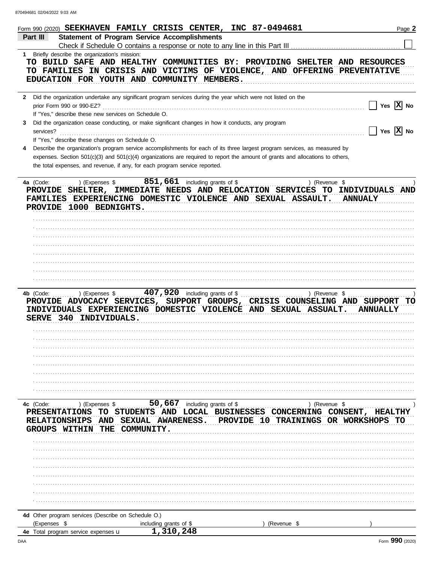870494681 02/04/2022 9:03 AM

| Form 990 (2020) SEEKHAVEN FAMILY CRISIS CENTER, INC 87-0494681<br><b>Statement of Program Service Accomplishments</b><br>Part III                                                                                                                                                                                                           | Page 2                |
|---------------------------------------------------------------------------------------------------------------------------------------------------------------------------------------------------------------------------------------------------------------------------------------------------------------------------------------------|-----------------------|
| Check if Schedule O contains a response or note to any line in this Part III                                                                                                                                                                                                                                                                |                       |
| 1 Briefly describe the organization's mission:<br>TO BUILD SAFE AND HEALTHY COMMUNITIES BY: PROVIDING SHELTER AND RESOURCES<br>TO FAMILIES IN CRISIS AND VICTIMS OF VIOLENCE, AND OFFERING PREVENTATIVE<br>EDUCATION FOR YOUTH AND COMMUNITY MEMBERS.                                                                                       |                       |
| 2 Did the organization undertake any significant program services during the year which were not listed on the<br>prior Form 990 or 990-EZ?<br>If "Yes," describe these new services on Schedule O.                                                                                                                                         | Yes $ X $ No          |
| Did the organization cease conducting, or make significant changes in how it conducts, any program<br>3<br>services?<br>If "Yes," describe these changes on Schedule O.                                                                                                                                                                     | Yes $\overline{X}$ No |
| Describe the organization's program service accomplishments for each of its three largest program services, as measured by<br>expenses. Section 501(c)(3) and 501(c)(4) organizations are required to report the amount of grants and allocations to others,<br>the total expenses, and revenue, if any, for each program service reported. |                       |
| ) (Expenses $$851,661$ including grants of \$<br>4a (Code:<br>) (Revenue \$<br>PROVIDE SHELTER, IMMEDIATE NEEDS AND RELOCATION SERVICES TO INDIVIDUALS AND<br>FAMILIES EXPERIENCING DOMESTIC VIOLENCE AND SEXUAL ASSAULT. ANNUALY<br>PROVIDE 1000 BEDNIGHTS.                                                                                |                       |
|                                                                                                                                                                                                                                                                                                                                             |                       |
|                                                                                                                                                                                                                                                                                                                                             |                       |
|                                                                                                                                                                                                                                                                                                                                             |                       |
|                                                                                                                                                                                                                                                                                                                                             |                       |
|                                                                                                                                                                                                                                                                                                                                             |                       |
|                                                                                                                                                                                                                                                                                                                                             |                       |
| $407$ , 920 including grants of \$<br>) (Revenue \$                                                                                                                                                                                                                                                                                         |                       |
| ) (Expenses \$<br>4b (Code:<br>PROVIDE ADVOCACY SERVICES, SUPPORT GROUPS, CRISIS COUNSELING AND SUPPORT<br>INDIVIDUALS EXPERIENCING DOMESTIC VIOLENCE AND SEXUAL ASSUALT.<br>SERVE 340 INDIVIDUALS.                                                                                                                                         | TO<br><b>ANNUALLY</b> |
|                                                                                                                                                                                                                                                                                                                                             |                       |
|                                                                                                                                                                                                                                                                                                                                             |                       |
|                                                                                                                                                                                                                                                                                                                                             |                       |
|                                                                                                                                                                                                                                                                                                                                             |                       |
| 50,667 including grants of \$                                                                                                                                                                                                                                                                                                               |                       |
| ) (Revenue \$<br>4c (Code:<br>) (Expenses \$<br>STUDENTS AND LOCAL BUSINESSES CONCERNING CONSENT,<br><b>PRESENTATIONS</b><br>TO<br>SEXUAL AWARENESS.<br><b>RELATIONSHIPS</b><br><b>AND</b><br>PROVIDE 10 TRAININGS OR WORKSHOPS<br>COMMUNITY.<br>GROUPS WITHIN<br>THE                                                                       | <b>HEALTHY</b><br>то  |
|                                                                                                                                                                                                                                                                                                                                             |                       |
|                                                                                                                                                                                                                                                                                                                                             |                       |
|                                                                                                                                                                                                                                                                                                                                             |                       |
|                                                                                                                                                                                                                                                                                                                                             |                       |
|                                                                                                                                                                                                                                                                                                                                             |                       |
|                                                                                                                                                                                                                                                                                                                                             |                       |
|                                                                                                                                                                                                                                                                                                                                             |                       |
| 4d Other program services (Describe on Schedule O.)<br>(Expenses \$<br>(Revenue \$<br>including grants of \$                                                                                                                                                                                                                                |                       |
| 1,310,248<br>4e Total program service expenses u                                                                                                                                                                                                                                                                                            |                       |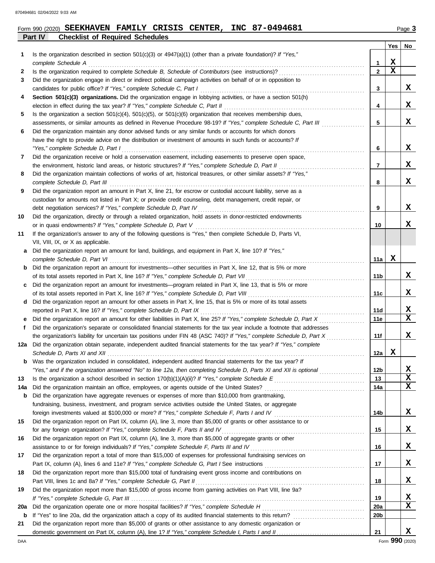|         |                                        |  |  | Form 990 (2020) SEEKHAVEN FAMILY CRISIS CENTER, INC 87-0494681 |  | $P$ aqe $\mathbf{\ddot{o}}$ |
|---------|----------------------------------------|--|--|----------------------------------------------------------------|--|-----------------------------|
| Part IV | <b>Checklist of Required Schedules</b> |  |  |                                                                |  |                             |

|             |                                                                                                                                                                                                 |                 | Yes         | No                      |
|-------------|-------------------------------------------------------------------------------------------------------------------------------------------------------------------------------------------------|-----------------|-------------|-------------------------|
| 1.          | Is the organization described in section $501(c)(3)$ or $4947(a)(1)$ (other than a private foundation)? If "Yes,"                                                                               |                 |             |                         |
|             | complete Schedule A                                                                                                                                                                             | 1               | X           |                         |
| 2           |                                                                                                                                                                                                 | $\mathbf{2}$    | $\mathbf x$ |                         |
| 3           | Did the organization engage in direct or indirect political campaign activities on behalf of or in opposition to                                                                                |                 |             |                         |
|             | candidates for public office? If "Yes," complete Schedule C, Part I                                                                                                                             | 3               |             | x                       |
| 4           | Section 501(c)(3) organizations. Did the organization engage in lobbying activities, or have a section 501(h)                                                                                   |                 |             |                         |
|             | election in effect during the tax year? If "Yes," complete Schedule C, Part II                                                                                                                  | 4               |             | x                       |
| 5           | Is the organization a section $501(c)(4)$ , $501(c)(5)$ , or $501(c)(6)$ organization that receives membership dues,                                                                            |                 |             |                         |
|             | assessments, or similar amounts as defined in Revenue Procedure 98-19? If "Yes," complete Schedule C, Part III                                                                                  | 5               |             | x                       |
| 6           | Did the organization maintain any donor advised funds or any similar funds or accounts for which donors                                                                                         |                 |             |                         |
|             | have the right to provide advice on the distribution or investment of amounts in such funds or accounts? If                                                                                     |                 |             |                         |
|             | "Yes," complete Schedule D, Part I                                                                                                                                                              | 6               |             | x                       |
| 7           | Did the organization receive or hold a conservation easement, including easements to preserve open space,                                                                                       |                 |             |                         |
|             | the environment, historic land areas, or historic structures? If "Yes," complete Schedule D, Part II                                                                                            | 7               |             | x                       |
| 8           | Did the organization maintain collections of works of art, historical treasures, or other similar assets? If "Yes,"<br>complete Schedule D, Part III                                            | 8               |             | X                       |
| 9           | Did the organization report an amount in Part X, line 21, for escrow or custodial account liability, serve as a                                                                                 |                 |             |                         |
|             | custodian for amounts not listed in Part X; or provide credit counseling, debt management, credit repair, or                                                                                    |                 |             |                         |
|             | debt negotiation services? If "Yes," complete Schedule D, Part IV                                                                                                                               | 9               |             | x                       |
| 10          | Did the organization, directly or through a related organization, hold assets in donor-restricted endowments                                                                                    |                 |             |                         |
|             | or in quasi endowments? If "Yes," complete Schedule D, Part V                                                                                                                                   | 10              |             | x                       |
| 11          | If the organization's answer to any of the following questions is "Yes," then complete Schedule D, Parts VI,                                                                                    |                 |             |                         |
|             | VII, VIII, IX, or X as applicable.                                                                                                                                                              |                 |             |                         |
| a           | Did the organization report an amount for land, buildings, and equipment in Part X, line 10? If "Yes,"                                                                                          |                 |             |                         |
|             | complete Schedule D, Part VI                                                                                                                                                                    | 11a             | x           |                         |
| b           | Did the organization report an amount for investments—other securities in Part X, line 12, that is 5% or more                                                                                   |                 |             |                         |
|             | of its total assets reported in Part X, line 16? If "Yes," complete Schedule D, Part VII                                                                                                        | 11 <sub>b</sub> |             | X                       |
| c           | Did the organization report an amount for investments—program related in Part X, line 13, that is 5% or more                                                                                    |                 |             |                         |
|             | of its total assets reported in Part X, line 16? If "Yes," complete Schedule D, Part VIII                                                                                                       | 11c             |             | x                       |
| d           | Did the organization report an amount for other assets in Part X, line 15, that is 5% or more of its total assets                                                                               |                 |             |                         |
|             | reported in Part X, line 16? If "Yes," complete Schedule D, Part IX                                                                                                                             | 11d             |             | X                       |
| е           | Did the organization report an amount for other liabilities in Part X, line 25? If "Yes," complete Schedule D, Part X                                                                           | 11e             |             | $\overline{\mathbf{x}}$ |
| f           | Did the organization's separate or consolidated financial statements for the tax year include a footnote that addresses                                                                         |                 |             |                         |
|             | the organization's liability for uncertain tax positions under FIN 48 (ASC 740)? If "Yes," complete Schedule D, Part X                                                                          | 11f             |             | x                       |
| 12a         | Did the organization obtain separate, independent audited financial statements for the tax year? If "Yes," complete                                                                             |                 |             |                         |
|             |                                                                                                                                                                                                 | 12a             | X           |                         |
| b           | Was the organization included in consolidated, independent audited financial statements for the tax year? If                                                                                    |                 |             |                         |
|             | "Yes," and if the organization answered "No" to line 12a, then completing Schedule D, Parts XI and XII is optional                                                                              | 12 <sub>b</sub> |             | X<br>$\mathbf x$        |
| 13          |                                                                                                                                                                                                 | 13<br>14a       |             | X                       |
| 14a<br>b    | Did the organization maintain an office, employees, or agents outside of the United States?<br>Did the organization have aggregate revenues or expenses of more than \$10,000 from grantmaking, |                 |             |                         |
|             | fundraising, business, investment, and program service activities outside the United States, or aggregate                                                                                       |                 |             |                         |
|             |                                                                                                                                                                                                 | 14b             |             | X                       |
| 15          | Did the organization report on Part IX, column (A), line 3, more than \$5,000 of grants or other assistance to or                                                                               |                 |             |                         |
|             | for any foreign organization? If "Yes," complete Schedule F, Parts II and IV                                                                                                                    | 15              |             | X                       |
| 16          | Did the organization report on Part IX, column (A), line 3, more than \$5,000 of aggregate grants or other                                                                                      |                 |             |                         |
|             | assistance to or for foreign individuals? If "Yes," complete Schedule F, Parts III and IV                                                                                                       | 16              |             | X                       |
| 17          | Did the organization report a total of more than \$15,000 of expenses for professional fundraising services on                                                                                  |                 |             |                         |
|             |                                                                                                                                                                                                 | 17              |             | X                       |
| 18          | Did the organization report more than \$15,000 total of fundraising event gross income and contributions on                                                                                     |                 |             |                         |
|             | Part VIII, lines 1c and 8a? If "Yes," complete Schedule G, Part II                                                                                                                              | 18              |             | X                       |
| 19          | Did the organization report more than \$15,000 of gross income from gaming activities on Part VIII, line 9a?                                                                                    |                 |             |                         |
|             |                                                                                                                                                                                                 | 19              |             | X                       |
| 20a         | Did the organization operate one or more hospital facilities? If "Yes," complete Schedule H                                                                                                     | 20a             |             | X                       |
| $\mathbf b$ |                                                                                                                                                                                                 | 20b             |             |                         |
| 21          | Did the organization report more than \$5,000 of grants or other assistance to any domestic organization or                                                                                     |                 |             |                         |
|             |                                                                                                                                                                                                 | 21              |             | x                       |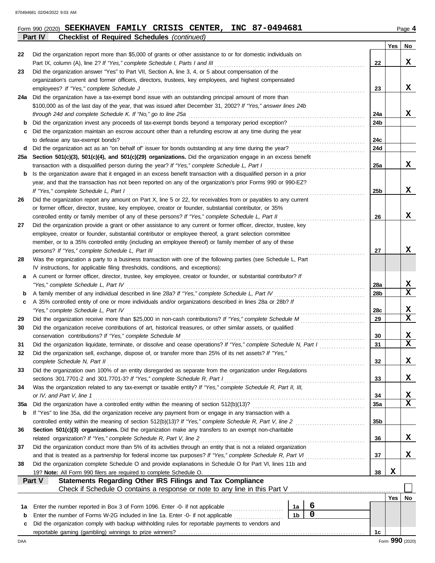|                | $F$ orm 990 (2020) SEEKHAVEN FAMILY CRISIS CENTER, INC 87-0494681 |  |  | Page 4 |
|----------------|-------------------------------------------------------------------|--|--|--------|
| <b>Part IV</b> | <b>Checklist of Required Schedules (continued)</b>                |  |  |        |

|     |                                                                                                                                                                                                                   |                 | Yes | No     |
|-----|-------------------------------------------------------------------------------------------------------------------------------------------------------------------------------------------------------------------|-----------------|-----|--------|
| 22  | Did the organization report more than \$5,000 of grants or other assistance to or for domestic individuals on                                                                                                     |                 |     |        |
|     |                                                                                                                                                                                                                   | 22              |     | x      |
| 23  | Did the organization answer "Yes" to Part VII, Section A, line 3, 4, or 5 about compensation of the                                                                                                               |                 |     |        |
|     | organization's current and former officers, directors, trustees, key employees, and highest compensated                                                                                                           |                 |     |        |
|     | employees? If "Yes," complete Schedule J                                                                                                                                                                          | 23              |     | x      |
| 24a | Did the organization have a tax-exempt bond issue with an outstanding principal amount of more than                                                                                                               |                 |     |        |
|     | \$100,000 as of the last day of the year, that was issued after December 31, 2002? If "Yes," answer lines 24b                                                                                                     |                 |     |        |
|     | through 24d and complete Schedule K. If "No," go to line 25a                                                                                                                                                      | 24a             |     | x      |
| b   | Did the organization invest any proceeds of tax-exempt bonds beyond a temporary period exception?                                                                                                                 | 24b             |     |        |
|     | Did the organization maintain an escrow account other than a refunding escrow at any time during the year                                                                                                         |                 |     |        |
|     | to defease any tax-exempt bonds?                                                                                                                                                                                  | 24c             |     |        |
| d   | Did the organization act as an "on behalf of" issuer for bonds outstanding at any time during the year?                                                                                                           | <b>24d</b>      |     |        |
| 25a | Section 501(c)(3), 501(c)(4), and 501(c)(29) organizations. Did the organization engage in an excess benefit                                                                                                      |                 |     | x      |
|     | transaction with a disqualified person during the year? If "Yes," complete Schedule L, Part I<br>Is the organization aware that it engaged in an excess benefit transaction with a disqualified person in a prior | 25a             |     |        |
| b   | year, and that the transaction has not been reported on any of the organization's prior Forms 990 or 990-EZ?                                                                                                      |                 |     |        |
|     | If "Yes," complete Schedule L, Part I                                                                                                                                                                             | 25b             |     | x      |
| 26  | Did the organization report any amount on Part X, line 5 or 22, for receivables from or payables to any current                                                                                                   |                 |     |        |
|     | or former officer, director, trustee, key employee, creator or founder, substantial contributor, or 35%                                                                                                           |                 |     |        |
|     | controlled entity or family member of any of these persons? If "Yes," complete Schedule L, Part II                                                                                                                | 26              |     | x      |
| 27  | Did the organization provide a grant or other assistance to any current or former officer, director, trustee, key                                                                                                 |                 |     |        |
|     | employee, creator or founder, substantial contributor or employee thereof, a grant selection committee                                                                                                            |                 |     |        |
|     | member, or to a 35% controlled entity (including an employee thereof) or family member of any of these                                                                                                            |                 |     |        |
|     | persons? If "Yes," complete Schedule L, Part III                                                                                                                                                                  | 27              |     | x      |
| 28  | Was the organization a party to a business transaction with one of the following parties (see Schedule L, Part                                                                                                    |                 |     |        |
|     | IV instructions, for applicable filing thresholds, conditions, and exceptions):                                                                                                                                   |                 |     |        |
| a   | A current or former officer, director, trustee, key employee, creator or founder, or substantial contributor? If                                                                                                  |                 |     |        |
|     | "Yes," complete Schedule L, Part IV                                                                                                                                                                               | 28а             |     | x      |
| b   |                                                                                                                                                                                                                   | 28b             |     | X      |
| c   | A 35% controlled entity of one or more individuals and/or organizations described in lines 28a or 28b? If                                                                                                         |                 |     |        |
|     | "Yes," complete Schedule L, Part IV                                                                                                                                                                               | 28c             |     | X      |
| 29  | Did the organization receive more than \$25,000 in non-cash contributions? If "Yes," complete Schedule M                                                                                                          | 29              |     | X      |
| 30  | Did the organization receive contributions of art, historical treasures, or other similar assets, or qualified                                                                                                    |                 |     |        |
|     | conservation contributions? If "Yes," complete Schedule M                                                                                                                                                         | 30              |     | x<br>X |
| 31  | Did the organization liquidate, terminate, or dissolve and cease operations? If "Yes," complete Schedule N, Part I                                                                                                | 31              |     |        |
| 32  | Did the organization sell, exchange, dispose of, or transfer more than 25% of its net assets? If "Yes,"<br>complete Schedule N, Part II                                                                           |                 |     | X      |
| 33  | Did the organization own 100% of an entity disregarded as separate from the organization under Regulations                                                                                                        | 32              |     |        |
|     | sections 301.7701-2 and 301.7701-3? If "Yes," complete Schedule R, Part I                                                                                                                                         | 33              |     | X      |
| 34  | Was the organization related to any tax-exempt or taxable entity? If "Yes," complete Schedule R, Part II, III,                                                                                                    |                 |     |        |
|     | or IV, and Part V, line 1                                                                                                                                                                                         | 34              |     | X      |
| 35a |                                                                                                                                                                                                                   | 35a             |     | X      |
| b   | If "Yes" to line 35a, did the organization receive any payment from or engage in any transaction with a                                                                                                           |                 |     |        |
|     |                                                                                                                                                                                                                   | 35 <sub>b</sub> |     |        |
| 36  | Section 501(c)(3) organizations. Did the organization make any transfers to an exempt non-charitable                                                                                                              |                 |     |        |
|     | related organization? If "Yes," complete Schedule R, Part V, line 2                                                                                                                                               | 36              |     | X      |
| 37  | Did the organization conduct more than 5% of its activities through an entity that is not a related organization                                                                                                  |                 |     |        |
|     |                                                                                                                                                                                                                   | 37              |     | X      |
| 38  | Did the organization complete Schedule O and provide explanations in Schedule O for Part VI, lines 11b and                                                                                                        |                 |     |        |
|     | 19? Note: All Form 990 filers are required to complete Schedule O.                                                                                                                                                | 38              | X   |        |
|     | Statements Regarding Other IRS Filings and Tax Compliance<br>Part V                                                                                                                                               |                 |     |        |
|     | Check if Schedule O contains a response or note to any line in this Part V                                                                                                                                        |                 |     |        |
|     |                                                                                                                                                                                                                   |                 | Yes | No     |
| 1а  | 6<br>Enter the number reported in Box 3 of Form 1096. Enter -0- if not applicable<br>1a<br>0                                                                                                                      |                 |     |        |
| b   | 1 <sub>b</sub><br>Enter the number of Forms W-2G included in line 1a. Enter -0- if not applicable                                                                                                                 |                 |     |        |
| c   | Did the organization comply with backup withholding rules for reportable payments to vendors and                                                                                                                  | 1c              |     |        |
|     |                                                                                                                                                                                                                   |                 |     |        |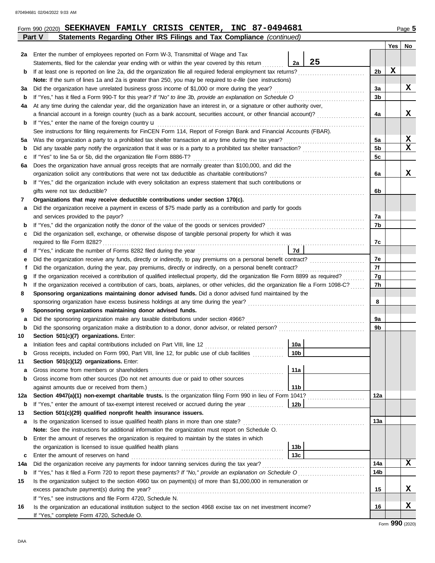Г

|    | SEEKHAVEN FAMILY CRISIS CENTER, INC 87-0494681<br>Form 990 (2020)<br>Part V<br>Statements Regarding Other IRS Filings and Tax Compliance (continued) |                |     | Page 5    |
|----|------------------------------------------------------------------------------------------------------------------------------------------------------|----------------|-----|-----------|
|    |                                                                                                                                                      |                | Yes | <b>No</b> |
| 2a | Enter the number of employees reported on Form W-3, Transmittal of Wage and Tax                                                                      |                |     |           |
|    | 25<br>Statements, filed for the calendar year ending with or within the year covered by this return<br>2a                                            |                |     |           |
| b  | If at least one is reported on line 2a, did the organization file all required federal employment tax returns?                                       | 2 <sub>b</sub> | X   |           |
|    | Note: If the sum of lines 1a and 2a is greater than 250, you may be required to e-file (see instructions)                                            |                |     |           |
| 3a | Did the organization have unrelated business gross income of \$1,000 or more during the year?                                                        | 3a             |     | X         |
| b  | If "Yes," has it filed a Form 990-T for this year? If "No" to line 3b, provide an explanation on Schedule O                                          | 3 <sub>b</sub> |     |           |
| 4a | At any time during the calendar year, did the organization have an interest in, or a signature or other authority over,                              |                |     |           |
|    | a financial account in a foreign country (such as a bank account, securities account, or other financial account)?                                   | 4a             |     | x         |
| b  | If "Yes," enter the name of the foreign country <b>u</b>                                                                                             |                |     |           |
|    | See instructions for filing requirements for FinCEN Form 114, Report of Foreign Bank and Financial Accounts (FBAR).                                  |                |     |           |
| 5а | Was the organization a party to a prohibited tax shelter transaction at any time during the tax year?                                                | 5a             |     | x         |
| b  |                                                                                                                                                      | <b>5b</b>      |     | <b>X</b>  |
| c  | If "Yes" to line 5a or 5b, did the organization file Form 8886-T?                                                                                    | 5c             |     |           |
| 6a | Does the organization have annual gross receipts that are normally greater than \$100,000, and did the                                               |                |     |           |
|    | organization solicit any contributions that were not tax deductible as charitable contributions?                                                     | 6a             |     | X.        |
| b. | If "Yes," did the organization include with every solicitation an express statement that such contributions or                                       |                |     |           |
|    | gifts were not tax deductible?                                                                                                                       | 6b             |     |           |
| 7  | Organizations that may receive deductible contributions under section 170(c).                                                                        |                |     |           |
| a  | Did the organization receive a payment in excess of \$75 made partly as a contribution and partly for goods                                          |                |     |           |
|    | and services provided to the payor?                                                                                                                  | 7a             |     |           |
|    |                                                                                                                                                      | 7b             |     |           |
| c  | Did the organization sell, exchange, or otherwise dispose of tangible personal property for which it was                                             |                |     |           |
|    | required to file Form 8282?                                                                                                                          | 7c             |     |           |
|    | If "Yes," indicate the number of Forms 8282 filed during the year<br>7d                                                                              |                |     |           |
|    | Did the organization receive any funds, directly or indirectly, to pay premiums on a personal benefit contract?                                      | 7e             |     |           |

|    | Did the organization, during the year, pay premiums, directly or indirectly, on a personal benefit contract?                         |
|----|--------------------------------------------------------------------------------------------------------------------------------------|
|    | g If the organization received a contribution of qualified intellectual property, did the organization file Form 8899 as required?   |
|    | h If the organization received a contribution of cars, boats, airplanes, or other vehicles, did the organization file a Form 1098-C? |
| 8. | Sponsoring organizations maintaining donor advised funds. Did a donor advised fund maintained by the                                 |
|    | sponsoring organization have excess business holdings at any time during the year?                                                   |
| 9  | Sponsoring organizations maintaining donor advised funds.                                                                            |
|    | a Did the sponsoring organization make any taxable distributions under section 4966?                                                 |
|    | <b>b</b> Did the sponsoring organization make a distribution to a donor, donor advisor, or related person?                           |

| b   | Did the sponsoring organization make a distribution to a donor, donor advisor, or related person?               |     | 9b              |  |   |
|-----|-----------------------------------------------------------------------------------------------------------------|-----|-----------------|--|---|
| 10  | Section 501(c)(7) organizations. Enter:                                                                         |     |                 |  |   |
| a   |                                                                                                                 | 10a |                 |  |   |
| b   | Gross receipts, included on Form 990, Part VIII, line 12, for public use of club facilities                     | 10b |                 |  |   |
| 11  | Section 501(c)(12) organizations. Enter:                                                                        |     |                 |  |   |
| a   | Gross income from members or shareholders                                                                       | 11a |                 |  |   |
| b   | Gross income from other sources (Do not net amounts due or paid to other sources                                |     |                 |  |   |
|     | against amounts due or received from them.)                                                                     | 11b |                 |  |   |
| 12a | Section 4947(a)(1) non-exempt charitable trusts. Is the organization filing Form 990 in lieu of Form 1041?      |     | 12a             |  |   |
| b   |                                                                                                                 |     |                 |  |   |
| 13  | Section 501(c)(29) qualified nonprofit health insurance issuers.                                                |     |                 |  |   |
| a   | Is the organization licensed to issue qualified health plans in more than one state?                            |     | 13a             |  |   |
|     | <b>Note:</b> See the instructions for additional information the organization must report on Schedule O.        |     |                 |  |   |
| b   | Enter the amount of reserves the organization is required to maintain by the states in which                    |     |                 |  |   |
|     |                                                                                                                 | 13b |                 |  |   |
| c   | Enter the amount of reserves on hand                                                                            | 13c |                 |  |   |
| 14a | Did the organization receive any payments for indoor tanning services during the tax year?                      |     | 14a             |  | X |
| b   |                                                                                                                 |     | 14 <sub>b</sub> |  |   |
| 15  | Is the organization subject to the section 4960 tax on payment(s) of more than \$1,000,000 in remuneration or   |     |                 |  |   |
|     | excess parachute payment(s) during the year?                                                                    |     | 15              |  | x |
|     | If "Yes," see instructions and file Form 4720, Schedule N.                                                      |     |                 |  |   |
| 16  | Is the organization an educational institution subject to the section 4968 excise tax on net investment income? |     |                 |  | x |
|     | If "Yes," complete Form 4720, Schedule O.                                                                       |     |                 |  |   |

Form **990** (2020)

**7f 7g 7h**

**8**

**9a**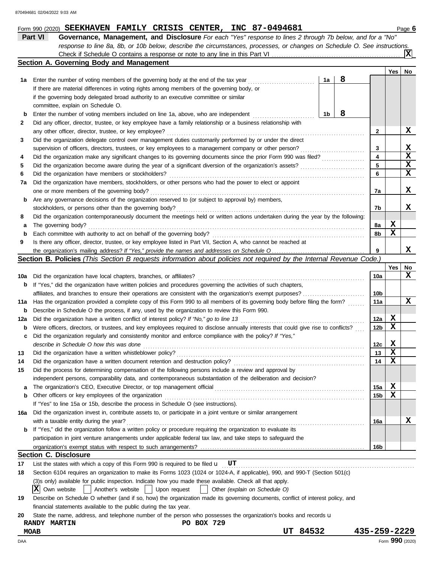|     | response to line 8a, 8b, or 10b below, describe the circumstances, processes, or changes on Schedule O. See instructions.                                                         |                         |                         |                         |
|-----|-----------------------------------------------------------------------------------------------------------------------------------------------------------------------------------|-------------------------|-------------------------|-------------------------|
|     |                                                                                                                                                                                   |                         |                         |                         |
|     | Section A. Governing Body and Management                                                                                                                                          |                         | <b>Yes</b>              |                         |
|     | 8<br>1a                                                                                                                                                                           |                         |                         | No                      |
| 1a  | Enter the number of voting members of the governing body at the end of the tax year<br>If there are material differences in voting rights among members of the governing body, or |                         |                         |                         |
|     | if the governing body delegated broad authority to an executive committee or similar                                                                                              |                         |                         |                         |
|     | committee, explain on Schedule O.                                                                                                                                                 |                         |                         |                         |
| b   | 8<br>1b<br>Enter the number of voting members included on line 1a, above, who are independent                                                                                     |                         |                         |                         |
| 2   | Did any officer, director, trustee, or key employee have a family relationship or a business relationship with                                                                    |                         |                         |                         |
|     | any other officer, director, trustee, or key employee?                                                                                                                            | $\mathbf{2}$            |                         | x                       |
| 3   | Did the organization delegate control over management duties customarily performed by or under the direct                                                                         |                         |                         |                         |
|     | supervision of officers, directors, trustees, or key employees to a management company or other person?                                                                           | 3                       |                         | X                       |
| 4   | Did the organization make any significant changes to its governing documents since the prior Form 990 was filed?                                                                  | $\overline{\mathbf{4}}$ |                         | $\overline{\mathbf{X}}$ |
| 5   |                                                                                                                                                                                   | 5                       |                         | $\overline{\mathbf{X}}$ |
| 6   | Did the organization have members or stockholders?                                                                                                                                | 6                       |                         | $\overline{\mathbf{x}}$ |
| 7a  | Did the organization have members, stockholders, or other persons who had the power to elect or appoint                                                                           |                         |                         |                         |
|     | one or more members of the governing body?                                                                                                                                        | 7а                      |                         | X                       |
| b   | Are any governance decisions of the organization reserved to (or subject to approval by) members,                                                                                 |                         |                         |                         |
|     | stockholders, or persons other than the governing body?                                                                                                                           | 7b                      |                         | x                       |
| 8   | Did the organization contemporaneously document the meetings held or written actions undertaken during the year by the following:                                                 |                         |                         |                         |
| а   | The governing body?                                                                                                                                                               | 8a                      | x                       |                         |
| b   | Each committee with authority to act on behalf of the governing body?                                                                                                             | 8b                      | X                       |                         |
| 9   | Is there any officer, director, trustee, or key employee listed in Part VII, Section A, who cannot be reached at                                                                  |                         |                         |                         |
|     |                                                                                                                                                                                   | 9                       |                         | X                       |
|     | Section B. Policies (This Section B requests information about policies not required by the Internal Revenue Code.)                                                               |                         |                         |                         |
|     |                                                                                                                                                                                   |                         | Yes                     | No                      |
| 10a | Did the organization have local chapters, branches, or affiliates?                                                                                                                | 10a                     |                         | X                       |
| b   | If "Yes," did the organization have written policies and procedures governing the activities of such chapters,                                                                    |                         |                         |                         |
|     |                                                                                                                                                                                   | 10b                     |                         |                         |
| 11a | Has the organization provided a complete copy of this Form 990 to all members of its governing body before filing the form?                                                       | 11a                     |                         | $\mathbf x$             |
| b   | Describe in Schedule O the process, if any, used by the organization to review this Form 990.                                                                                     |                         |                         |                         |
| 12a |                                                                                                                                                                                   | 12a                     | X                       |                         |
| b   | Were officers, directors, or trustees, and key employees required to disclose annually interests that could give rise to conflicts?                                               | 12 <sub>b</sub>         | $\mathbf x$             |                         |
| c   | Did the organization regularly and consistently monitor and enforce compliance with the policy? If "Yes,"                                                                         |                         |                         |                         |
|     | describe in Schedule O how this was done                                                                                                                                          | 12c                     | X                       |                         |
| 13  |                                                                                                                                                                                   | 13                      | $\mathbf x$             |                         |
| 14  | Did the organization have a written document retention and destruction policy?                                                                                                    | 14                      | $\overline{\mathbf{x}}$ |                         |
| 15  | Did the process for determining compensation of the following persons include a review and approval by                                                                            |                         |                         |                         |
|     | independent persons, comparability data, and contemporaneous substantiation of the deliberation and decision?                                                                     |                         |                         |                         |
| a   | The organization's CEO, Executive Director, or top management official                                                                                                            | 15a                     | X                       |                         |
| b   | Other officers or key employees of the organization                                                                                                                               | 15 <sub>b</sub>         | X                       |                         |
|     | If "Yes" to line 15a or 15b, describe the process in Schedule O (see instructions).                                                                                               |                         |                         |                         |
| 16a | Did the organization invest in, contribute assets to, or participate in a joint venture or similar arrangement                                                                    |                         |                         |                         |
|     | with a taxable entity during the year?                                                                                                                                            | 16a                     |                         | x                       |
| b   | If "Yes," did the organization follow a written policy or procedure requiring the organization to evaluate its                                                                    |                         |                         |                         |
|     | participation in joint venture arrangements under applicable federal tax law, and take steps to safeguard the                                                                     |                         |                         |                         |
|     |                                                                                                                                                                                   | 16b                     |                         |                         |
|     | <b>Section C. Disclosure</b>                                                                                                                                                      |                         |                         |                         |
| 17  | List the states with which a copy of this Form 990 is required to be filed $\mathbf{u}$ UT                                                                                        |                         |                         |                         |
| 18  | Section 6104 requires an organization to make its Forms 1023 (1024 or 1024-A, if applicable), 990, and 990-T (Section 501(c)                                                      |                         |                         |                         |
|     | (3)s only) available for public inspection. Indicate how you made these available. Check all that apply.                                                                          |                         |                         |                         |
|     | x <br>Own website<br>Another's website<br>Upon request<br>Other (explain on Schedule O)                                                                                           |                         |                         |                         |
| 19  | Describe on Schedule O whether (and if so, how) the organization made its governing documents, conflict of interest policy, and                                                   |                         |                         |                         |
|     | financial statements available to the public during the tax year.                                                                                                                 |                         |                         |                         |
| 20  | State the name, address, and telephone number of the person who possesses the organization's books and records <b>u</b>                                                           |                         |                         |                         |
|     | PO BOX 729<br><b>RANDY MARTIN</b>                                                                                                                                                 |                         |                         |                         |
|     | 84532<br>UT.<br>MOAB                                                                                                                                                              | 435-259-2229            |                         |                         |
| DAA |                                                                                                                                                                                   |                         |                         | Form 990 (2020)         |

**Part VI Governance, Management, and Disclosure** *For each "Yes" response to lines 2 through 7b below, and for a "No"*

DAA Form **990** (2020)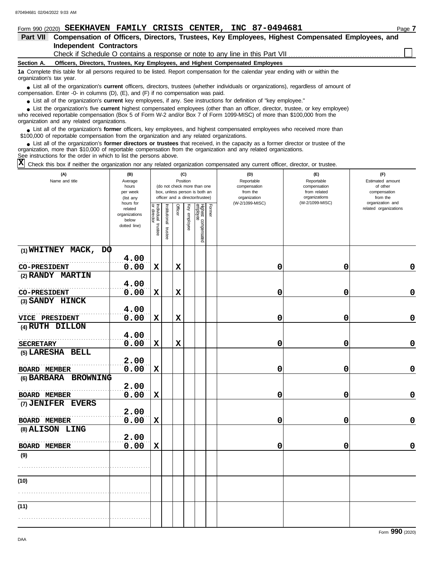| Form 990 (2020) SEEKHAVEN FAMILY CRISIS CENTER, INC 87-0494681                                                                                                                                                                          | Page 7 |  |  |  |  |  |  |  |
|-----------------------------------------------------------------------------------------------------------------------------------------------------------------------------------------------------------------------------------------|--------|--|--|--|--|--|--|--|
| Compensation of Officers, Directors, Trustees, Key Employees, Highest Compensated Employees, and<br>Part VII                                                                                                                            |        |  |  |  |  |  |  |  |
| <b>Independent Contractors</b>                                                                                                                                                                                                          |        |  |  |  |  |  |  |  |
| Check if Schedule O contains a response or note to any line in this Part VII                                                                                                                                                            |        |  |  |  |  |  |  |  |
| Officers, Directors, Trustees, Key Employees, and Highest Compensated Employees<br>Section A.                                                                                                                                           |        |  |  |  |  |  |  |  |
| 1a Complete this table for all persons required to be listed. Report compensation for the calendar year ending with or within the<br>organization's tax year.                                                                           |        |  |  |  |  |  |  |  |
| • List all of the organization's <b>current</b> officers, directors, trustees (whether individuals or organizations), regardless of amount of<br>compensation. Enter -0- in columns (D), $(E)$ , and $(F)$ if no compensation was paid. |        |  |  |  |  |  |  |  |
| • List all of the organization's current key employees, if any. See instructions for definition of "key employee."                                                                                                                      |        |  |  |  |  |  |  |  |
| • List the organization's five current highest compensated employees (other than an officer, director, trustee, or key employee)                                                                                                        |        |  |  |  |  |  |  |  |

who received reportable compensation (Box 5 of Form W-2 and/or Box 7 of Form 1099-MISC) of more than \$100,000 from the organization and any related organizations. **•**

List all of the organization's **former** officers, key employees, and highest compensated employees who received more than • List all of the organization's **former** officers, key employees, and highest compensate \$100,000 of reportable compensation from the organization and any related organizations.

List all of the organization's **former directors or trustees** that received, in the capacity as a former director or trustee of the organization, more than \$10,000 of reportable compensation from the organization and any related organizations. See instructions for the order in which to list the persons above. **•**

Check this box if neither the organization nor any related organization compensated any current officer, director, or trustee. **X**

| (A)<br>Name and title                    | (B)<br>Average<br>hours<br>per week<br>(list any               | (C)<br>Position<br>(do not check more than one<br>box, unless person is both an<br>officer and a director/trustee) |                       |             |              |                                 |        | (D)<br>Reportable<br>compensation<br>from the<br>organization | (E)<br>Reportable<br>compensation<br>from related<br>organizations<br>(W-2/1099-MISC) | (F)<br>Estimated amount<br>of other<br>compensation<br>from the |
|------------------------------------------|----------------------------------------------------------------|--------------------------------------------------------------------------------------------------------------------|-----------------------|-------------|--------------|---------------------------------|--------|---------------------------------------------------------------|---------------------------------------------------------------------------------------|-----------------------------------------------------------------|
|                                          | hours for<br>related<br>organizations<br>below<br>dotted line) | Individual trustee<br>or director                                                                                  | Institutional trustee | Officer     | Key employee | Highest compensated<br>employee | Former | (W-2/1099-MISC)                                               |                                                                                       | organization and<br>related organizations                       |
| $(1)$ WHITNEY MACK, D $\phi$             | 4.00                                                           |                                                                                                                    |                       |             |              |                                 |        |                                                               |                                                                                       |                                                                 |
| CO-PRESIDENT                             | 0.00                                                           | $\mathbf x$                                                                                                        |                       | $\mathbf x$ |              |                                 |        | 0                                                             | 0                                                                                     | $\mathbf 0$                                                     |
| (2) RANDY MARTIN                         |                                                                |                                                                                                                    |                       |             |              |                                 |        |                                                               |                                                                                       |                                                                 |
|                                          | 4.00                                                           |                                                                                                                    |                       |             |              |                                 |        |                                                               |                                                                                       |                                                                 |
| <b>CO-PRESIDENT</b>                      | 0.00                                                           | $\mathbf x$                                                                                                        |                       | $\mathbf x$ |              |                                 |        | 0                                                             | 0                                                                                     | $\mathbf 0$                                                     |
| (3) SANDY HINCK                          |                                                                |                                                                                                                    |                       |             |              |                                 |        |                                                               |                                                                                       |                                                                 |
|                                          | 4.00                                                           |                                                                                                                    |                       |             |              |                                 |        |                                                               |                                                                                       |                                                                 |
| VICE PRESIDENT                           | 0.00                                                           | $\mathbf x$                                                                                                        |                       | $\mathbf x$ |              |                                 |        | 0                                                             | 0                                                                                     | $\mathbf 0$                                                     |
| (4) RUTH DILLON                          |                                                                |                                                                                                                    |                       |             |              |                                 |        |                                                               |                                                                                       |                                                                 |
|                                          | 4.00                                                           |                                                                                                                    |                       |             |              |                                 |        |                                                               |                                                                                       |                                                                 |
| <b>SECRETARY</b>                         | 0.00                                                           | $\mathbf x$                                                                                                        |                       | $\mathbf x$ |              |                                 |        | 0                                                             | 0                                                                                     | $\mathbf 0$                                                     |
| (5) LARESHA BELL                         |                                                                |                                                                                                                    |                       |             |              |                                 |        |                                                               |                                                                                       |                                                                 |
|                                          | 2.00                                                           |                                                                                                                    |                       |             |              |                                 |        |                                                               |                                                                                       |                                                                 |
| <b>BOARD MEMBER</b>                      | 0.00                                                           | $\mathbf x$                                                                                                        |                       |             |              |                                 |        | 0                                                             | 0                                                                                     | $\mathbf 0$                                                     |
| (6) BARBARA BROWNING                     |                                                                |                                                                                                                    |                       |             |              |                                 |        |                                                               |                                                                                       |                                                                 |
|                                          | 2.00                                                           |                                                                                                                    |                       |             |              |                                 |        |                                                               |                                                                                       | $\mathbf 0$                                                     |
| <b>BOARD MEMBER</b><br>(7) JENIFER EVERS | 0.00                                                           | $\mathbf x$                                                                                                        |                       |             |              |                                 |        | 0                                                             | 0                                                                                     |                                                                 |
|                                          | 2.00                                                           |                                                                                                                    |                       |             |              |                                 |        |                                                               |                                                                                       |                                                                 |
| <b>BOARD MEMBER</b>                      | 0.00                                                           | $\mathbf x$                                                                                                        |                       |             |              |                                 |        | 0                                                             | 0                                                                                     | 0                                                               |
| (8) ALISON LING                          |                                                                |                                                                                                                    |                       |             |              |                                 |        |                                                               |                                                                                       |                                                                 |
|                                          | 2.00                                                           |                                                                                                                    |                       |             |              |                                 |        |                                                               |                                                                                       |                                                                 |
| <b>BOARD MEMBER</b>                      | 0.00                                                           | X                                                                                                                  |                       |             |              |                                 |        | 0                                                             | 0                                                                                     | $\mathbf 0$                                                     |
| (9)                                      |                                                                |                                                                                                                    |                       |             |              |                                 |        |                                                               |                                                                                       |                                                                 |
|                                          |                                                                |                                                                                                                    |                       |             |              |                                 |        |                                                               |                                                                                       |                                                                 |
|                                          |                                                                |                                                                                                                    |                       |             |              |                                 |        |                                                               |                                                                                       |                                                                 |
| (10)                                     |                                                                |                                                                                                                    |                       |             |              |                                 |        |                                                               |                                                                                       |                                                                 |
|                                          |                                                                |                                                                                                                    |                       |             |              |                                 |        |                                                               |                                                                                       |                                                                 |
| (11)                                     |                                                                |                                                                                                                    |                       |             |              |                                 |        |                                                               |                                                                                       |                                                                 |
|                                          |                                                                |                                                                                                                    |                       |             |              |                                 |        |                                                               |                                                                                       |                                                                 |
|                                          |                                                                |                                                                                                                    |                       |             |              |                                 |        |                                                               |                                                                                       |                                                                 |

Form **990** (2020)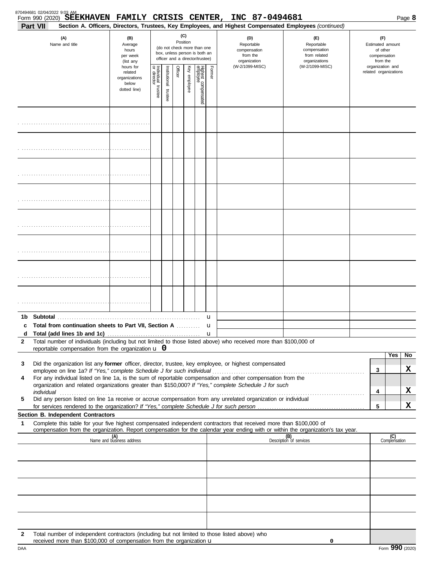|              | 870494681 02/04/2022 9:03 AM<br>Form 990 (2020) SEEKHAVEN FAMILY CRISIS CENTER, INC 87-0494681                                                                                                                       |                                                                |                                        |                         |                                                                                                                                                                              |              |                                 |              |                                                                                                        |                                                                    |                                           |                                                                 |                     | Page 8 |
|--------------|----------------------------------------------------------------------------------------------------------------------------------------------------------------------------------------------------------------------|----------------------------------------------------------------|----------------------------------------|-------------------------|------------------------------------------------------------------------------------------------------------------------------------------------------------------------------|--------------|---------------------------------|--------------|--------------------------------------------------------------------------------------------------------|--------------------------------------------------------------------|-------------------------------------------|-----------------------------------------------------------------|---------------------|--------|
|              | Part VII                                                                                                                                                                                                             |                                                                |                                        |                         |                                                                                                                                                                              |              |                                 |              | Section A. Officers, Directors, Trustees, Key Employees, and Highest Compensated Employees (continued) |                                                                    |                                           |                                                                 |                     |        |
|              | (A)<br>Name and title                                                                                                                                                                                                | (B)<br>Average<br>hours<br>per week<br>(list any               |                                        |                         | (C)<br>Position<br>Reportable<br>(do not check more than one<br>compensation<br>box, unless person is both an<br>from the<br>officer and a director/trustee)<br>organization |              |                                 |              | (D)                                                                                                    | (E)<br>Reportable<br>compensation<br>from related<br>organizations |                                           | (F)<br>Estimated amount<br>of other<br>compensation<br>from the |                     |        |
|              |                                                                                                                                                                                                                      | hours for<br>related<br>organizations<br>below<br>dotted line) | ₽<br>Individual trustee<br>or director | nstitutional<br>trustee | Officer                                                                                                                                                                      | Key employee | Highest compensated<br>employee | Former       | (W-2/1099-MISC)                                                                                        | (W-2/1099-MISC)                                                    | organization and<br>related organizations |                                                                 |                     |        |
|              |                                                                                                                                                                                                                      |                                                                |                                        |                         |                                                                                                                                                                              |              |                                 |              |                                                                                                        |                                                                    |                                           |                                                                 |                     |        |
|              |                                                                                                                                                                                                                      |                                                                |                                        |                         |                                                                                                                                                                              |              |                                 |              |                                                                                                        |                                                                    |                                           |                                                                 |                     |        |
|              |                                                                                                                                                                                                                      |                                                                |                                        |                         |                                                                                                                                                                              |              |                                 |              |                                                                                                        |                                                                    |                                           |                                                                 |                     |        |
|              |                                                                                                                                                                                                                      |                                                                |                                        |                         |                                                                                                                                                                              |              |                                 |              |                                                                                                        |                                                                    |                                           |                                                                 |                     |        |
|              |                                                                                                                                                                                                                      |                                                                |                                        |                         |                                                                                                                                                                              |              |                                 |              |                                                                                                        |                                                                    |                                           |                                                                 |                     |        |
|              |                                                                                                                                                                                                                      |                                                                |                                        |                         |                                                                                                                                                                              |              |                                 |              |                                                                                                        |                                                                    |                                           |                                                                 |                     |        |
|              |                                                                                                                                                                                                                      |                                                                |                                        |                         |                                                                                                                                                                              |              |                                 |              |                                                                                                        |                                                                    |                                           |                                                                 |                     |        |
|              |                                                                                                                                                                                                                      |                                                                |                                        |                         |                                                                                                                                                                              |              |                                 |              |                                                                                                        |                                                                    |                                           |                                                                 |                     |        |
| 1b<br>c      | Subtotal<br>Total from continuation sheets to Part VII, Section A                                                                                                                                                    |                                                                |                                        |                         |                                                                                                                                                                              |              |                                 | u<br>u       |                                                                                                        |                                                                    |                                           |                                                                 |                     |        |
| d            |                                                                                                                                                                                                                      |                                                                |                                        |                         |                                                                                                                                                                              |              |                                 | $\mathbf{u}$ |                                                                                                        |                                                                    |                                           |                                                                 |                     |        |
| $\mathbf{2}$ | Total number of individuals (including but not limited to those listed above) who received more than \$100,000 of<br>reportable compensation from the organization $\bf{u}$ 0                                        |                                                                |                                        |                         |                                                                                                                                                                              |              |                                 |              |                                                                                                        |                                                                    |                                           |                                                                 |                     |        |
|              |                                                                                                                                                                                                                      |                                                                |                                        |                         |                                                                                                                                                                              |              |                                 |              |                                                                                                        |                                                                    |                                           |                                                                 | Yes                 | No     |
| 3            | Did the organization list any former officer, director, trustee, key employee, or highest compensated                                                                                                                |                                                                |                                        |                         |                                                                                                                                                                              |              |                                 |              |                                                                                                        |                                                                    |                                           | 3                                                               |                     | X      |
| 4            | For any individual listed on line 1a, is the sum of reportable compensation and other compensation from the<br>organization and related organizations greater than \$150,000? If "Yes," complete Schedule J for such |                                                                |                                        |                         |                                                                                                                                                                              |              |                                 |              |                                                                                                        |                                                                    |                                           |                                                                 |                     |        |
| 5            | Did any person listed on line 1a receive or accrue compensation from any unrelated organization or individual                                                                                                        |                                                                |                                        |                         |                                                                                                                                                                              |              |                                 |              |                                                                                                        |                                                                    |                                           | 4                                                               |                     | X      |
|              |                                                                                                                                                                                                                      |                                                                |                                        |                         |                                                                                                                                                                              |              |                                 |              |                                                                                                        |                                                                    |                                           | 5                                                               |                     | x      |
| 1            | Section B. Independent Contractors<br>Complete this table for your five highest compensated independent contractors that received more than \$100,000 of                                                             |                                                                |                                        |                         |                                                                                                                                                                              |              |                                 |              |                                                                                                        |                                                                    |                                           |                                                                 |                     |        |
|              | compensation from the organization. Report compensation for the calendar year ending with or within the organization's tax year.                                                                                     |                                                                |                                        |                         |                                                                                                                                                                              |              |                                 |              |                                                                                                        | (B)<br>Description of services                                     |                                           |                                                                 |                     |        |
|              |                                                                                                                                                                                                                      | (A)<br>Name and business address                               |                                        |                         |                                                                                                                                                                              |              |                                 |              |                                                                                                        |                                                                    |                                           |                                                                 | (C)<br>Compensation |        |
|              |                                                                                                                                                                                                                      |                                                                |                                        |                         |                                                                                                                                                                              |              |                                 |              |                                                                                                        |                                                                    |                                           |                                                                 |                     |        |
|              |                                                                                                                                                                                                                      |                                                                |                                        |                         |                                                                                                                                                                              |              |                                 |              |                                                                                                        |                                                                    |                                           |                                                                 |                     |        |
|              |                                                                                                                                                                                                                      |                                                                |                                        |                         |                                                                                                                                                                              |              |                                 |              |                                                                                                        |                                                                    |                                           |                                                                 |                     |        |
| 2            | Total number of independent contractors (including but not limited to those listed above) who<br>received more than \$100,000 of compensation from the organization $\mathbf u$                                      |                                                                |                                        |                         |                                                                                                                                                                              |              |                                 |              |                                                                                                        | 0                                                                  |                                           |                                                                 |                     |        |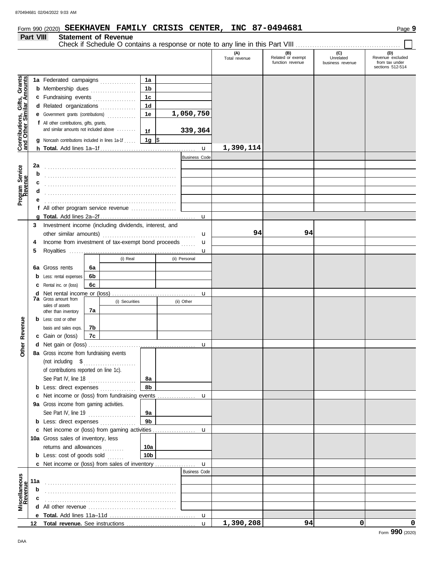## Form 990 (2020) SEEKHAVEN FAMILY CRISIS CENTER, INC 87-0494681 Page 9

Check if Schedule O contains a response or note to any line in this Part VIII.

## **Part VIII Statement of Revenue**

#### **(A) (B) (C) (D)** Total revenue Related or exempt Unrelated Revenue excluded function revenue business revenue from tax under sections 512-514 Gifts, Grants<br>illar Amounts **Contributions, Gifts, Grants and Other Similar Amounts 1a 1a** Federated campaigns **. . . . . . . . . . . . 1b b** Membership dues . . . . . . . . . . . . . . . . **1c c** Fundraising events . . . . . . . . . . . . . . . . **1d d** Related organizations ................ **1,050,750 1e** Contributions,<br>and Other Sim **e** Government grants (contributions) . . . . . . . . . . . . **f** All other contributions, gifts, grants, and similar amounts not included above ........ **339,364 1f 1g g** Noncash contributions included in lines 1a-1f . . . . .  $\frac{\$}{\$}$ **1,390,114** u **h Total.** Add lines 1a–1f . . . . . . . . . . . . . . . . . . . . . . . . . . . . . . . . . . . . . . . . Business Code Program Service<br>Revenue **2a Program Service** . . . . . . . . . . . . . . . . . . . . . . . . . . . . . . . . . . . . . . . . . . . . . . . . . . . . . . . **b c** . . . . . . . . . . . . . . . . . . . . . . . . . . . . . . . . . . . . . . . . . . . . . . . . . . . . . . . **d** . . . . . . . . . . . . . . . . . . . . . . . . . . . . . . . . . . . . . . . . . . . . . . . . . . . . . . . **e** . . . . . . . . . . . . . . . . . . . . . . . . . . . . . . . . . . . . . . . . . . . . . . . . . . . . . . . **f** All other program service revenue . . . . . . . . . . . . . . . . . . . **g Total.** Add lines 2a–2f . . . . . . . . . . . . . . . . . . . . . . . . . . . . . . . . . . . . . . . . u **3** Investment income (including dividends, interest, and **94 94** other similar amounts) . . . . . . . . . . . . . . . . . . . . . . . . . . . . . . . . . . . . . . . u u **4** Income from investment of tax-exempt bond proceeds ...... **5** Royalties ..... u (i) Real (ii) Personal **6a 6a** Gross rents **6b b** Less: rental expenses **6c c** Rental inc. or (loss) **d** Net rental income or (loss) . . . . . . . . . . . . . . . . . . . . . . . . . . . . . . . . . . . u **7a** Gross amount from (i) Securities (ii) Other sales of assets **7a** other than inventory Revenue **b** Less: cost or other **Other Revenue** basis and sales exps. **7b 7c c** Gain or (loss) **Other d** u Net gain or (loss) . . . . . . . . . . . . . . . . . . . . . . . . . . . . . . . . . . . . . . . . . . . . . **8a** Gross income from fundraising events (not including \$ . . . . . . . . . . . . . . . . . . . . . . of contributions reported on line 1c). See Part IV, line 18 . . . . . . . . . . . . . . . . . . . . **8a 8b b** Less: direct expenses ................ u **c** Net income or (loss) from fundraising events ................ **9a** Gross income from gaming activities. See Part IV, line 19 . . . . . . . . . . . . . . . . . . . . **9a 9b b** Less: direct expenses ............... u Net income or (loss) from gaming activities . . . . . . . . . . . . . . . . . . **c** 10a Gross sales of inventory, less returns and allowances . . . . . . . . **10a 10b b** Less: cost of goods sold ...... **c** Net income or (loss) from sales of inventory ................ u Business Code **Scellaneous**<br>Revenue **Miscellaneous 11a** . . . . . . . . . . . . . . . . . . . . . . . . . . . . . . . . . . . . . . . . . . . . . . . . . . . . . . . **b** . . . . . . . . . . . . . . . . . . . . . . . . . . . . . . . . . . . . . . . . . . . . . . . . . . . . . . . **c d** All other revenue . . . . . . . . . . . . . . . . . . . . . . . . . . . . . . . . . . . . . **Total.** Add lines 11a-11d u **e 1,390,208 94 0 0** Total revenue. See instructions **12** u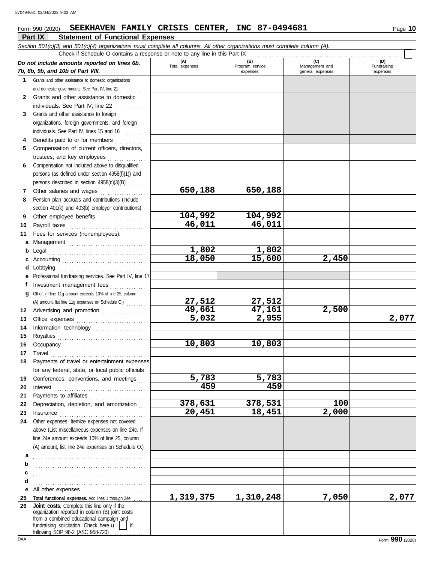### **Part IX Statement of Functional Expenses Form 990 (2020) SEEKHAVEN FAMILY CRISIS CENTER, INC 87-0494681** Page 10

|             | URRUITUIN UI I UNUUUNU LAPUNSUS                                                                                            |                       |                                    |                                           |                                |
|-------------|----------------------------------------------------------------------------------------------------------------------------|-----------------------|------------------------------------|-------------------------------------------|--------------------------------|
|             | Section 501(c)(3) and 501(c)(4) organizations must complete all columns. All other organizations must complete column (A). |                       |                                    |                                           |                                |
|             | Check if Schedule O contains a response or note to any line in this Part IX                                                |                       |                                    |                                           |                                |
|             | Do not include amounts reported on lines 6b,<br>7b, 8b, 9b, and 10b of Part VIII.                                          | (A)<br>Total expenses | (B)<br>Program service<br>expenses | (C)<br>Management and<br>general expenses | (D)<br>Fundraising<br>expenses |
| $\mathbf 1$ | Grants and other assistance to domestic organizations                                                                      |                       |                                    |                                           |                                |
|             | and domestic governments. See Part IV, line 21                                                                             |                       |                                    |                                           |                                |
| 2           | Grants and other assistance to domestic                                                                                    |                       |                                    |                                           |                                |
|             | individuals. See Part IV, line 22                                                                                          |                       |                                    |                                           |                                |
| 3           | Grants and other assistance to foreign                                                                                     |                       |                                    |                                           |                                |
|             | organizations, foreign governments, and foreign<br>individuals. See Part IV, lines 15 and 16                               |                       |                                    |                                           |                                |
| 4           | Benefits paid to or for members                                                                                            |                       |                                    |                                           |                                |
| 5.          | Compensation of current officers, directors,                                                                               |                       |                                    |                                           |                                |
|             | trustees, and key employees                                                                                                |                       |                                    |                                           |                                |
| 6           | Compensation not included above to disqualified                                                                            |                       |                                    |                                           |                                |
|             | persons (as defined under section 4958(f)(1)) and                                                                          |                       |                                    |                                           |                                |
|             | persons described in section 4958(c)(3)(B)                                                                                 |                       |                                    |                                           |                                |
| 7           | Other salaries and wages<br>.                                                                                              | 650,188               | 650,188                            |                                           |                                |
| 8           | Pension plan accruals and contributions (include                                                                           |                       |                                    |                                           |                                |
|             | section 401(k) and 403(b) employer contributions)                                                                          |                       |                                    |                                           |                                |
| 9           |                                                                                                                            | 104,992               | 104,992                            |                                           |                                |
| 10          |                                                                                                                            | 46,011                | 46,011                             |                                           |                                |
| 11          | Fees for services (nonemployees):                                                                                          |                       |                                    |                                           |                                |
| а           |                                                                                                                            |                       |                                    |                                           |                                |
| b           |                                                                                                                            | 1,802                 | 1,802                              |                                           |                                |
| c           |                                                                                                                            | 18,050                | 15,600                             | 2,450                                     |                                |
| d           |                                                                                                                            |                       |                                    |                                           |                                |
| е           | Professional fundraising services. See Part IV, line 17                                                                    |                       |                                    |                                           |                                |
| f           | Investment management fees                                                                                                 |                       |                                    |                                           |                                |
| a           | Other. (If line 11g amount exceeds 10% of line 25, column                                                                  |                       |                                    |                                           |                                |
|             | (A) amount, list line 11g expenses on Schedule O.)                                                                         | 27,512                | 27,512                             |                                           |                                |
| 12          | Advertising and promotion                                                                                                  | 49,661                | 47,161                             | 2,500                                     |                                |
| 13          |                                                                                                                            | 5,032                 | 2,955                              |                                           | 2,077                          |
| 14          | Information technology                                                                                                     |                       |                                    |                                           |                                |
| 15          |                                                                                                                            |                       |                                    |                                           |                                |
| 16          |                                                                                                                            | 10,803                | 10,803                             |                                           |                                |
| 17          | Travel                                                                                                                     |                       |                                    |                                           |                                |
| 18          | Payments of travel or entertainment expenses                                                                               |                       |                                    |                                           |                                |
|             | for any federal, state, or local public officials<br>Conferences, conventions, and meetings                                | 5,783                 | 5,783                              |                                           |                                |
| 19<br>20    | Interest                                                                                                                   | 459                   | 459                                |                                           |                                |
| 21          | Payments to affiliates                                                                                                     |                       |                                    |                                           |                                |
| 22          | Depreciation, depletion, and amortization                                                                                  | 378,631               | 378,531                            | 100                                       |                                |
| 23          |                                                                                                                            | 20,451                | 18,451                             | 2,000                                     |                                |
| 24          | Other expenses. Itemize expenses not covered                                                                               |                       |                                    |                                           |                                |
|             | above (List miscellaneous expenses on line 24e. If                                                                         |                       |                                    |                                           |                                |
|             | line 24e amount exceeds 10% of line 25, column                                                                             |                       |                                    |                                           |                                |
|             | (A) amount, list line 24e expenses on Schedule O.)                                                                         |                       |                                    |                                           |                                |
| а           |                                                                                                                            |                       |                                    |                                           |                                |
| b           |                                                                                                                            |                       |                                    |                                           |                                |
| c           |                                                                                                                            |                       |                                    |                                           |                                |
| d           |                                                                                                                            |                       |                                    |                                           |                                |
| е           | All other expenses                                                                                                         |                       |                                    |                                           |                                |
| 25          | Total functional expenses. Add lines 1 through 24e                                                                         | 1,319,375             | 1,310,248                          | 7,050                                     | 2,077                          |
| 26          | Joint costs. Complete this line only if the<br>organization reported in column (B) joint costs                             |                       |                                    |                                           |                                |
|             | from a combined educational campaign and                                                                                   |                       |                                    |                                           |                                |
|             | fundraising solicitation. Check here u<br>if                                                                               |                       |                                    |                                           |                                |

following SOP 98-2 (ASC 958-720) . . . . . . . . . . . . .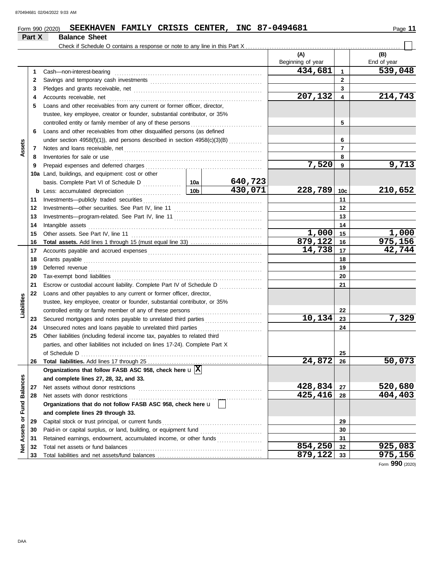|                         |        | SEEKHAVEN FAMILY CRISIS CENTER, INC 87-0494681<br>Form 990 (2020)                                                                                                                                                                    |                                                                           |         |                   |                | Page 11                   |  |  |  |  |
|-------------------------|--------|--------------------------------------------------------------------------------------------------------------------------------------------------------------------------------------------------------------------------------------|---------------------------------------------------------------------------|---------|-------------------|----------------|---------------------------|--|--|--|--|
|                         | Part X | <b>Balance Sheet</b>                                                                                                                                                                                                                 |                                                                           |         |                   |                |                           |  |  |  |  |
|                         |        |                                                                                                                                                                                                                                      |                                                                           |         | (A)               |                | (B)                       |  |  |  |  |
|                         |        |                                                                                                                                                                                                                                      |                                                                           |         | Beginning of year |                | End of year               |  |  |  |  |
|                         | 1.     | Cash-non-interest-bearing                                                                                                                                                                                                            |                                                                           |         | 434,681           | $\mathbf{1}$   | 539,048                   |  |  |  |  |
|                         | 2      |                                                                                                                                                                                                                                      |                                                                           |         |                   | $\mathbf{2}$   |                           |  |  |  |  |
|                         | 3      |                                                                                                                                                                                                                                      |                                                                           |         | 3                 |                |                           |  |  |  |  |
|                         | 4      |                                                                                                                                                                                                                                      |                                                                           |         | 207,132           | 4              | 214,743                   |  |  |  |  |
|                         | 5      |                                                                                                                                                                                                                                      | Loans and other receivables from any current or former officer, director, |         |                   |                |                           |  |  |  |  |
|                         |        | trustee, key employee, creator or founder, substantial contributor, or 35%                                                                                                                                                           |                                                                           |         |                   |                |                           |  |  |  |  |
|                         |        | controlled entity or family member of any of these persons                                                                                                                                                                           |                                                                           | 5       |                   |                |                           |  |  |  |  |
|                         | 6      | Loans and other receivables from other disqualified persons (as defined                                                                                                                                                              |                                                                           |         |                   |                |                           |  |  |  |  |
|                         |        | under section 4958(f)(1)), and persons described in section 4958(c)(3)(B)                                                                                                                                                            |                                                                           |         |                   | 6              |                           |  |  |  |  |
| Assets                  | 7      |                                                                                                                                                                                                                                      |                                                                           |         |                   | $\overline{7}$ |                           |  |  |  |  |
|                         | 8      | Inventories for sale or use                                                                                                                                                                                                          |                                                                           |         |                   | 8              |                           |  |  |  |  |
|                         | 9      |                                                                                                                                                                                                                                      |                                                                           |         | 7,520             | 9              | 9,713                     |  |  |  |  |
|                         |        | 10a Land, buildings, and equipment: cost or other                                                                                                                                                                                    |                                                                           |         |                   |                |                           |  |  |  |  |
|                         |        |                                                                                                                                                                                                                                      |                                                                           | 640,723 |                   |                |                           |  |  |  |  |
|                         |        | <b>b</b> Less: accumulated depreciation                                                                                                                                                                                              | 10 <sub>b</sub>                                                           | 430,071 | 228,789           | 10c            | 210,652                   |  |  |  |  |
|                         | 11     |                                                                                                                                                                                                                                      |                                                                           |         |                   | 11             |                           |  |  |  |  |
|                         | 12     |                                                                                                                                                                                                                                      |                                                                           |         |                   | 12             |                           |  |  |  |  |
|                         | 13     |                                                                                                                                                                                                                                      |                                                                           | 13      |                   |                |                           |  |  |  |  |
|                         | 14     | Intangible assets                                                                                                                                                                                                                    |                                                                           |         |                   | 14             |                           |  |  |  |  |
|                         | 15     |                                                                                                                                                                                                                                      |                                                                           |         | 1,000             | 15             | 1,000                     |  |  |  |  |
|                         | 16     |                                                                                                                                                                                                                                      |                                                                           |         | 879,122           | 16             | 975,156                   |  |  |  |  |
|                         | 17     |                                                                                                                                                                                                                                      |                                                                           |         | 14,738            | 17             | 42,744                    |  |  |  |  |
|                         | 18     | Grants payable                                                                                                                                                                                                                       |                                                                           |         |                   | 18             |                           |  |  |  |  |
|                         | 19     | Deferred revenue <b>contract and the contract of the contract of the contract of the contract of the contract of the contract of the contract of the contract of the contract of the contract of the contract of the contract of</b> |                                                                           |         |                   | 19             |                           |  |  |  |  |
|                         | 20     |                                                                                                                                                                                                                                      |                                                                           |         |                   | 20             |                           |  |  |  |  |
|                         | 21     | Escrow or custodial account liability. Complete Part IV of Schedule D                                                                                                                                                                |                                                                           |         |                   | 21             |                           |  |  |  |  |
|                         | 22     | Loans and other payables to any current or former officer, director,                                                                                                                                                                 |                                                                           |         |                   |                |                           |  |  |  |  |
| Liabilities             |        | trustee, key employee, creator or founder, substantial contributor, or 35%<br>controlled entity or family member of any of these persons                                                                                             |                                                                           |         |                   | 22             |                           |  |  |  |  |
|                         | 23     | Secured mortgages and notes payable to unrelated third parties                                                                                                                                                                       |                                                                           |         | 10,134            | 23             | 7,329                     |  |  |  |  |
|                         |        | 24 Unsecured notes and loans payable to unrelated third parties                                                                                                                                                                      |                                                                           |         |                   | 24             |                           |  |  |  |  |
|                         | 25     | Other liabilities (including federal income tax, payables to related third                                                                                                                                                           |                                                                           | .       |                   |                |                           |  |  |  |  |
|                         |        | parties, and other liabilities not included on lines 17-24). Complete Part X                                                                                                                                                         |                                                                           |         |                   |                |                           |  |  |  |  |
|                         |        | of Schedule D                                                                                                                                                                                                                        |                                                                           |         |                   | 25             |                           |  |  |  |  |
|                         | 26     |                                                                                                                                                                                                                                      |                                                                           |         | 24,872            | 26             | 50,073                    |  |  |  |  |
|                         |        | Organizations that follow FASB ASC 958, check here $\mathbf{u}$ $\overline{\mathbf{X}}$                                                                                                                                              |                                                                           |         |                   |                |                           |  |  |  |  |
|                         |        | and complete lines 27, 28, 32, and 33.                                                                                                                                                                                               |                                                                           |         |                   |                |                           |  |  |  |  |
|                         | 27     | Net assets without donor restrictions                                                                                                                                                                                                |                                                                           |         | 428,834           | 27             | 520,680                   |  |  |  |  |
|                         | 28     | Net assets with donor restrictions                                                                                                                                                                                                   |                                                                           |         | 425,416           | 28             | 404,403                   |  |  |  |  |
|                         |        |                                                                                                                                                                                                                                      | Organizations that do not follow FASB ASC 958, check here u               |         |                   |                |                           |  |  |  |  |
|                         |        | and complete lines 29 through 33.                                                                                                                                                                                                    |                                                                           |         |                   |                |                           |  |  |  |  |
| Assets or Fund Balances | 29     | Capital stock or trust principal, or current funds                                                                                                                                                                                   |                                                                           | 29      |                   |                |                           |  |  |  |  |
|                         | 30     |                                                                                                                                                                                                                                      |                                                                           |         |                   | 30             |                           |  |  |  |  |
|                         | 31     | Retained earnings, endowment, accumulated income, or other funds                                                                                                                                                                     |                                                                           |         |                   | 31             |                           |  |  |  |  |
| $\frac{1}{2}$           | 32     |                                                                                                                                                                                                                                      |                                                                           |         | 854,250           | 32             | $\frac{925,083}{275,055}$ |  |  |  |  |
|                         |        |                                                                                                                                                                                                                                      |                                                                           |         |                   |                |                           |  |  |  |  |

**854,250 925,083 879,122 975,156**

Total liabilities and net assets/fund balances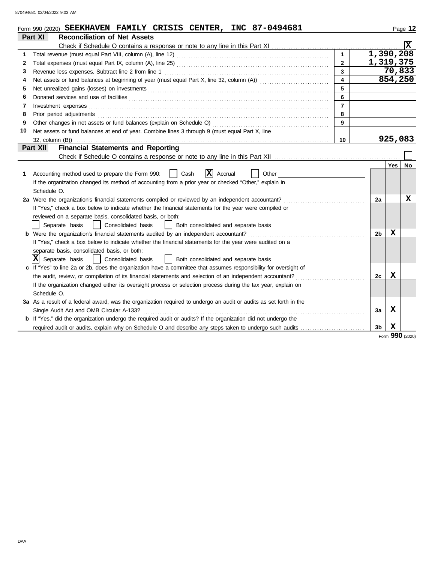870494681 02/04/2022 9:03 AM

|    | $_{\mathsf{Form}}$ 990 (2020) SEEKHAVEN FAMILY CRISIS CENTER, INC 87-0494681                                          |           |                 | Page 12 |  |
|----|-----------------------------------------------------------------------------------------------------------------------|-----------|-----------------|---------|--|
|    | Part XI<br><b>Reconciliation of Net Assets</b>                                                                        |           |                 |         |  |
|    |                                                                                                                       |           |                 |         |  |
| 1. | $\mathbf{1}$                                                                                                          | 1,390,208 |                 |         |  |
| 2  | $\overline{2}$                                                                                                        |           | 1,319,375       |         |  |
| 3  | 3<br>Revenue less expenses. Subtract line 2 from line 1                                                               |           | 70,833          |         |  |
| 4  | 4                                                                                                                     |           | 854,250         |         |  |
| 5  | 5                                                                                                                     |           |                 |         |  |
| 6  | 6                                                                                                                     |           |                 |         |  |
| 7  | $\overline{7}$<br>Investment expenses                                                                                 |           |                 |         |  |
| 8  | 8<br>Prior period adjustments                                                                                         |           |                 |         |  |
| 9  | 9                                                                                                                     |           |                 |         |  |
| 10 | Net assets or fund balances at end of year. Combine lines 3 through 9 (must equal Part X, line                        |           |                 |         |  |
|    | 10                                                                                                                    |           | 925,083         |         |  |
|    | <b>Financial Statements and Reporting</b><br>Part XII                                                                 |           |                 |         |  |
|    |                                                                                                                       |           |                 |         |  |
|    |                                                                                                                       |           | Yes             | No      |  |
| 1. | <u>IXI</u><br>Accounting method used to prepare the Form 990:<br>Cash<br>Accrual<br>Other                             |           |                 |         |  |
|    | If the organization changed its method of accounting from a prior year or checked "Other," explain in                 |           |                 |         |  |
|    | Schedule O.                                                                                                           |           |                 |         |  |
|    | 2a Were the organization's financial statements compiled or reviewed by an independent accountant?                    | 2a        |                 | x       |  |
|    | If "Yes," check a box below to indicate whether the financial statements for the year were compiled or                |           |                 |         |  |
|    | reviewed on a separate basis, consolidated basis, or both:                                                            |           |                 |         |  |
|    | Separate basis<br>Consolidated basis<br>Both consolidated and separate basis                                          |           |                 |         |  |
|    | <b>b</b> Were the organization's financial statements audited by an independent accountant?                           | 2b        | X               |         |  |
|    | If "Yes," check a box below to indicate whether the financial statements for the year were audited on a               |           |                 |         |  |
|    | separate basis, consolidated basis, or both:                                                                          |           |                 |         |  |
|    | $ \mathbf{X} $ Separate basis<br>Both consolidated and separate basis<br>Consolidated basis                           |           |                 |         |  |
|    | c If "Yes" to line 2a or 2b, does the organization have a committee that assumes responsibility for oversight of      |           |                 |         |  |
|    | the audit, review, or compilation of its financial statements and selection of an independent accountant?             | 2c        | X               |         |  |
|    | If the organization changed either its oversight process or selection process during the tax year, explain on         |           |                 |         |  |
|    | Schedule O.                                                                                                           |           |                 |         |  |
|    | 3a As a result of a federal award, was the organization required to undergo an audit or audits as set forth in the    |           |                 |         |  |
|    | Single Audit Act and OMB Circular A-133?                                                                              | 3a        | X               |         |  |
|    | <b>b</b> If "Yes," did the organization undergo the required audit or audits? If the organization did not undergo the |           |                 |         |  |
|    | required audit or audits, explain why on Schedule O and describe any steps taken to undergo such audits               | 3b        | x               |         |  |
|    |                                                                                                                       |           | Form 990 (2020) |         |  |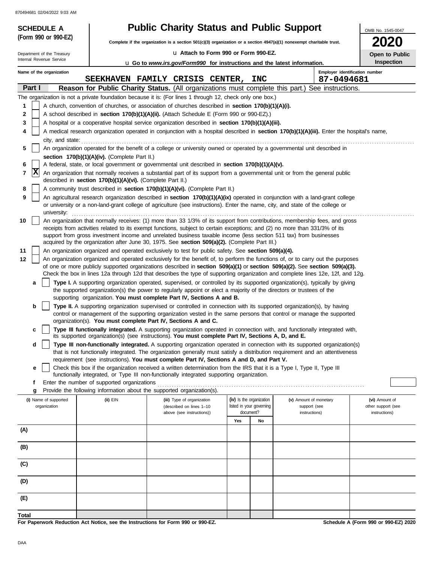870494681 02/04/2022 9:03 AM

| <b>SCHEDULE A</b>          |                                                            | <b>Public Charity Status and Public Support</b>                                                                                                                                                                                                     |     |                                       |                               | OMB No. 1545-0047                   |
|----------------------------|------------------------------------------------------------|-----------------------------------------------------------------------------------------------------------------------------------------------------------------------------------------------------------------------------------------------------|-----|---------------------------------------|-------------------------------|-------------------------------------|
| (Form 990 or 990-EZ)       |                                                            | Complete if the organization is a section $501(c)(3)$ organization or a section $4947(a)(1)$ nonexempt charitable trust.                                                                                                                            |     |                                       |                               |                                     |
| Department of the Treasury |                                                            | La Attach to Form 990 or Form 990-EZ.                                                                                                                                                                                                               |     |                                       |                               | Open to Public                      |
| Internal Revenue Service   |                                                            | <b>u</b> Go to www.irs.gov/Form990 for instructions and the latest information.                                                                                                                                                                     |     |                                       |                               | Inspection                          |
| Name of the organization   |                                                            |                                                                                                                                                                                                                                                     |     |                                       |                               | Employer identification number      |
|                            |                                                            | SEEKHAVEN FAMILY CRISIS CENTER,                                                                                                                                                                                                                     |     | <b>INC</b>                            | 87-0494681                    |                                     |
| Part I                     |                                                            | Reason for Public Charity Status. (All organizations must complete this part.) See instructions.                                                                                                                                                    |     |                                       |                               |                                     |
|                            |                                                            | The organization is not a private foundation because it is: (For lines 1 through 12, check only one box.)                                                                                                                                           |     |                                       |                               |                                     |
| 1                          |                                                            | A church, convention of churches, or association of churches described in section 170(b)(1)(A)(i).                                                                                                                                                  |     |                                       |                               |                                     |
| 2                          |                                                            | A school described in section 170(b)(1)(A)(ii). (Attach Schedule E (Form 990 or 990-EZ).)                                                                                                                                                           |     |                                       |                               |                                     |
| 3                          |                                                            | A hospital or a cooperative hospital service organization described in section 170(b)(1)(A)(iii).                                                                                                                                                   |     |                                       |                               |                                     |
| 4                          |                                                            | A medical research organization operated in conjunction with a hospital described in section 170(b)(1)(A)(iii). Enter the hospital's name,                                                                                                          |     |                                       |                               |                                     |
| 5                          |                                                            | city, and state:<br>An organization operated for the benefit of a college or university owned or operated by a governmental unit described in                                                                                                       |     |                                       |                               |                                     |
|                            | section 170(b)(1)(A)(iv). (Complete Part II.)              |                                                                                                                                                                                                                                                     |     |                                       |                               |                                     |
| 6                          |                                                            | A federal, state, or local government or governmental unit described in section 170(b)(1)(A)(v).                                                                                                                                                    |     |                                       |                               |                                     |
| x<br>7                     |                                                            | An organization that normally receives a substantial part of its support from a governmental unit or from the general public                                                                                                                        |     |                                       |                               |                                     |
| 8                          | described in section 170(b)(1)(A)(vi). (Complete Part II.) | A community trust described in section 170(b)(1)(A)(vi). (Complete Part II.)                                                                                                                                                                        |     |                                       |                               |                                     |
| 9                          |                                                            | An agricultural research organization described in section 170(b)(1)(A)(ix) operated in conjunction with a land-grant college                                                                                                                       |     |                                       |                               |                                     |
| university:                |                                                            | or university or a non-land-grant college of agriculture (see instructions). Enter the name, city, and state of the college or                                                                                                                      |     |                                       |                               |                                     |
| 10                         |                                                            | An organization that normally receives: (1) more than 33 1/3% of its support from contributions, membership fees, and gross                                                                                                                         |     |                                       |                               |                                     |
|                            |                                                            | receipts from activities related to its exempt functions, subject to certain exceptions; and (2) no more than 331/3% of its                                                                                                                         |     |                                       |                               |                                     |
|                            |                                                            | support from gross investment income and unrelated business taxable income (less section 511 tax) from businesses                                                                                                                                   |     |                                       |                               |                                     |
| 11                         |                                                            | acquired by the organization after June 30, 1975. See section 509(a)(2). (Complete Part III.)<br>An organization organized and operated exclusively to test for public safety. See section 509(a)(4).                                               |     |                                       |                               |                                     |
| 12                         |                                                            | An organization organized and operated exclusively for the benefit of, to perform the functions of, or to carry out the purposes                                                                                                                    |     |                                       |                               |                                     |
|                            |                                                            | of one or more publicly supported organizations described in section 509(a)(1) or section 509(a)(2). See section 509(a)(3).                                                                                                                         |     |                                       |                               |                                     |
|                            |                                                            | Check the box in lines 12a through 12d that describes the type of supporting organization and complete lines 12e, 12f, and 12g.                                                                                                                     |     |                                       |                               |                                     |
| a                          |                                                            | Type I. A supporting organization operated, supervised, or controlled by its supported organization(s), typically by giving<br>the supported organization(s) the power to regularly appoint or elect a majority of the directors or trustees of the |     |                                       |                               |                                     |
|                            |                                                            | supporting organization. You must complete Part IV, Sections A and B.                                                                                                                                                                               |     |                                       |                               |                                     |
| b                          |                                                            | Type II. A supporting organization supervised or controlled in connection with its supported organization(s), by having                                                                                                                             |     |                                       |                               |                                     |
|                            |                                                            | control or management of the supporting organization vested in the same persons that control or manage the supported                                                                                                                                |     |                                       |                               |                                     |
|                            |                                                            | organization(s). You must complete Part IV, Sections A and C.                                                                                                                                                                                       |     |                                       |                               |                                     |
| c                          |                                                            | Type III functionally integrated. A supporting organization operated in connection with, and functionally integrated with,<br>its supported organization(s) (see instructions). You must complete Part IV, Sections A, D, and E.                    |     |                                       |                               |                                     |
| d                          |                                                            | Type III non-functionally integrated. A supporting organization operated in connection with its supported organization(s)                                                                                                                           |     |                                       |                               |                                     |
|                            |                                                            | that is not functionally integrated. The organization generally must satisfy a distribution requirement and an attentiveness                                                                                                                        |     |                                       |                               |                                     |
|                            |                                                            | requirement (see instructions). You must complete Part IV, Sections A and D, and Part V.                                                                                                                                                            |     |                                       |                               |                                     |
| е                          |                                                            | Check this box if the organization received a written determination from the IRS that it is a Type I, Type II, Type III<br>functionally integrated, or Type III non-functionally integrated supporting organization.                                |     |                                       |                               |                                     |
| f                          | Enter the number of supported organizations                |                                                                                                                                                                                                                                                     |     |                                       |                               |                                     |
| g                          |                                                            | Provide the following information about the supported organization(s).                                                                                                                                                                              |     |                                       |                               |                                     |
| (i) Name of supported      | (ii) EIN                                                   | (iii) Type of organization                                                                                                                                                                                                                          |     | (iv) Is the organization              | (v) Amount of monetary        | (vi) Amount of                      |
| organization               |                                                            | (described on lines 1-10<br>above (see instructions))                                                                                                                                                                                               |     | listed in your governing<br>document? | support (see<br>instructions) | other support (see<br>instructions) |
|                            |                                                            |                                                                                                                                                                                                                                                     | Yes | No                                    |                               |                                     |
| (A)                        |                                                            |                                                                                                                                                                                                                                                     |     |                                       |                               |                                     |
|                            |                                                            |                                                                                                                                                                                                                                                     |     |                                       |                               |                                     |
| (B)                        |                                                            |                                                                                                                                                                                                                                                     |     |                                       |                               |                                     |
| (C)                        |                                                            |                                                                                                                                                                                                                                                     |     |                                       |                               |                                     |
| (D)                        |                                                            |                                                                                                                                                                                                                                                     |     |                                       |                               |                                     |
| (E)                        |                                                            |                                                                                                                                                                                                                                                     |     |                                       |                               |                                     |
| Total                      |                                                            |                                                                                                                                                                                                                                                     |     |                                       |                               |                                     |
|                            |                                                            |                                                                                                                                                                                                                                                     |     |                                       |                               |                                     |

**For Paperwork Reduction Act Notice, see the Instructions for Form 990 or 990-EZ.**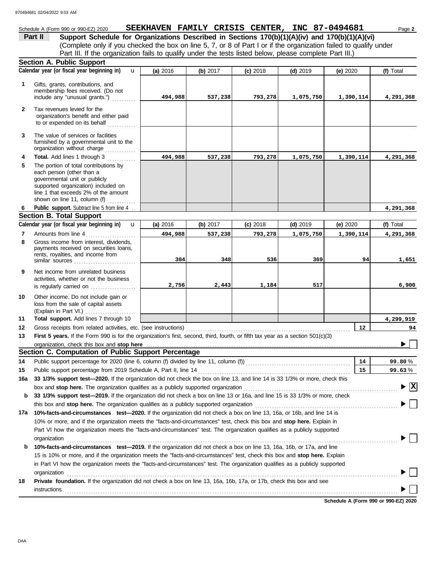## Schedule A (Form 990 or 990-EZ) 2020 **SEEKHAVEN FAMILY CRISIS CENTER, INC 87-0494681** Page 2

| Part II | Support Schedule for Organizations Described in Sections 170(b)(1)(A)(iv) and 170(b)(1)(A)(vi)                    |
|---------|-------------------------------------------------------------------------------------------------------------------|
|         | (Complete only if you checked the box on line 5, 7, or 8 of Part I or if the organization failed to qualify under |
|         | Part III. If the organization fails to qualify under the tests listed below, please complete Part III.)           |

|              | Section A. Public Support                                                                                                                                                                                                                                                                                                                                                           |          |            |            |            |           |                                           |
|--------------|-------------------------------------------------------------------------------------------------------------------------------------------------------------------------------------------------------------------------------------------------------------------------------------------------------------------------------------------------------------------------------------|----------|------------|------------|------------|-----------|-------------------------------------------|
|              | Calendar year (or fiscal year beginning in)<br>$\mathbf{u}$                                                                                                                                                                                                                                                                                                                         | (a) 2016 | (b) $2017$ | $(c)$ 2018 | $(d)$ 2019 | (e) 2020  | (f) Total                                 |
| 1            | Gifts, grants, contributions, and<br>membership fees received. (Do not<br>include any "unusual grants.")                                                                                                                                                                                                                                                                            | 494,988  | 537,238    | 793,278    | 1,075,750  | 1,390,114 | 4,291,368                                 |
| $\mathbf{2}$ | Tax revenues levied for the<br>organization's benefit and either paid<br>to or expended on its behalf                                                                                                                                                                                                                                                                               |          |            |            |            |           |                                           |
| 3            | The value of services or facilities<br>furnished by a governmental unit to the<br>organization without charge                                                                                                                                                                                                                                                                       |          |            |            |            |           |                                           |
| 4            | Total. Add lines 1 through 3                                                                                                                                                                                                                                                                                                                                                        | 494,988  | 537,238    | 793,278    | 1,075,750  | 1,390,114 | 4,291,368                                 |
| 5            | The portion of total contributions by<br>each person (other than a<br>governmental unit or publicly<br>supported organization) included on<br>line 1 that exceeds 2% of the amount<br>shown on line 11, column (f)<br><u>.</u><br>1986 - Paul Barbara, poeta                                                                                                                        |          |            |            |            |           |                                           |
| 6            | Public support. Subtract line 5 from line 4                                                                                                                                                                                                                                                                                                                                         |          |            |            |            |           | 4,291,368                                 |
|              | <b>Section B. Total Support</b>                                                                                                                                                                                                                                                                                                                                                     |          |            |            |            |           |                                           |
|              | Calendar year (or fiscal year beginning in)<br>$\mathbf{u}$                                                                                                                                                                                                                                                                                                                         | (a) 2016 | (b) 2017   | $(c)$ 2018 | $(d)$ 2019 | (e) 2020  | (f) Total                                 |
| 7            | Amounts from line 4                                                                                                                                                                                                                                                                                                                                                                 | 494,988  | 537,238    | 793,278    | 1,075,750  | 1,390,114 | 4,291,368                                 |
| 8            | Gross income from interest, dividends,<br>payments received on securities loans,<br>rents, royalties, and income from<br>similar sources                                                                                                                                                                                                                                            | 304      | 348        | 536        | 369        | 94        | 1,651                                     |
| 9            | Net income from unrelated business<br>activities, whether or not the business<br>is regularly carried on                                                                                                                                                                                                                                                                            | 2,756    | 2,443      | 1,184      | 517        |           | 6,900                                     |
| 10           | Other income. Do not include gain or<br>loss from the sale of capital assets<br>(Explain in Part VI.)                                                                                                                                                                                                                                                                               |          |            |            |            |           |                                           |
| 11           | Total support. Add lines 7 through 10                                                                                                                                                                                                                                                                                                                                               |          |            |            |            |           | 4,299,919                                 |
| 12           | Gross receipts from related activities, etc. (see instructions)                                                                                                                                                                                                                                                                                                                     |          |            |            |            | 12        | 94                                        |
| 13           | First 5 years. If the Form 990 is for the organization's first, second, third, fourth, or fifth tax year as a section 501(c)(3)                                                                                                                                                                                                                                                     |          |            |            |            |           |                                           |
|              | organization, check this box and stop here                                                                                                                                                                                                                                                                                                                                          |          |            |            |            |           |                                           |
|              | Section C. Computation of Public Support Percentage                                                                                                                                                                                                                                                                                                                                 |          |            |            |            |           |                                           |
| 14           | Public support percentage for 2020 (line 6, column (f) divided by line 11, column (f)) [[[[[[[[[[[[[[[[[[[[[[                                                                                                                                                                                                                                                                       |          |            |            |            | 14        | 99.80%                                    |
| 15           | Public support percentage from 2019 Schedule A, Part II, line 14                                                                                                                                                                                                                                                                                                                    |          |            |            |            | 15        | 99.63%                                    |
|              | 16a 33 1/3% support test-2020. If the organization did not check the box on line 13, and line 14 is 33 1/3% or more, check this<br>box and stop here. The organization qualifies as a publicly supported organization                                                                                                                                                               |          |            |            |            |           | $\blacktriangleright \overline{\text{X}}$ |
| b            | 33 1/3% support test-2019. If the organization did not check a box on line 13 or 16a, and line 15 is 33 1/3% or more, check                                                                                                                                                                                                                                                         |          |            |            |            |           |                                           |
|              |                                                                                                                                                                                                                                                                                                                                                                                     |          |            |            |            |           |                                           |
| 17a          | 10%-facts-and-circumstances test-2020. If the organization did not check a box on line 13, 16a, or 16b, and line 14 is                                                                                                                                                                                                                                                              |          |            |            |            |           |                                           |
|              | 10% or more, and if the organization meets the "facts-and-circumstances" test, check this box and stop here. Explain in<br>Part VI how the organization meets the "facts-and-circumstances" test. The organization qualifies as a publicly supported<br>organization                                                                                                                |          |            |            |            |           |                                           |
| b            | 10%-facts-and-circumstances test-2019. If the organization did not check a box on line 13, 16a, 16b, or 17a, and line<br>15 is 10% or more, and if the organization meets the "facts-and-circumstances" test, check this box and stop here. Explain<br>in Part VI how the organization meets the "facts-and-circumstances" test. The organization qualifies as a publicly supported |          |            |            |            |           |                                           |
| 18           | organization<br>Private foundation. If the organization did not check a box on line 13, 16a, 16b, 17a, or 17b, check this box and see<br>instructions                                                                                                                                                                                                                               |          |            |            |            |           |                                           |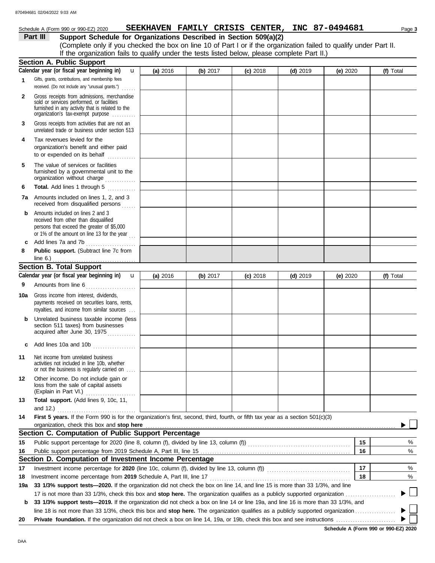## Schedule A (Form 990 or 990-EZ) 2020 **SEEKHAVEN FAMILY CRISIS CENTER, INC 87-0494681** Page 3

## **Part III Support Schedule for Organizations Described in Section 509(a)(2)**

(Complete only if you checked the box on line 10 of Part I or if the organization failed to qualify under Part II. If the organization fails to qualify under the tests listed below, please complete Part II.)

|              | <b>Section A. Public Support</b>                                                                                                                                                                 |            |          |            |            |            |    |           |
|--------------|--------------------------------------------------------------------------------------------------------------------------------------------------------------------------------------------------|------------|----------|------------|------------|------------|----|-----------|
|              | Calendar year (or fiscal year beginning in)<br>u                                                                                                                                                 | (a) 2016   | (b) 2017 | $(c)$ 2018 | $(d)$ 2019 | (e) $2020$ |    | (f) Total |
| 1            | Gifts, grants, contributions, and membership fees<br>received. (Do not include any "unusual grants.")<br>.                                                                                       |            |          |            |            |            |    |           |
| $\mathbf{2}$ | Gross receipts from admissions, merchandise<br>sold or services performed, or facilities<br>furnished in any activity that is related to the<br>organization's tax-exempt purpose                |            |          |            |            |            |    |           |
| 3            | Gross receipts from activities that are not an<br>unrelated trade or business under section 513                                                                                                  |            |          |            |            |            |    |           |
| 4            | Tax revenues levied for the<br>organization's benefit and either paid<br>to or expended on its behalf<br>.                                                                                       |            |          |            |            |            |    |           |
| 5            | The value of services or facilities<br>furnished by a governmental unit to the<br>organization without charge with an area with an area with an area with an area with an area with an area with |            |          |            |            |            |    |           |
| 6            | Total. Add lines 1 through 5                                                                                                                                                                     |            |          |            |            |            |    |           |
|              | <b>7a</b> Amounts included on lines 1, 2, and 3<br>received from disqualified persons                                                                                                            |            |          |            |            |            |    |           |
| b            | Amounts included on lines 2 and 3<br>received from other than disqualified<br>persons that exceed the greater of \$5,000<br>or 1% of the amount on line 13 for the year                          |            |          |            |            |            |    |           |
| C            | Add lines 7a and 7b<br>.                                                                                                                                                                         |            |          |            |            |            |    |           |
| 8            | Public support. (Subtract line 7c from                                                                                                                                                           |            |          |            |            |            |    |           |
|              | line $6.$ )                                                                                                                                                                                      |            |          |            |            |            |    |           |
|              | <b>Section B. Total Support</b>                                                                                                                                                                  |            |          |            |            |            |    |           |
|              | Calendar year (or fiscal year beginning in)<br>$\mathbf{u}$                                                                                                                                      | (a) $2016$ | (b) 2017 | $(c)$ 2018 | $(d)$ 2019 | (e) $2020$ |    | (f) Total |
| 9            | Amounts from line 6                                                                                                                                                                              |            |          |            |            |            |    |           |
| 10a          | Gross income from interest, dividends,<br>payments received on securities loans, rents,<br>royalties, and income from similar sources                                                            |            |          |            |            |            |    |           |
| b            | Unrelated business taxable income (less<br>section 511 taxes) from businesses<br>acquired after June 30, 1975                                                                                    |            |          |            |            |            |    |           |
|              | c Add lines 10a and 10b                                                                                                                                                                          |            |          |            |            |            |    |           |
| 11           | Net income from unrelated business<br>activities not included in line 10b, whether<br>or not the business is regularly carried on                                                                |            |          |            |            |            |    |           |
| 12           | Other income. Do not include gain or<br>loss from the sale of capital assets<br>(Explain in Part VI.)                                                                                            |            |          |            |            |            |    |           |
| 13           | Total support. (Add lines 9, 10c, 11,                                                                                                                                                            |            |          |            |            |            |    |           |
|              | and 12.)                                                                                                                                                                                         |            |          |            |            |            |    |           |
| 14           | First 5 years. If the Form 990 is for the organization's first, second, third, fourth, or fifth tax year as a section 501(c)(3)                                                                  |            |          |            |            |            |    |           |
|              | organization, check this box and stop here                                                                                                                                                       |            |          |            |            |            |    |           |
|              | Section C. Computation of Public Support Percentage                                                                                                                                              |            |          |            |            |            |    |           |
| 15           | Public support percentage for 2020 (line 8, column (f), divided by line 13, column (f)) [[[[[[[[[[[[[[[[[[[[[                                                                                    |            |          |            |            |            | 15 | %         |
| 16           |                                                                                                                                                                                                  |            |          |            |            |            | 16 | %         |
|              | Section D. Computation of Investment Income Percentage                                                                                                                                           |            |          |            |            |            |    |           |
| 17           |                                                                                                                                                                                                  |            |          |            |            |            | 17 | %         |
| 18           | Investment income percentage from 2019 Schedule A, Part III, line 17                                                                                                                             |            |          |            |            |            | 18 | %         |
| 19a l        | 33 1/3% support tests-2020. If the organization did not check the box on line 14, and line 15 is more than 33 1/3%, and line                                                                     |            |          |            |            |            |    |           |
|              | 17 is not more than 33 1/3%, check this box and stop here. The organization qualifies as a publicly supported organization                                                                       |            |          |            |            |            |    |           |
| b            | 33 1/3% support tests-2019. If the organization did not check a box on line 14 or line 19a, and line 16 is more than 33 1/3%, and                                                                |            |          |            |            |            |    |           |
|              | line 18 is not more than 33 1/3%, check this box and stop here. The organization qualifies as a publicly supported organization <i>[1000]</i>                                                    |            |          |            |            |            |    |           |
| 20           |                                                                                                                                                                                                  |            |          |            |            |            |    |           |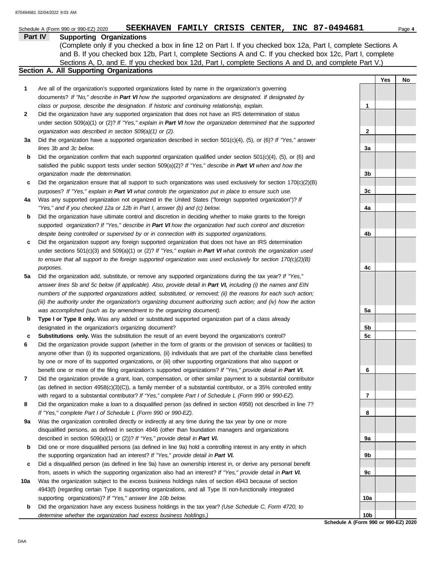|     | SEEKHAVEN FAMILY CRISIS CENTER, INC 87-0494681<br>Schedule A (Form 990 or 990-EZ) 2020                                                                                                                                                    |                 |     | Page 4 |
|-----|-------------------------------------------------------------------------------------------------------------------------------------------------------------------------------------------------------------------------------------------|-----------------|-----|--------|
|     | Part IV<br><b>Supporting Organizations</b>                                                                                                                                                                                                |                 |     |        |
|     | (Complete only if you checked a box in line 12 on Part I. If you checked box 12a, Part I, complete Sections A                                                                                                                             |                 |     |        |
|     | and B. If you checked box 12b, Part I, complete Sections A and C. If you checked box 12c, Part I, complete                                                                                                                                |                 |     |        |
|     | Sections A, D, and E. If you checked box 12d, Part I, complete Sections A and D, and complete Part V.)                                                                                                                                    |                 |     |        |
|     | Section A. All Supporting Organizations                                                                                                                                                                                                   |                 |     |        |
|     |                                                                                                                                                                                                                                           |                 | Yes | No     |
| 1   | Are all of the organization's supported organizations listed by name in the organization's governing                                                                                                                                      |                 |     |        |
|     | documents? If "No," describe in Part VI how the supported organizations are designated. If designated by                                                                                                                                  |                 |     |        |
|     | class or purpose, describe the designation. If historic and continuing relationship, explain.                                                                                                                                             | 1               |     |        |
| 2   | Did the organization have any supported organization that does not have an IRS determination of status                                                                                                                                    |                 |     |        |
|     | under section 509(a)(1) or (2)? If "Yes," explain in Part VI how the organization determined that the supported<br>organization was described in section 509(a)(1) or (2).                                                                | 2               |     |        |
| За  | Did the organization have a supported organization described in section $501(c)(4)$ , (5), or (6)? If "Yes," answer                                                                                                                       |                 |     |        |
|     | lines 3b and 3c below.                                                                                                                                                                                                                    | 3a              |     |        |
| b   | Did the organization confirm that each supported organization qualified under section $501(c)(4)$ , $(5)$ , or $(6)$ and                                                                                                                  |                 |     |        |
|     | satisfied the public support tests under section 509(a)(2)? If "Yes," describe in Part VI when and how the                                                                                                                                |                 |     |        |
|     | organization made the determination.                                                                                                                                                                                                      | 3b              |     |        |
| c   | Did the organization ensure that all support to such organizations was used exclusively for section $170(c)(2)(B)$                                                                                                                        |                 |     |        |
|     | purposes? If "Yes," explain in Part VI what controls the organization put in place to ensure such use.                                                                                                                                    | 3c              |     |        |
| 4a  | Was any supported organization not organized in the United States ("foreign supported organization")? If                                                                                                                                  |                 |     |        |
|     | "Yes," and if you checked 12a or 12b in Part I, answer (b) and (c) below.                                                                                                                                                                 | 4a              |     |        |
| b   | Did the organization have ultimate control and discretion in deciding whether to make grants to the foreign                                                                                                                               |                 |     |        |
|     | supported organization? If "Yes," describe in Part VI how the organization had such control and discretion                                                                                                                                |                 |     |        |
|     | despite being controlled or supervised by or in connection with its supported organizations.                                                                                                                                              | 4b              |     |        |
| c   | Did the organization support any foreign supported organization that does not have an IRS determination                                                                                                                                   |                 |     |        |
|     | under sections $501(c)(3)$ and $509(a)(1)$ or (2)? If "Yes," explain in Part VI what controls the organization used                                                                                                                       |                 |     |        |
|     | to ensure that all support to the foreign supported organization was used exclusively for section $170(c)(2)(B)$                                                                                                                          |                 |     |        |
|     | purposes.                                                                                                                                                                                                                                 | 4с              |     |        |
| 5a  | Did the organization add, substitute, or remove any supported organizations during the tax year? If "Yes,"                                                                                                                                |                 |     |        |
|     | answer lines 5b and 5c below (if applicable). Also, provide detail in Part VI, including (i) the names and EIN                                                                                                                            |                 |     |        |
|     | numbers of the supported organizations added, substituted, or removed; (ii) the reasons for each such action;                                                                                                                             |                 |     |        |
|     | (iii) the authority under the organization's organizing document authorizing such action; and (iv) how the action                                                                                                                         |                 |     |        |
|     | was accomplished (such as by amendment to the organizing document).                                                                                                                                                                       | 5а              |     |        |
| b   | Type I or Type II only. Was any added or substituted supported organization part of a class already                                                                                                                                       |                 |     |        |
|     | designated in the organization's organizing document?                                                                                                                                                                                     | 5b              |     |        |
| c   | <b>Substitutions only.</b> Was the substitution the result of an event beyond the organization's control?                                                                                                                                 | 5c              |     |        |
| 6   | Did the organization provide support (whether in the form of grants or the provision of services or facilities) to<br>anyone other than (i) its supported organizations, (ii) individuals that are part of the charitable class benefited |                 |     |        |
|     | by one or more of its supported organizations, or (iii) other supporting organizations that also support or                                                                                                                               |                 |     |        |
|     | benefit one or more of the filing organization's supported organizations? If "Yes," provide detail in Part VI.                                                                                                                            | 6               |     |        |
| 7   | Did the organization provide a grant, loan, compensation, or other similar payment to a substantial contributor                                                                                                                           |                 |     |        |
|     | (as defined in section $4958(c)(3)(C)$ ), a family member of a substantial contributor, or a 35% controlled entity                                                                                                                        |                 |     |        |
|     | with regard to a substantial contributor? If "Yes," complete Part I of Schedule L (Form 990 or 990-EZ).                                                                                                                                   | 7               |     |        |
| 8   | Did the organization make a loan to a disqualified person (as defined in section 4958) not described in line 7?                                                                                                                           |                 |     |        |
|     | If "Yes," complete Part I of Schedule L (Form 990 or 990-EZ).                                                                                                                                                                             | 8               |     |        |
| 9а  | Was the organization controlled directly or indirectly at any time during the tax year by one or more                                                                                                                                     |                 |     |        |
|     | disqualified persons, as defined in section 4946 (other than foundation managers and organizations                                                                                                                                        |                 |     |        |
|     | described in section 509(a)(1) or (2))? If "Yes," provide detail in Part VI.                                                                                                                                                              | 9а              |     |        |
| b   | Did one or more disqualified persons (as defined in line 9a) hold a controlling interest in any entity in which                                                                                                                           |                 |     |        |
|     | the supporting organization had an interest? If "Yes," provide detail in Part VI.                                                                                                                                                         | 9b              |     |        |
| c   | Did a disqualified person (as defined in line 9a) have an ownership interest in, or derive any personal benefit                                                                                                                           |                 |     |        |
|     | from, assets in which the supporting organization also had an interest? If "Yes," provide detail in Part VI.                                                                                                                              | 9c              |     |        |
| 10a | Was the organization subject to the excess business holdings rules of section 4943 because of section                                                                                                                                     |                 |     |        |
|     | 4943(f) (regarding certain Type II supporting organizations, and all Type III non-functionally integrated                                                                                                                                 |                 |     |        |
|     | supporting organizations)? If "Yes," answer line 10b below.                                                                                                                                                                               | 10a             |     |        |
| b   | Did the organization have any excess business holdings in the tax year? (Use Schedule C, Form 4720, to                                                                                                                                    |                 |     |        |
|     | determine whether the organization had excess business holdings.)                                                                                                                                                                         | 10 <sub>b</sub> |     |        |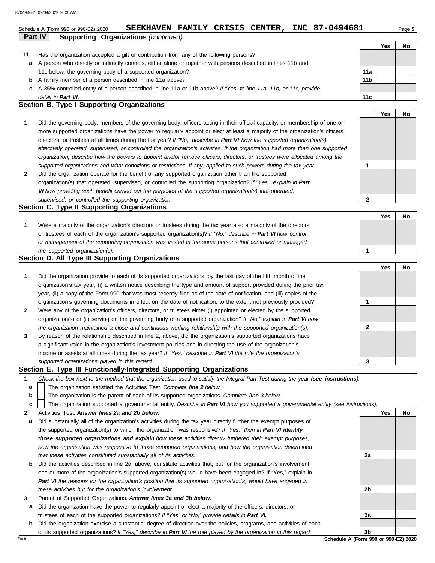#### **Part IV Supporting Organizations** *(continued)* Schedule A (Form 990 or 990-EZ) 2020 **SEEKHAVEN FAMILY CRISIS CENTER, INC 87-0494681** Page 5 **Yes No 1** directors, or trustees at all times during the tax year? *If "No," describe in Part VI how the supported organization(s)* more supported organizations have the power to regularly appoint or elect at least a majority of the organization's officers, **Section B. Type I Supporting Organizations 11 c** A 35% controlled entity of a person described in line 11a or 11b above? *If "Yes" to line 11a, 11b, or 11c, provide* **b** A family member of a person described in line 11a above? **a** A person who directly or indirectly controls, either alone or together with persons described in lines 11b and Has the organization accepted a gift or contribution from any of the following persons? 11c below, the governing body of a supported organization? *detail in Part VI.* **11a 11b 11c** Did the governing body, members of the governing body, officers acting in their official capacity, or membership of one or **Yes No**

| <b>Section C. Type II Supporting Organizations</b>                                                                             |  |  |  |  |  |
|--------------------------------------------------------------------------------------------------------------------------------|--|--|--|--|--|
| supervised, or controlled the supporting organization.                                                                         |  |  |  |  |  |
| VI how providing such benefit carried out the purposes of the supported organization(s) that operated,                         |  |  |  |  |  |
| organization(s) that operated, supervised, or controlled the supporting organization? If "Yes," explain in Part                |  |  |  |  |  |
| Did the organization operate for the benefit of any supported organization other than the supported                            |  |  |  |  |  |
| supported organizations and what conditions or restrictions, if any, applied to such powers during the tax year.               |  |  |  |  |  |
| organization, describe how the powers to appoint and/or remove officers, directors, or trustees were allocated among the       |  |  |  |  |  |
| effectively operated, supervised, or controlled the organization's activities. If the organization had more than one supported |  |  |  |  |  |

|                                                                                                                  |  | No |
|------------------------------------------------------------------------------------------------------------------|--|----|
| Were a majority of the organization's directors or trustees during the tax year also a majority of the directors |  |    |
| or trustees of each of the organization's supported organization(s)? If "No," describe in Part VI how control    |  |    |
| or management of the supporting organization was vested in the same persons that controlled or managed           |  |    |
| the supported organization(s).                                                                                   |  |    |

## **Section D. All Type III Supporting Organizations**

|                |                                                                                                                        |   | Yes | No |
|----------------|------------------------------------------------------------------------------------------------------------------------|---|-----|----|
| $\mathbf 1$    | Did the organization provide to each of its supported organizations, by the last day of the fifth month of the         |   |     |    |
|                | organization's tax year, (i) a written notice describing the type and amount of support provided during the prior tax  |   |     |    |
|                | year, (ii) a copy of the Form 990 that was most recently filed as of the date of notification, and (iii) copies of the |   |     |    |
|                | organization's governing documents in effect on the date of notification, to the extent not previously provided?       |   |     |    |
| $\overline{2}$ | Were any of the organization's officers, directors, or trustees either (i) appointed or elected by the supported       |   |     |    |
|                | organization(s) or (ii) serving on the governing body of a supported organization? If "No," explain in Part VI how     |   |     |    |
|                | the organization maintained a close and continuous working relationship with the supported organization(s).            | 2 |     |    |
| $\mathbf{3}$   | By reason of the relationship described in line 2, above, did the organization's supported organizations have          |   |     |    |
|                | a significant voice in the organization's investment policies and in directing the use of the organization's           |   |     |    |
|                | income or assets at all times during the tax year? If "Yes," describe in Part VI the role the organization's           |   |     |    |
|                | supported organizations played in this regard.                                                                         | 3 |     |    |

## **Section E. Type III Functionally-Integrated Supporting Organizations**

- **1** *Check the box next to the method that the organization used to satisfy the Integral Part Test during the year (see instructions).*
	- The organization satisfied the Activities Test. *Complete line 2 below.* **a**
	- The organization is the parent of each of its supported organizations. *Complete line 3 below.* **b**

The organization supported a governmental entity. *Describe in Part VI how you supported a governmental entity (see instructions).* **c**

- **2** Activities Test. *Answer lines 2a and 2b below.*
- **a** Did substantially all of the organization's activities during the tax year directly further the exempt purposes of the supported organization(s) to which the organization was responsive? *If "Yes," then in Part VI identify those supported organizations and explain how these activities directly furthered their exempt purposes,*  how the organization was responsive to those supported organizations, and how the organization determined *that these activities constituted substantially all of its activities.*
- **b** Did the activities described in line 2a, above, constitute activities that, but for the organization's involvement, one or more of the organization's supported organization(s) would have been engaged in? If "Yes," explain in *Part VI the reasons for the organization's position that its supported organization(s) would have engaged in these activities but for the organization's involvement.*
- **3** Parent of Supported Organizations. *Answer lines 3a and 3b below.*
- **a** Did the organization have the power to regularly appoint or elect a majority of the officers, directors, or trustees of each of the supported organizations? *If "Yes" or "No," provide details in Part VI.*
- **b** Did the organization exercise a substantial degree of direction over the policies, programs, and activities of each of its supported organizations? *If "Yes," describe in Part VI the role played by the organization in this regard.*

**2a 2b 3a 3b**

**Yes No**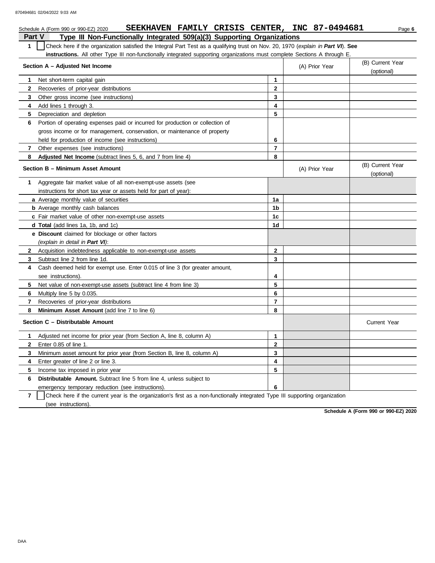|                | SEEKHAVEN FAMILY CRISIS CENTER, INC 87-0494681<br>Schedule A (Form 990 or 990-EZ) 2020                                           |                |                | Page 6                         |
|----------------|----------------------------------------------------------------------------------------------------------------------------------|----------------|----------------|--------------------------------|
| <b>Part V</b>  | Type III Non-Functionally Integrated 509(a)(3) Supporting Organizations                                                          |                |                |                                |
| 1              | Check here if the organization satisfied the Integral Part Test as a qualifying trust on Nov. 20, 1970 (explain in Part VI). See |                |                |                                |
|                | instructions. All other Type III non-functionally integrated supporting organizations must complete Sections A through E.        |                |                |                                |
|                | Section A - Adjusted Net Income                                                                                                  |                | (A) Prior Year | (B) Current Year               |
|                |                                                                                                                                  |                |                | (optional)                     |
| 1              | Net short-term capital gain                                                                                                      | $\mathbf{1}$   |                |                                |
| $\mathbf{2}$   | Recoveries of prior-year distributions                                                                                           | $\mathbf{2}$   |                |                                |
| 3              | Other gross income (see instructions)                                                                                            | 3              |                |                                |
| 4              | Add lines 1 through 3.                                                                                                           | 4              |                |                                |
| 5              | Depreciation and depletion                                                                                                       | 5              |                |                                |
| 6              | Portion of operating expenses paid or incurred for production or collection of                                                   |                |                |                                |
|                | gross income or for management, conservation, or maintenance of property                                                         |                |                |                                |
|                | held for production of income (see instructions)                                                                                 | 6              |                |                                |
| $\overline{7}$ | Other expenses (see instructions)                                                                                                | $\overline{7}$ |                |                                |
| 8              | <b>Adjusted Net Income</b> (subtract lines 5, 6, and 7 from line 4)                                                              | 8              |                |                                |
|                | Section B - Minimum Asset Amount                                                                                                 |                | (A) Prior Year | (B) Current Year<br>(optional) |
| 1              | Aggregate fair market value of all non-exempt-use assets (see                                                                    |                |                |                                |
|                | instructions for short tax year or assets held for part of year):                                                                |                |                |                                |
|                | a Average monthly value of securities                                                                                            | 1a             |                |                                |
|                | <b>b</b> Average monthly cash balances                                                                                           | 1b             |                |                                |
|                | c Fair market value of other non-exempt-use assets                                                                               | 1 <sub>c</sub> |                |                                |
|                | d Total (add lines 1a, 1b, and 1c)                                                                                               | 1d             |                |                                |
|                | e Discount claimed for blockage or other factors                                                                                 |                |                |                                |
|                | (explain in detail in Part VI):                                                                                                  |                |                |                                |
| $\mathbf{2}$   | Acquisition indebtedness applicable to non-exempt-use assets                                                                     | $\mathbf{2}$   |                |                                |
| 3              | Subtract line 2 from line 1d.                                                                                                    | 3              |                |                                |
| 4              | Cash deemed held for exempt use. Enter 0.015 of line 3 (for greater amount,                                                      |                |                |                                |
|                | see instructions)                                                                                                                | 4              |                |                                |
| 5              | Net value of non-exempt-use assets (subtract line 4 from line 3)                                                                 | 5              |                |                                |
| 6              | Multiply line 5 by 0.035.                                                                                                        | 6              |                |                                |
| $\overline{7}$ | Recoveries of prior-year distributions                                                                                           | $\overline{7}$ |                |                                |
| 8              | Minimum Asset Amount (add line 7 to line 6)                                                                                      | 8              |                |                                |
|                | Section C - Distributable Amount                                                                                                 |                |                | <b>Current Year</b>            |
| 1              | Adjusted net income for prior year (from Section A, line 8, column A)                                                            | $\mathbf{1}$   |                |                                |
| $\mathbf{2}$   | Enter 0.85 of line 1.                                                                                                            | $\mathbf{2}$   |                |                                |
| 3              | Minimum asset amount for prior year (from Section B, line 8, column A)                                                           | 3              |                |                                |
| 4              | Enter greater of line 2 or line 3.                                                                                               | 4              |                |                                |
| 5              | Income tax imposed in prior year                                                                                                 | 5              |                |                                |
| 6              | <b>Distributable Amount.</b> Subtract line 5 from line 4, unless subject to                                                      |                |                |                                |
|                | emergency temporary reduction (see instructions).                                                                                | 6              |                |                                |
|                |                                                                                                                                  |                |                |                                |

**7** | Check here if the current year is the organization's first as a non-functionally integrated Type III supporting organization (see instructions).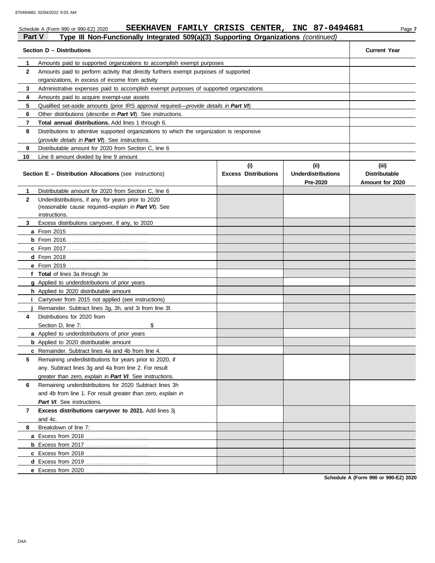|              | SEEKHAVEN FAMILY CRISIS CENTER, INC 87-0494681<br>Schedule A (Form 990 or 990-EZ) 2020     |                             |                                       | Page 7                                  |
|--------------|--------------------------------------------------------------------------------------------|-----------------------------|---------------------------------------|-----------------------------------------|
| Part V       | Type III Non-Functionally Integrated 509(a)(3) Supporting Organizations (continued)        |                             |                                       |                                         |
|              | Section D - Distributions                                                                  |                             |                                       | <b>Current Year</b>                     |
| 1            | Amounts paid to supported organizations to accomplish exempt purposes                      |                             |                                       |                                         |
| $\mathbf{2}$ | Amounts paid to perform activity that directly furthers exempt purposes of supported       |                             |                                       |                                         |
|              | organizations, in excess of income from activity                                           |                             |                                       |                                         |
| 3            | Administrative expenses paid to accomplish exempt purposes of supported organizations      |                             |                                       |                                         |
| 4            | Amounts paid to acquire exempt-use assets                                                  |                             |                                       |                                         |
| 5            | Qualified set-aside amounts (prior IRS approval required—provide details in Part VI)       |                             |                                       |                                         |
| 6            | Other distributions (describe in Part VI). See instructions.                               |                             |                                       |                                         |
| 7            | Total annual distributions. Add lines 1 through 6.                                         |                             |                                       |                                         |
| 8            | Distributions to attentive supported organizations to which the organization is responsive |                             |                                       |                                         |
|              | (provide details in Part VI). See instructions.                                            |                             |                                       |                                         |
| 9            | Distributable amount for 2020 from Section C, line 6                                       |                             |                                       |                                         |
| 10           | Line 8 amount divided by line 9 amount                                                     |                             |                                       |                                         |
|              |                                                                                            | (i)                         | (ii)                                  | (iii)                                   |
|              | <b>Section E - Distribution Allocations (see instructions)</b>                             | <b>Excess Distributions</b> | <b>Underdistributions</b><br>Pre-2020 | <b>Distributable</b><br>Amount for 2020 |
| 1            | Distributable amount for 2020 from Section C, line 6                                       |                             |                                       |                                         |
| $\mathbf{2}$ | Underdistributions, if any, for years prior to 2020                                        |                             |                                       |                                         |
|              | (reasonable cause required-explain in Part VI). See                                        |                             |                                       |                                         |
|              | instructions.                                                                              |                             |                                       |                                         |
| 3            | Excess distributions carryover, if any, to 2020                                            |                             |                                       |                                         |
|              |                                                                                            |                             |                                       |                                         |
|              |                                                                                            |                             |                                       |                                         |
|              |                                                                                            |                             |                                       |                                         |
|              |                                                                                            |                             |                                       |                                         |
|              |                                                                                            |                             |                                       |                                         |
|              | f Total of lines 3a through 3e                                                             |                             |                                       |                                         |
|              | g Applied to underdistributions of prior years                                             |                             |                                       |                                         |
|              | h Applied to 2020 distributable amount                                                     |                             |                                       |                                         |
|              | <i>i</i> Carryover from 2015 not applied (see instructions)                                |                             |                                       |                                         |
|              | Remainder. Subtract lines 3g, 3h, and 3i from line 3f.                                     |                             |                                       |                                         |
| 4            | Distributions for 2020 from                                                                |                             |                                       |                                         |
|              | \$<br>Section D, line 7:                                                                   |                             |                                       |                                         |
|              | a Applied to underdistributions of prior years                                             |                             |                                       |                                         |
|              | <b>b</b> Applied to 2020 distributable amount                                              |                             |                                       |                                         |
|              | c Remainder. Subtract lines 4a and 4b from line 4.                                         |                             |                                       |                                         |
| 5            | Remaining underdistributions for years prior to 2020, if                                   |                             |                                       |                                         |
|              | any. Subtract lines 3g and 4a from line 2. For result                                      |                             |                                       |                                         |
|              | greater than zero, explain in Part VI. See instructions.                                   |                             |                                       |                                         |
| 6            | Remaining underdistributions for 2020 Subtract lines 3h                                    |                             |                                       |                                         |
|              | and 4b from line 1. For result greater than zero, explain in                               |                             |                                       |                                         |
|              | Part VI. See instructions.                                                                 |                             |                                       |                                         |
| 7            | Excess distributions carryover to 2021. Add lines 3j                                       |                             |                                       |                                         |
|              | and 4c.                                                                                    |                             |                                       |                                         |
| 8            | Breakdown of line 7:                                                                       |                             |                                       |                                         |
|              |                                                                                            |                             |                                       |                                         |
|              |                                                                                            |                             |                                       |                                         |
|              |                                                                                            |                             |                                       |                                         |
|              |                                                                                            |                             |                                       |                                         |
|              | e Excess from 2020                                                                         |                             |                                       |                                         |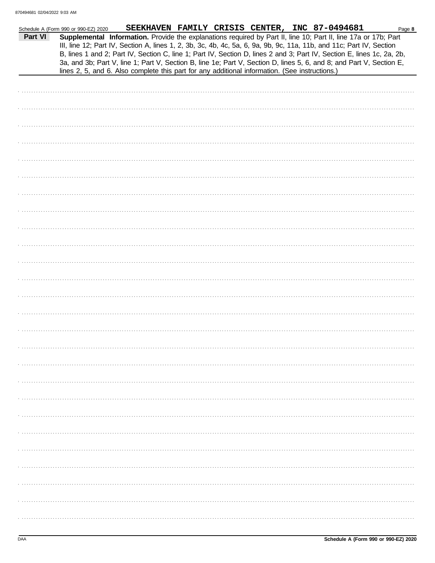| Part VI | SEEKHAVEN FAMILY CRISIS CENTER, INC 87-0494681<br>Schedule A (Form 990 or 990-EZ) 2020<br>Page 8<br>Supplemental Information. Provide the explanations required by Part II, line 10; Part II, line 17a or 17b; Part<br>III, line 12; Part IV, Section A, lines 1, 2, 3b, 3c, 4b, 4c, 5a, 6, 9a, 9b, 9c, 11a, 11b, and 11c; Part IV, Section<br>B, lines 1 and 2; Part IV, Section C, line 1; Part IV, Section D, lines 2 and 3; Part IV, Section E, lines 1c, 2a, 2b,<br>3a, and 3b; Part V, line 1; Part V, Section B, line 1e; Part V, Section D, lines 5, 6, and 8; and Part V, Section E, |
|---------|-----------------------------------------------------------------------------------------------------------------------------------------------------------------------------------------------------------------------------------------------------------------------------------------------------------------------------------------------------------------------------------------------------------------------------------------------------------------------------------------------------------------------------------------------------------------------------------------------|
|         | lines 2, 5, and 6. Also complete this part for any additional information. (See instructions.)                                                                                                                                                                                                                                                                                                                                                                                                                                                                                                |
|         |                                                                                                                                                                                                                                                                                                                                                                                                                                                                                                                                                                                               |
|         |                                                                                                                                                                                                                                                                                                                                                                                                                                                                                                                                                                                               |
|         |                                                                                                                                                                                                                                                                                                                                                                                                                                                                                                                                                                                               |
|         |                                                                                                                                                                                                                                                                                                                                                                                                                                                                                                                                                                                               |
|         |                                                                                                                                                                                                                                                                                                                                                                                                                                                                                                                                                                                               |
|         |                                                                                                                                                                                                                                                                                                                                                                                                                                                                                                                                                                                               |
|         |                                                                                                                                                                                                                                                                                                                                                                                                                                                                                                                                                                                               |
|         |                                                                                                                                                                                                                                                                                                                                                                                                                                                                                                                                                                                               |
|         |                                                                                                                                                                                                                                                                                                                                                                                                                                                                                                                                                                                               |
|         |                                                                                                                                                                                                                                                                                                                                                                                                                                                                                                                                                                                               |
|         |                                                                                                                                                                                                                                                                                                                                                                                                                                                                                                                                                                                               |
|         |                                                                                                                                                                                                                                                                                                                                                                                                                                                                                                                                                                                               |
|         |                                                                                                                                                                                                                                                                                                                                                                                                                                                                                                                                                                                               |
|         |                                                                                                                                                                                                                                                                                                                                                                                                                                                                                                                                                                                               |
|         |                                                                                                                                                                                                                                                                                                                                                                                                                                                                                                                                                                                               |
|         |                                                                                                                                                                                                                                                                                                                                                                                                                                                                                                                                                                                               |
|         |                                                                                                                                                                                                                                                                                                                                                                                                                                                                                                                                                                                               |
|         |                                                                                                                                                                                                                                                                                                                                                                                                                                                                                                                                                                                               |
|         |                                                                                                                                                                                                                                                                                                                                                                                                                                                                                                                                                                                               |
|         |                                                                                                                                                                                                                                                                                                                                                                                                                                                                                                                                                                                               |
|         |                                                                                                                                                                                                                                                                                                                                                                                                                                                                                                                                                                                               |
|         |                                                                                                                                                                                                                                                                                                                                                                                                                                                                                                                                                                                               |
|         |                                                                                                                                                                                                                                                                                                                                                                                                                                                                                                                                                                                               |
|         |                                                                                                                                                                                                                                                                                                                                                                                                                                                                                                                                                                                               |
|         |                                                                                                                                                                                                                                                                                                                                                                                                                                                                                                                                                                                               |
|         |                                                                                                                                                                                                                                                                                                                                                                                                                                                                                                                                                                                               |
|         |                                                                                                                                                                                                                                                                                                                                                                                                                                                                                                                                                                                               |
|         |                                                                                                                                                                                                                                                                                                                                                                                                                                                                                                                                                                                               |
|         |                                                                                                                                                                                                                                                                                                                                                                                                                                                                                                                                                                                               |
|         |                                                                                                                                                                                                                                                                                                                                                                                                                                                                                                                                                                                               |
|         |                                                                                                                                                                                                                                                                                                                                                                                                                                                                                                                                                                                               |
|         |                                                                                                                                                                                                                                                                                                                                                                                                                                                                                                                                                                                               |
|         |                                                                                                                                                                                                                                                                                                                                                                                                                                                                                                                                                                                               |
|         |                                                                                                                                                                                                                                                                                                                                                                                                                                                                                                                                                                                               |
|         |                                                                                                                                                                                                                                                                                                                                                                                                                                                                                                                                                                                               |
|         |                                                                                                                                                                                                                                                                                                                                                                                                                                                                                                                                                                                               |
|         |                                                                                                                                                                                                                                                                                                                                                                                                                                                                                                                                                                                               |
|         |                                                                                                                                                                                                                                                                                                                                                                                                                                                                                                                                                                                               |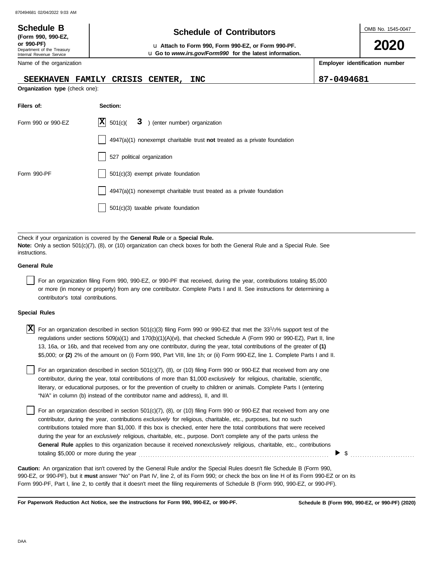# Department of the Treasury Internal Revenue Service Name of the organization **2020 Schedule of Contributors Schedule B (Form 990, 990-EZ, or 990-PF)** u **Attach to Form 990, Form 990-EZ, or Form 990-PF. Employer identification number Organization type** (check one): **Filers of: Section:** Form 990 or 990-EZ  $|\mathbf{X}|$  501(c)( 3) (enter number) organization 4947(a)(1) nonexempt charitable trust **not** treated as a private foundation 527 political organization Form 990-PF 1501(c)(3) exempt private foundation 4947(a)(1) nonexempt charitable trust treated as a private foundation 501(c)(3) taxable private foundation u **Go to** *www.irs.gov/Form990* **for the latest information. SEEKHAVEN FAMILY CRISIS CENTER, INC 87-0494681**  $|\mathbf{X}|$  501(c)(

Check if your organization is covered by the **General Rule** or a **Special Rule. Note:** Only a section 501(c)(7), (8), or (10) organization can check boxes for both the General Rule and a Special Rule. See instructions.

### **General Rule**

For an organization filing Form 990, 990-EZ, or 990-PF that received, during the year, contributions totaling \$5,000 or more (in money or property) from any one contributor. Complete Parts I and II. See instructions for determining a contributor's total contributions.

### **Special Rules**

X For an organization described in section 501(c)(3) filing Form 990 or 990-EZ that met the 33<sup>1</sup>/3% support test of the regulations under sections 509(a)(1) and 170(b)(1)(A)(vi), that checked Schedule A (Form 990 or 990-EZ), Part II, line 13, 16a, or 16b, and that received from any one contributor, during the year, total contributions of the greater of **(1)** \$5,000; or **(2)** 2% of the amount on (i) Form 990, Part VIII, line 1h; or (ii) Form 990-EZ, line 1. Complete Parts I and II.

literary, or educational purposes, or for the prevention of cruelty to children or animals. Complete Parts I (entering For an organization described in section 501(c)(7), (8), or (10) filing Form 990 or 990-EZ that received from any one contributor, during the year, total contributions of more than \$1,000 *exclusively* for religious, charitable, scientific, "N/A" in column (b) instead of the contributor name and address), II, and III.

For an organization described in section 501(c)(7), (8), or (10) filing Form 990 or 990-EZ that received from any one contributor, during the year, contributions *exclusively* for religious, charitable, etc., purposes, but no such contributions totaled more than \$1,000. If this box is checked, enter here the total contributions that were received during the year for an *exclusively* religious, charitable, etc., purpose. Don't complete any of the parts unless the **General Rule** applies to this organization because it received *nonexclusively* religious, charitable, etc., contributions totaling \$5,000 or more during the year . . . . . . . . . . . . . . . . . . . . . . . . . . . . . . . . . . . . . . . . . . . . . . . . . . . . . . . . . . . . . . . . . . . . . . . . . . . . . . . .

990-EZ, or 990-PF), but it **must** answer "No" on Part IV, line 2, of its Form 990; or check the box on line H of its Form 990-EZ or on its Form 990-PF, Part I, line 2, to certify that it doesn't meet the filing requirements of Schedule B (Form 990, 990-EZ, or 990-PF). **Caution:** An organization that isn't covered by the General Rule and/or the Special Rules doesn't file Schedule B (Form 990,

**For Paperwork Reduction Act Notice, see the instructions for Form 990, 990-EZ, or 990-PF.**

 $\triangleright$  \$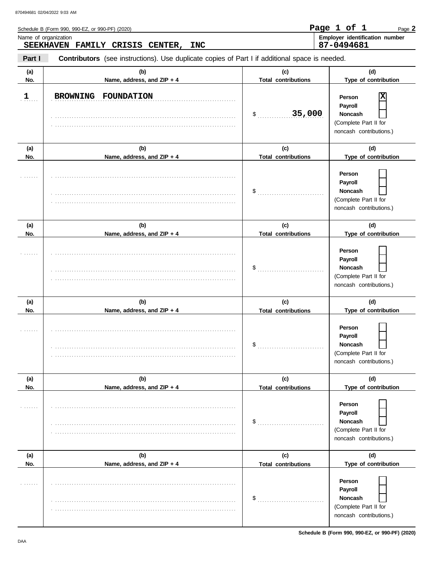|              | Schedule B (Form 990, 990-EZ, or 990-PF) (2020)                                                |                                   | Page 1 of 1<br>Page 2                                                                                           |
|--------------|------------------------------------------------------------------------------------------------|-----------------------------------|-----------------------------------------------------------------------------------------------------------------|
|              | Name of organization<br>SEEKHAVEN FAMILY CRISIS CENTER, INC                                    |                                   | Employer identification number<br>87-0494681                                                                    |
| Part I       | Contributors (see instructions). Use duplicate copies of Part I if additional space is needed. |                                   |                                                                                                                 |
| (a)<br>No.   | (b)<br>Name, address, and ZIP + 4                                                              | (c)<br><b>Total contributions</b> | (d)<br>Type of contribution                                                                                     |
| $\mathbf{1}$ | <b>BROWNING</b><br><b>FOUNDATION</b>                                                           | 35,000<br>$\sim$                  | Person<br><b>Payroll</b><br><b>Noncash</b><br>(Complete Part II for<br>noncash contributions.)                  |
| (a)          | (b)                                                                                            | (c)                               | (d)                                                                                                             |
| No.          | Name, address, and ZIP + 4                                                                     | <b>Total contributions</b><br>\$  | Type of contribution<br>Person<br>Payroll<br><b>Noncash</b><br>(Complete Part II for<br>noncash contributions.) |
| (a)<br>No.   | (b)<br>Name, address, and ZIP + 4                                                              | (c)<br><b>Total contributions</b> | (d)<br>Type of contribution                                                                                     |
|              |                                                                                                | \$                                | Person<br>Payroll<br><b>Noncash</b><br>(Complete Part II for<br>noncash contributions.)                         |
| (a)<br>No.   | (b)<br>Name, address, and ZIP + 4                                                              | (c)<br><b>Total contributions</b> | (d)<br>Type of contribution                                                                                     |
|              |                                                                                                | \$                                | Person<br>Payroll<br><b>Noncash</b><br>(Complete Part II for<br>noncash contributions.)                         |
| (a)<br>No.   | (b)<br>Name, address, and ZIP + 4                                                              | (c)<br><b>Total contributions</b> | (d)<br>Type of contribution                                                                                     |
| 1.1.1.1.1.1  |                                                                                                | \$                                | Person<br>Payroll<br>Noncash<br>(Complete Part II for<br>noncash contributions.)                                |
| (a)          | (b)                                                                                            | (c)                               | (d)                                                                                                             |
| No.<br>.     | Name, address, and ZIP + 4                                                                     | <b>Total contributions</b><br>\$  | Type of contribution<br>Person<br>Payroll<br><b>Noncash</b><br>(Complete Part II for<br>noncash contributions.) |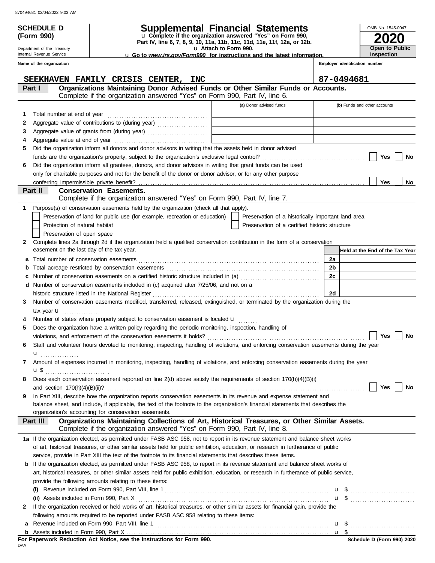|  |  | 870494681 02/04/2022 9:03 AM |  |  |
|--|--|------------------------------|--|--|
|--|--|------------------------------|--|--|

**(Form 990)**

Department of the Treasury Internal Revenue Service **Name of the organization**

# **SCHEDULE D Supplemental Financial Statements**

**Part IV, line 6, 7, 8, 9, 10, 11a, 11b, 11c, 11d, 11e, 11f, 12a, or 12b.** u **Complete if the organization answered "Yes" on Form 990,**

u **Attach to Form 990.** 

u **Go to** *www.irs.gov/Form990* **for instructions and the latest information.**

**2020 Open to Public Inspection**

OMB No. 1545-0047

**Employer identification number**

|   | SEEKHAVEN FAMILY CRISIS CENTER, INC                                                                                                       |                                                    | 87-0494681                      |  |  |  |  |  |  |
|---|-------------------------------------------------------------------------------------------------------------------------------------------|----------------------------------------------------|---------------------------------|--|--|--|--|--|--|
|   | Organizations Maintaining Donor Advised Funds or Other Similar Funds or Accounts.<br>Part I                                               |                                                    |                                 |  |  |  |  |  |  |
|   | Complete if the organization answered "Yes" on Form 990, Part IV, line 6.                                                                 |                                                    |                                 |  |  |  |  |  |  |
|   |                                                                                                                                           | (a) Donor advised funds                            | (b) Funds and other accounts    |  |  |  |  |  |  |
| 1 | Total number at end of year                                                                                                               |                                                    |                                 |  |  |  |  |  |  |
| 2 | Aggregate value of contributions to (during year)                                                                                         |                                                    |                                 |  |  |  |  |  |  |
| 3 |                                                                                                                                           |                                                    |                                 |  |  |  |  |  |  |
| 4 |                                                                                                                                           |                                                    |                                 |  |  |  |  |  |  |
| 5 | Did the organization inform all donors and donor advisors in writing that the assets held in donor advised                                |                                                    |                                 |  |  |  |  |  |  |
|   |                                                                                                                                           |                                                    | Yes<br>No                       |  |  |  |  |  |  |
| 6 | Did the organization inform all grantees, donors, and donor advisors in writing that grant funds can be used                              |                                                    |                                 |  |  |  |  |  |  |
|   | only for charitable purposes and not for the benefit of the donor or donor advisor, or for any other purpose                              |                                                    |                                 |  |  |  |  |  |  |
|   | conferring impermissible private benefit?                                                                                                 |                                                    | Yes<br><b>No</b>                |  |  |  |  |  |  |
|   | <b>Conservation Easements.</b><br>Part II                                                                                                 |                                                    |                                 |  |  |  |  |  |  |
|   | Complete if the organization answered "Yes" on Form 990, Part IV, line 7.                                                                 |                                                    |                                 |  |  |  |  |  |  |
| 1 | Purpose(s) of conservation easements held by the organization (check all that apply).                                                     |                                                    |                                 |  |  |  |  |  |  |
|   | Preservation of land for public use (for example, recreation or education)                                                                | Preservation of a historically important land area |                                 |  |  |  |  |  |  |
|   | Protection of natural habitat                                                                                                             | Preservation of a certified historic structure     |                                 |  |  |  |  |  |  |
|   | Preservation of open space                                                                                                                |                                                    |                                 |  |  |  |  |  |  |
| 2 | Complete lines 2a through 2d if the organization held a qualified conservation contribution in the form of a conservation                 |                                                    |                                 |  |  |  |  |  |  |
|   | easement on the last day of the tax year.                                                                                                 |                                                    | Held at the End of the Tax Year |  |  |  |  |  |  |
| а | Total number of conservation easements                                                                                                    |                                                    | 2a                              |  |  |  |  |  |  |
| b |                                                                                                                                           |                                                    | 2b                              |  |  |  |  |  |  |
|   | Number of conservation easements on a certified historic structure included in (a) [[[[[[[[[[[[[[[[[[[[[[[[[]]]]]]]                       |                                                    | 2c                              |  |  |  |  |  |  |
|   | Number of conservation easements included in (c) acquired after 7/25/06, and not on a                                                     |                                                    |                                 |  |  |  |  |  |  |
|   | historic structure listed in the National Register                                                                                        |                                                    | 2d                              |  |  |  |  |  |  |
| 3 | Number of conservation easements modified, transferred, released, extinguished, or terminated by the organization during the              |                                                    |                                 |  |  |  |  |  |  |
|   | tax year <b>u</b><br>Number of states where property subject to conservation easement is located u                                        |                                                    |                                 |  |  |  |  |  |  |
| 5 | Does the organization have a written policy regarding the periodic monitoring, inspection, handling of                                    |                                                    |                                 |  |  |  |  |  |  |
|   |                                                                                                                                           |                                                    | Yes<br>No                       |  |  |  |  |  |  |
| 6 | Staff and volunteer hours devoted to monitoring, inspecting, handling of violations, and enforcing conservation easements during the year |                                                    |                                 |  |  |  |  |  |  |
|   | .                                                                                                                                         |                                                    |                                 |  |  |  |  |  |  |
| 7 | Amount of expenses incurred in monitoring, inspecting, handling of violations, and enforcing conservation easements during the year       |                                                    |                                 |  |  |  |  |  |  |
|   | u \$                                                                                                                                      |                                                    |                                 |  |  |  |  |  |  |
| 8 | Does each conservation easement reported on line 2(d) above satisfy the requirements of section 170(h)(4)(B)(i)                           |                                                    |                                 |  |  |  |  |  |  |
|   |                                                                                                                                           |                                                    |                                 |  |  |  |  |  |  |
| 9 | In Part XIII, describe how the organization reports conservation easements in its revenue and expense statement and                       |                                                    |                                 |  |  |  |  |  |  |
|   | balance sheet, and include, if applicable, the text of the footnote to the organization's financial statements that describes the         |                                                    |                                 |  |  |  |  |  |  |
|   | organization's accounting for conservation easements.                                                                                     |                                                    |                                 |  |  |  |  |  |  |
|   | Organizations Maintaining Collections of Art, Historical Treasures, or Other Similar Assets.<br>Part III                                  |                                                    |                                 |  |  |  |  |  |  |
|   | Complete if the organization answered "Yes" on Form 990, Part IV, line 8.                                                                 |                                                    |                                 |  |  |  |  |  |  |
|   | 1a If the organization elected, as permitted under FASB ASC 958, not to report in its revenue statement and balance sheet works           |                                                    |                                 |  |  |  |  |  |  |
|   | of art, historical treasures, or other similar assets held for public exhibition, education, or research in furtherance of public         |                                                    |                                 |  |  |  |  |  |  |
|   | service, provide in Part XIII the text of the footnote to its financial statements that describes these items.                            |                                                    |                                 |  |  |  |  |  |  |
| b | If the organization elected, as permitted under FASB ASC 958, to report in its revenue statement and balance sheet works of               |                                                    |                                 |  |  |  |  |  |  |
|   | art, historical treasures, or other similar assets held for public exhibition, education, or research in furtherance of public service,   |                                                    |                                 |  |  |  |  |  |  |
|   | provide the following amounts relating to these items:                                                                                    |                                                    |                                 |  |  |  |  |  |  |
|   | (ii) Assets included in Form 990, Part X                                                                                                  |                                                    |                                 |  |  |  |  |  |  |
| 2 | If the organization received or held works of art, historical treasures, or other similar assets for financial gain, provide the          |                                                    | $\mathbf{u}$ \$                 |  |  |  |  |  |  |
|   | following amounts required to be reported under FASB ASC 958 relating to these items:                                                     |                                                    |                                 |  |  |  |  |  |  |
| а |                                                                                                                                           |                                                    |                                 |  |  |  |  |  |  |
| b |                                                                                                                                           |                                                    | u \$                            |  |  |  |  |  |  |

DAA **For Paperwork Reduction Act Notice, see the Instructions for Form 990.**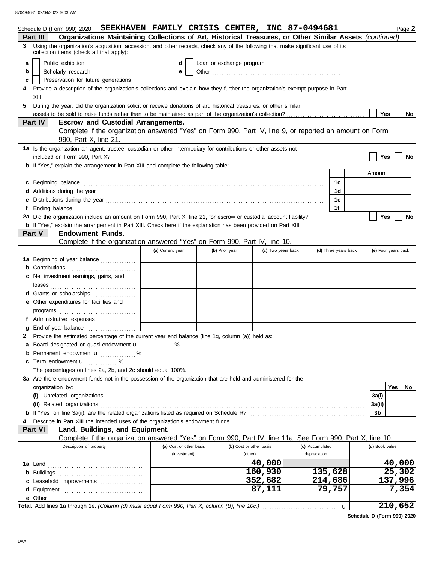|   | Schedule D (Form 990) 2020 SEEKHAVEN FAMILY CRISIS CENTER, INC 87-0494681                                                                                                                                                      |                                                                                                                                                                                                                                      |                          |                    |                 |                      |                     |     | Page 2  |
|---|--------------------------------------------------------------------------------------------------------------------------------------------------------------------------------------------------------------------------------|--------------------------------------------------------------------------------------------------------------------------------------------------------------------------------------------------------------------------------------|--------------------------|--------------------|-----------------|----------------------|---------------------|-----|---------|
|   | Organizations Maintaining Collections of Art, Historical Treasures, or Other Similar Assets (continued)<br>Part III                                                                                                            |                                                                                                                                                                                                                                      |                          |                    |                 |                      |                     |     |         |
|   | 3 Using the organization's acquisition, accession, and other records, check any of the following that make significant use of its<br>collection items (check all that apply):                                                  |                                                                                                                                                                                                                                      |                          |                    |                 |                      |                     |     |         |
| a | Public exhibition                                                                                                                                                                                                              | d                                                                                                                                                                                                                                    | Loan or exchange program |                    |                 |                      |                     |     |         |
| b | Scholarly research                                                                                                                                                                                                             | е                                                                                                                                                                                                                                    |                          |                    |                 |                      |                     |     |         |
| c | Preservation for future generations                                                                                                                                                                                            |                                                                                                                                                                                                                                      |                          |                    |                 |                      |                     |     |         |
|   | Provide a description of the organization's collections and explain how they further the organization's exempt purpose in Part                                                                                                 |                                                                                                                                                                                                                                      |                          |                    |                 |                      |                     |     |         |
|   | XIII.                                                                                                                                                                                                                          |                                                                                                                                                                                                                                      |                          |                    |                 |                      |                     |     |         |
| 5 | During the year, did the organization solicit or receive donations of art, historical treasures, or other similar                                                                                                              |                                                                                                                                                                                                                                      |                          |                    |                 |                      |                     |     |         |
|   |                                                                                                                                                                                                                                |                                                                                                                                                                                                                                      |                          |                    |                 |                      | <b>Yes</b>          |     | No      |
|   | <b>Escrow and Custodial Arrangements.</b><br>Part IV                                                                                                                                                                           |                                                                                                                                                                                                                                      |                          |                    |                 |                      |                     |     |         |
|   | Complete if the organization answered "Yes" on Form 990, Part IV, line 9, or reported an amount on Form                                                                                                                        |                                                                                                                                                                                                                                      |                          |                    |                 |                      |                     |     |         |
|   | 990, Part X, line 21.                                                                                                                                                                                                          |                                                                                                                                                                                                                                      |                          |                    |                 |                      |                     |     |         |
|   | 1a Is the organization an agent, trustee, custodian or other intermediary for contributions or other assets not                                                                                                                |                                                                                                                                                                                                                                      |                          |                    |                 |                      |                     |     |         |
|   | included on Form 990, Part X?                                                                                                                                                                                                  |                                                                                                                                                                                                                                      |                          |                    |                 |                      | Yes                 |     | No      |
|   | <b>b</b> If "Yes," explain the arrangement in Part XIII and complete the following table:                                                                                                                                      |                                                                                                                                                                                                                                      |                          |                    |                 |                      |                     |     |         |
|   |                                                                                                                                                                                                                                |                                                                                                                                                                                                                                      |                          |                    |                 |                      | Amount              |     |         |
| c |                                                                                                                                                                                                                                |                                                                                                                                                                                                                                      |                          |                    |                 | 1c                   |                     |     |         |
|   | Additions during the year contains and according to the year contained and according the year contains and according the year contains and according to the state of the state of the state of the state of the state of the s |                                                                                                                                                                                                                                      |                          |                    |                 | 1d                   |                     |     |         |
|   |                                                                                                                                                                                                                                |                                                                                                                                                                                                                                      |                          |                    |                 | 1е                   |                     |     |         |
|   | Ending balance contains and account of the contact of the contact of the contact of the contact of the contact of the contact of the contact of the contact of the contact of the contact of the contact of the contact of the |                                                                                                                                                                                                                                      |                          |                    |                 | 1f                   |                     |     |         |
|   | 2a Did the organization include an amount on Form 990, Part X, line 21, for escrow or custodial account liability?                                                                                                             |                                                                                                                                                                                                                                      |                          |                    |                 |                      | <b>Yes</b>          |     | No      |
|   |                                                                                                                                                                                                                                |                                                                                                                                                                                                                                      |                          |                    |                 |                      |                     |     |         |
|   | Part V<br><b>Endowment Funds.</b>                                                                                                                                                                                              |                                                                                                                                                                                                                                      |                          |                    |                 |                      |                     |     |         |
|   | Complete if the organization answered "Yes" on Form 990, Part IV, line 10.                                                                                                                                                     |                                                                                                                                                                                                                                      |                          |                    |                 |                      |                     |     |         |
|   |                                                                                                                                                                                                                                | (a) Current year                                                                                                                                                                                                                     | (b) Prior year           | (c) Two years back |                 | (d) Three years back | (e) Four years back |     |         |
|   | 1a Beginning of year balance                                                                                                                                                                                                   |                                                                                                                                                                                                                                      |                          |                    |                 |                      |                     |     |         |
|   | <b>b</b> Contributions                                                                                                                                                                                                         |                                                                                                                                                                                                                                      |                          |                    |                 |                      |                     |     |         |
| c | Net investment earnings, gains, and                                                                                                                                                                                            |                                                                                                                                                                                                                                      |                          |                    |                 |                      |                     |     |         |
|   | losses                                                                                                                                                                                                                         |                                                                                                                                                                                                                                      |                          |                    |                 |                      |                     |     |         |
|   | d Grants or scholarships                                                                                                                                                                                                       |                                                                                                                                                                                                                                      |                          |                    |                 |                      |                     |     |         |
|   | e Other expenditures for facilities and                                                                                                                                                                                        |                                                                                                                                                                                                                                      |                          |                    |                 |                      |                     |     |         |
|   |                                                                                                                                                                                                                                |                                                                                                                                                                                                                                      |                          |                    |                 |                      |                     |     |         |
|   | f Administrative expenses                                                                                                                                                                                                      | <u>and the company of the company of the company of the company of the company of the company of the company of the company of the company of the company of the company of the company of the company of the company of the com</u> |                          |                    |                 |                      |                     |     |         |
| a |                                                                                                                                                                                                                                |                                                                                                                                                                                                                                      |                          |                    |                 |                      |                     |     |         |
| 2 | Provide the estimated percentage of the current year end balance (line 1g, column (a)) held as:                                                                                                                                |                                                                                                                                                                                                                                      |                          |                    |                 |                      |                     |     |         |
|   | Board designated or quasi-endowment <b>u</b> %                                                                                                                                                                                 |                                                                                                                                                                                                                                      |                          |                    |                 |                      |                     |     |         |
|   | <b>b</b> Permanent endowment <b>u</b> %                                                                                                                                                                                        |                                                                                                                                                                                                                                      |                          |                    |                 |                      |                     |     |         |
| c | Term endowment <b>u</b><br>$\%$                                                                                                                                                                                                |                                                                                                                                                                                                                                      |                          |                    |                 |                      |                     |     |         |
|   | The percentages on lines 2a, 2b, and 2c should equal 100%.                                                                                                                                                                     |                                                                                                                                                                                                                                      |                          |                    |                 |                      |                     |     |         |
|   | 3a Are there endowment funds not in the possession of the organization that are held and administered for the                                                                                                                  |                                                                                                                                                                                                                                      |                          |                    |                 |                      |                     |     |         |
|   | organization by:                                                                                                                                                                                                               |                                                                                                                                                                                                                                      |                          |                    |                 |                      |                     | Yes | No.     |
|   |                                                                                                                                                                                                                                |                                                                                                                                                                                                                                      |                          |                    |                 |                      | 3a(i)               |     |         |
|   | (ii) Related organizations                                                                                                                                                                                                     |                                                                                                                                                                                                                                      |                          |                    |                 |                      | 3a(ii)              |     |         |
|   |                                                                                                                                                                                                                                |                                                                                                                                                                                                                                      |                          |                    |                 |                      | 3b                  |     |         |
|   | Describe in Part XIII the intended uses of the organization's endowment funds.                                                                                                                                                 |                                                                                                                                                                                                                                      |                          |                    |                 |                      |                     |     |         |
|   | Part VI<br>Land, Buildings, and Equipment.                                                                                                                                                                                     |                                                                                                                                                                                                                                      |                          |                    |                 |                      |                     |     |         |
|   | Complete if the organization answered "Yes" on Form 990, Part IV, line 11a. See Form 990, Part X, line 10.                                                                                                                     |                                                                                                                                                                                                                                      |                          |                    |                 |                      |                     |     |         |
|   | Description of property                                                                                                                                                                                                        | (a) Cost or other basis                                                                                                                                                                                                              | (b) Cost or other basis  |                    | (c) Accumulated |                      | (d) Book value      |     |         |
|   |                                                                                                                                                                                                                                | (investment)                                                                                                                                                                                                                         | (other)                  |                    | depreciation    |                      |                     |     |         |
|   | 1a Land                                                                                                                                                                                                                        |                                                                                                                                                                                                                                      |                          | 40,000             |                 |                      |                     |     | 40,000  |
|   | <b>b</b> Buildings                                                                                                                                                                                                             |                                                                                                                                                                                                                                      |                          | 160,930            |                 | 135,628              |                     |     | 25,302  |
|   | c Leasehold improvements                                                                                                                                                                                                       |                                                                                                                                                                                                                                      |                          | 352,682            |                 | 214,686              |                     |     | 137,996 |
|   |                                                                                                                                                                                                                                |                                                                                                                                                                                                                                      |                          | 87,111             |                 | 79,757               |                     |     | 7,354   |
|   |                                                                                                                                                                                                                                |                                                                                                                                                                                                                                      |                          |                    |                 |                      |                     |     |         |
|   |                                                                                                                                                                                                                                |                                                                                                                                                                                                                                      |                          |                    |                 |                      |                     |     | 210,652 |

**Schedule D (Form 990) 2020**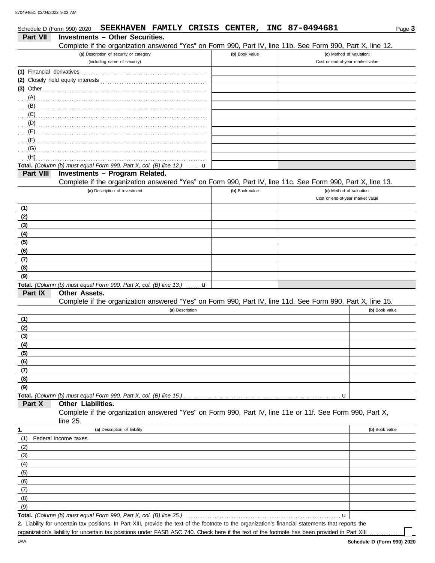DAA

| Schedule D (Form 990) 2020 |                                                                                                            |                                                                         |                 |             | SEEKHAVEN FAMILY CRISIS CENTER, INC 87-0494681 |  |                                                              |                | Page 3 |
|----------------------------|------------------------------------------------------------------------------------------------------------|-------------------------------------------------------------------------|-----------------|-------------|------------------------------------------------|--|--------------------------------------------------------------|----------------|--------|
| <b>Part VII</b>            | <b>Investments - Other Securities.</b>                                                                     |                                                                         |                 |             |                                                |  |                                                              |                |        |
|                            | Complete if the organization answered "Yes" on Form 990, Part IV, line 11b. See Form 990, Part X, line 12. |                                                                         |                 |             |                                                |  |                                                              |                |        |
|                            |                                                                                                            | (a) Description of security or category<br>(including name of security) |                 |             | (b) Book value                                 |  | (c) Method of valuation:<br>Cost or end-of-year market value |                |        |
| (1) Financial derivatives  |                                                                                                            |                                                                         |                 |             |                                                |  |                                                              |                |        |
|                            |                                                                                                            |                                                                         |                 |             |                                                |  |                                                              |                |        |
| $(3)$ Other                |                                                                                                            |                                                                         |                 |             |                                                |  |                                                              |                |        |
| (A)                        |                                                                                                            |                                                                         |                 |             |                                                |  |                                                              |                |        |
| (B)                        |                                                                                                            |                                                                         |                 |             |                                                |  |                                                              |                |        |
|                            |                                                                                                            |                                                                         |                 |             |                                                |  |                                                              |                |        |
| $\Box$ (D)                 |                                                                                                            |                                                                         |                 |             |                                                |  |                                                              |                |        |
| $\mathbf{E}(\mathsf{E})$   |                                                                                                            |                                                                         |                 |             |                                                |  |                                                              |                |        |
| (F)                        |                                                                                                            |                                                                         |                 |             |                                                |  |                                                              |                |        |
| (G)<br>(H)                 |                                                                                                            |                                                                         |                 |             |                                                |  |                                                              |                |        |
|                            | Total. (Column (b) must equal Form 990, Part X, col. (B) line 12.)                                         |                                                                         |                 | u           |                                                |  |                                                              |                |        |
| <b>Part VIII</b>           | Investments - Program Related.                                                                             |                                                                         |                 |             |                                                |  |                                                              |                |        |
|                            | Complete if the organization answered "Yes" on Form 990, Part IV, line 11c. See Form 990, Part X, line 13. |                                                                         |                 |             |                                                |  |                                                              |                |        |
|                            |                                                                                                            | (a) Description of investment                                           |                 |             | (b) Book value                                 |  | (c) Method of valuation:<br>Cost or end-of-year market value |                |        |
|                            |                                                                                                            |                                                                         |                 |             |                                                |  |                                                              |                |        |
| (1)<br>(2)                 |                                                                                                            |                                                                         |                 |             |                                                |  |                                                              |                |        |
| (3)                        |                                                                                                            |                                                                         |                 |             |                                                |  |                                                              |                |        |
| (4)                        |                                                                                                            |                                                                         |                 |             |                                                |  |                                                              |                |        |
| (5)                        |                                                                                                            |                                                                         |                 |             |                                                |  |                                                              |                |        |
| (6)                        |                                                                                                            |                                                                         |                 |             |                                                |  |                                                              |                |        |
| (7)                        |                                                                                                            |                                                                         |                 |             |                                                |  |                                                              |                |        |
| (8)                        |                                                                                                            |                                                                         |                 |             |                                                |  |                                                              |                |        |
| (9)                        |                                                                                                            |                                                                         |                 |             |                                                |  |                                                              |                |        |
| Part IX                    | Total. (Column (b) must equal Form 990, Part X, col. (B) line 13.)<br>Other Assets.                        |                                                                         |                 | $\mathbf u$ |                                                |  |                                                              |                |        |
|                            | Complete if the organization answered "Yes" on Form 990, Part IV, line 11d. See Form 990, Part X, line 15. |                                                                         |                 |             |                                                |  |                                                              |                |        |
|                            |                                                                                                            |                                                                         | (a) Description |             |                                                |  |                                                              | (b) Book value |        |
| (1)                        |                                                                                                            |                                                                         |                 |             |                                                |  |                                                              |                |        |
| (2)                        |                                                                                                            |                                                                         |                 |             |                                                |  |                                                              |                |        |
| (3)                        |                                                                                                            |                                                                         |                 |             |                                                |  |                                                              |                |        |
| (4)                        |                                                                                                            |                                                                         |                 |             |                                                |  |                                                              |                |        |
| (5)                        |                                                                                                            |                                                                         |                 |             |                                                |  |                                                              |                |        |
| (6)                        |                                                                                                            |                                                                         |                 |             |                                                |  |                                                              |                |        |
| (7)                        |                                                                                                            |                                                                         |                 |             |                                                |  |                                                              |                |        |
| (8)<br>(9)                 |                                                                                                            |                                                                         |                 |             |                                                |  |                                                              |                |        |
|                            | Total. (Column (b) must equal Form 990, Part X, col. (B) line 15.).                                        |                                                                         |                 |             |                                                |  | u                                                            |                |        |
| Part X                     | Other Liabilities.                                                                                         |                                                                         |                 |             |                                                |  |                                                              |                |        |
|                            | Complete if the organization answered "Yes" on Form 990, Part IV, line 11e or 11f. See Form 990, Part X,   |                                                                         |                 |             |                                                |  |                                                              |                |        |
|                            | line 25.                                                                                                   |                                                                         |                 |             |                                                |  |                                                              |                |        |
| 1.                         | Federal income taxes                                                                                       | (a) Description of liability                                            |                 |             |                                                |  |                                                              | (b) Book value |        |
| (1)<br>(2)                 |                                                                                                            |                                                                         |                 |             |                                                |  |                                                              |                |        |
| (3)                        |                                                                                                            |                                                                         |                 |             |                                                |  |                                                              |                |        |
| (4)                        |                                                                                                            |                                                                         |                 |             |                                                |  |                                                              |                |        |
| (5)                        |                                                                                                            |                                                                         |                 |             |                                                |  |                                                              |                |        |
| (6)                        |                                                                                                            |                                                                         |                 |             |                                                |  |                                                              |                |        |
| (7)                        |                                                                                                            |                                                                         |                 |             |                                                |  |                                                              |                |        |
| (8)                        |                                                                                                            |                                                                         |                 |             |                                                |  |                                                              |                |        |
| (9)                        |                                                                                                            |                                                                         |                 |             |                                                |  |                                                              |                |        |
|                            | Total. (Column (b) must equal Form 990, Part X, col. (B) line 25.)                                         |                                                                         |                 |             |                                                |  | u                                                            |                |        |

Liability for uncertain tax positions. In Part XIII, provide the text of the footnote to the organization's financial statements that reports the **2.** organization's liability for uncertain tax positions under FASB ASC 740. Check here if the text of the footnote has been provided in Part XIII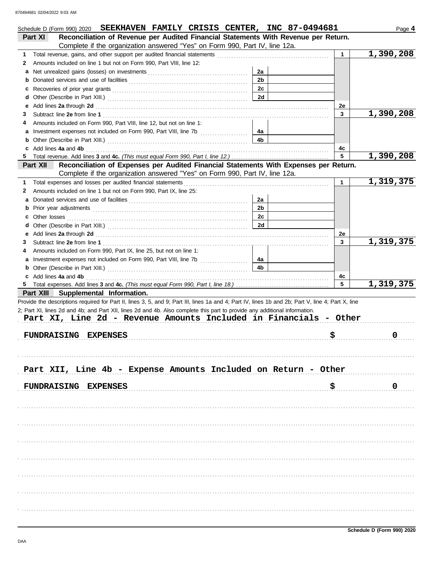| Schedule D (Form 990) 2020 SEEKHAVEN FAMILY CRISIS CENTER, INC 87-0494681                                                                                                                                                          |                                                                                     |                    | Page 4    |
|------------------------------------------------------------------------------------------------------------------------------------------------------------------------------------------------------------------------------------|-------------------------------------------------------------------------------------|--------------------|-----------|
| Part XI                                                                                                                                                                                                                            | Reconciliation of Revenue per Audited Financial Statements With Revenue per Return. |                    |           |
| Complete if the organization answered "Yes" on Form 990, Part IV, line 12a.                                                                                                                                                        |                                                                                     |                    |           |
| Total revenue, gains, and other support per audited financial statements<br>1                                                                                                                                                      |                                                                                     | $\mathbf{1}$       | 1,390,208 |
| Amounts included on line 1 but not on Form 990, Part VIII, line 12:<br>2                                                                                                                                                           |                                                                                     |                    |           |
| а                                                                                                                                                                                                                                  | 2a                                                                                  |                    |           |
| b                                                                                                                                                                                                                                  | 2 <sub>b</sub>                                                                      |                    |           |
|                                                                                                                                                                                                                                    | 2c                                                                                  |                    |           |
| d                                                                                                                                                                                                                                  | 2d                                                                                  |                    |           |
| Add lines 2a through 2d [11] Add [12] Add [12] Add lines 2a through 2d [12] Add lines 2a through 2d [12] Add [12] Add [12] Add [12] Add [12] Add [12] Add [12] Add [12] Add [12] Add [12] Add [12] Add [12] Add [12] Add [12]<br>е |                                                                                     | 2e<br>$\mathbf{3}$ | 1,390,208 |
| 3                                                                                                                                                                                                                                  |                                                                                     |                    |           |
| Amounts included on Form 990, Part VIII, line 12, but not on line 1:                                                                                                                                                               |                                                                                     |                    |           |
| Investment expenses not included on Form 990, Part VIII, line 7b [100] [100] [100] [100] [100] [100] [100] [100] [100] [100] [100] [100] [100] [100] [100] [100] [100] [100] [100] [100] [100] [100] [100] [100] [100] [100] [     | 4а<br>4b                                                                            |                    |           |
| b<br>Add lines 4a and 4b                                                                                                                                                                                                           |                                                                                     |                    |           |
| c<br>5.                                                                                                                                                                                                                            |                                                                                     | 4c<br>5            | 1,390,208 |
| Reconciliation of Expenses per Audited Financial Statements With Expenses per Return.<br>Part XII                                                                                                                                  |                                                                                     |                    |           |
| Complete if the organization answered "Yes" on Form 990, Part IV, line 12a.                                                                                                                                                        |                                                                                     |                    |           |
| Total expenses and losses per audited financial statements<br>1                                                                                                                                                                    |                                                                                     | $\mathbf{1}$       | 1,319,375 |
| Amounts included on line 1 but not on Form 990, Part IX, line 25:<br>2                                                                                                                                                             |                                                                                     |                    |           |
| а                                                                                                                                                                                                                                  | 2a                                                                                  |                    |           |
|                                                                                                                                                                                                                                    | 2 <sub>b</sub>                                                                      |                    |           |
|                                                                                                                                                                                                                                    | 2c                                                                                  |                    |           |
|                                                                                                                                                                                                                                    | 2d                                                                                  |                    |           |
| е                                                                                                                                                                                                                                  |                                                                                     | 2e                 |           |
| Add lines 2a through 2d [11] Additional Property and Property and Property and Property and Property and Property and Property and Property and Property and Property and Property and Property and Property and Property and<br>3 |                                                                                     | 3                  | 1,319,375 |
| Amounts included on Form 990, Part IX, line 25, but not on line 1:                                                                                                                                                                 |                                                                                     |                    |           |
| Investment expenses not included on Form 990, Part VIII, line 7b [                                                                                                                                                                 | 4a                                                                                  |                    |           |
|                                                                                                                                                                                                                                    | 4b                                                                                  |                    |           |
| b                                                                                                                                                                                                                                  |                                                                                     |                    |           |
| Add lines 4a and 4b<br>c<br>5                                                                                                                                                                                                      |                                                                                     | 4c<br>5            | 1,319,375 |
| Part XIII Supplemental Information.                                                                                                                                                                                                |                                                                                     |                    |           |
| Provide the descriptions required for Part II, lines 3, 5, and 9; Part III, lines 1a and 4; Part IV, lines 1b and 2b; Part V, line 4; Part X, line                                                                                 |                                                                                     |                    |           |
| 2; Part XI, lines 2d and 4b; and Part XII, lines 2d and 4b. Also complete this part to provide any additional information.                                                                                                         |                                                                                     |                    |           |
| Part XI, Line 2d - Revenue Amounts Included in Financials - Other                                                                                                                                                                  |                                                                                     |                    |           |
|                                                                                                                                                                                                                                    |                                                                                     |                    |           |
| FUNDRAISING EXPENSES                                                                                                                                                                                                               |                                                                                     | \$                 | 0         |
|                                                                                                                                                                                                                                    |                                                                                     |                    |           |
|                                                                                                                                                                                                                                    |                                                                                     |                    |           |
|                                                                                                                                                                                                                                    |                                                                                     |                    |           |
| Part XII, Line 4b - Expense Amounts Included on Return - Other                                                                                                                                                                     |                                                                                     |                    |           |
|                                                                                                                                                                                                                                    |                                                                                     |                    |           |
| <b>FUNDRAISING EXPENSES</b>                                                                                                                                                                                                        |                                                                                     |                    |           |
|                                                                                                                                                                                                                                    |                                                                                     |                    |           |
|                                                                                                                                                                                                                                    |                                                                                     |                    |           |
|                                                                                                                                                                                                                                    |                                                                                     |                    |           |
|                                                                                                                                                                                                                                    |                                                                                     |                    |           |
|                                                                                                                                                                                                                                    |                                                                                     |                    |           |
|                                                                                                                                                                                                                                    |                                                                                     |                    |           |
|                                                                                                                                                                                                                                    |                                                                                     |                    |           |
|                                                                                                                                                                                                                                    |                                                                                     |                    |           |
|                                                                                                                                                                                                                                    |                                                                                     |                    |           |
|                                                                                                                                                                                                                                    |                                                                                     |                    |           |
|                                                                                                                                                                                                                                    |                                                                                     |                    |           |
|                                                                                                                                                                                                                                    |                                                                                     |                    |           |
|                                                                                                                                                                                                                                    |                                                                                     |                    |           |
|                                                                                                                                                                                                                                    |                                                                                     |                    |           |
|                                                                                                                                                                                                                                    |                                                                                     |                    |           |
|                                                                                                                                                                                                                                    |                                                                                     |                    |           |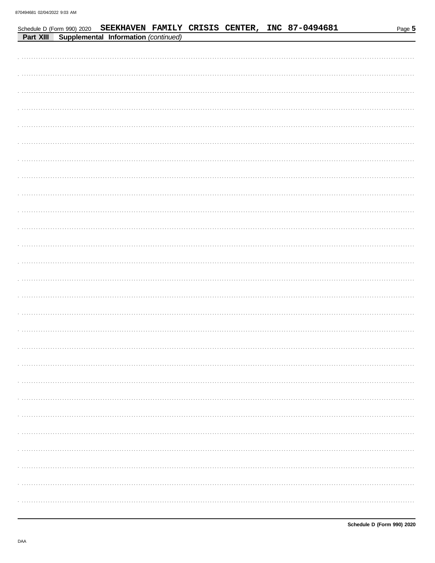Schedule D (Form 990) 2020

| <b>Part XIII Supplemental Information (continued)</b> |  |
|-------------------------------------------------------|--|
|                                                       |  |
|                                                       |  |
|                                                       |  |
|                                                       |  |
|                                                       |  |
|                                                       |  |
|                                                       |  |
|                                                       |  |
|                                                       |  |
|                                                       |  |
|                                                       |  |
|                                                       |  |
|                                                       |  |
|                                                       |  |
|                                                       |  |
|                                                       |  |
|                                                       |  |
|                                                       |  |
|                                                       |  |
|                                                       |  |
|                                                       |  |
|                                                       |  |
|                                                       |  |
|                                                       |  |
|                                                       |  |
|                                                       |  |
|                                                       |  |
|                                                       |  |
|                                                       |  |
|                                                       |  |
|                                                       |  |
|                                                       |  |
|                                                       |  |
|                                                       |  |
|                                                       |  |
|                                                       |  |

SEEKHAVEN FAMILY CRISIS CENTER, INC 87-0494681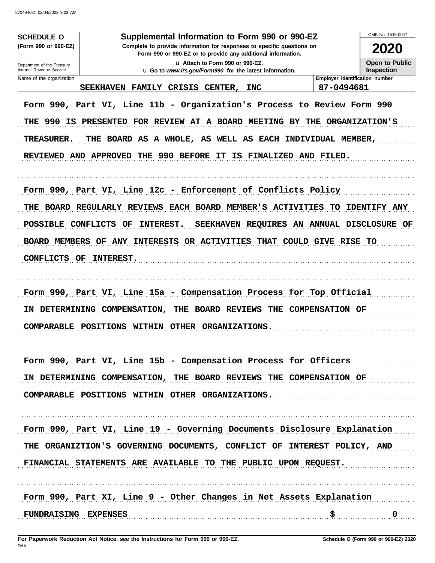|                                                                                                                                                                       |                                                                                                    |                                       | OMB No. 1545-0047                          |
|-----------------------------------------------------------------------------------------------------------------------------------------------------------------------|----------------------------------------------------------------------------------------------------|---------------------------------------|--------------------------------------------|
| Supplemental Information to Form 990 or 990-EZ<br><b>SCHEDULE O</b><br>(Form 990 or 990-EZ)<br>Complete to provide information for responses to specific questions on |                                                                                                    |                                       |                                            |
| Form 990 or 990-EZ or to provide any additional information.                                                                                                          |                                                                                                    |                                       | 2020                                       |
| Department of the Treasury<br>Internal Revenue Service                                                                                                                | La Attach to Form 990 or 990-EZ.<br><b>u</b> Go to www.irs.gov/Form990 for the latest information. |                                       | <b>Open to Public</b><br><b>Inspection</b> |
| Name of the organization                                                                                                                                              |                                                                                                    | <b>Employer identification number</b> |                                            |
|                                                                                                                                                                       | <b>SEEKHAVEN</b><br><b>FAMILY</b><br>CRISIS<br>CENTER,<br><b>INC</b>                               | 87-0494681                            |                                            |
|                                                                                                                                                                       | Form 990, Part VI, Line 11b - Organization's Process to Review Form 990                            |                                       |                                            |
| 990<br>THE<br>IS                                                                                                                                                      | PRESENTED FOR REVIEW AT A BOARD MEETING BY                                                         | THE ORGANIZATION'S                    |                                            |
| <b>TREASURER.</b>                                                                                                                                                     | THE BOARD AS A WHOLE, AS WELL AS EACH INDIVIDUAL MEMBER,                                           |                                       |                                            |
| REVIEWED AND APPROVED                                                                                                                                                 | THE<br>990 BEFORE<br>IT<br>IS                                                                      | FINALIZED AND FILED.                  |                                            |
|                                                                                                                                                                       | Form 990, Part VI, Line 12c - Enforcement of Conflicts Policy                                      |                                       |                                            |
| <b>BOARD</b><br>THE                                                                                                                                                   | REGULARLY REVIEWS EACH BOARD MEMBER'S ACTIVITIES                                                   | TО                                    | <b>IDENTIFY ANY</b>                        |
| POSSIBLE CONFLICTS                                                                                                                                                    | OF<br>INTEREST.<br>SEEKHAVEN REQUIRES                                                              | AN ANNUAL DISCLOSURE OF               |                                            |
| <b>BOARD MEMBERS</b>                                                                                                                                                  | OF ANY INTERESTS OR ACTIVITIES<br><b>THAT</b>                                                      | COULD GIVE RISE TO                    |                                            |
| <b>CONFLICTS</b><br>OF                                                                                                                                                | INTEREST.                                                                                          |                                       |                                            |
|                                                                                                                                                                       |                                                                                                    |                                       |                                            |
|                                                                                                                                                                       | Form 990, Part VI, Line 15a - Compensation Process for Top Official                                |                                       |                                            |
| ΙN                                                                                                                                                                    | DETERMINING COMPENSATION,<br><b>BOARD REVIEWS</b><br>THE<br>THE                                    | <b>COMPENSATION OF</b>                |                                            |
| COMPARABLE                                                                                                                                                            | POSITIONS<br><b>OTHER</b><br>ORGANIZATIONS.<br><b>WITHIN</b>                                       |                                       |                                            |
|                                                                                                                                                                       |                                                                                                    |                                       |                                            |
|                                                                                                                                                                       | Form 990, Part VI, Line 15b - Compensation Process for Officers                                    |                                       |                                            |
|                                                                                                                                                                       | IN DETERMINING COMPENSATION, THE BOARD REVIEWS THE COMPENSATION OF                                 |                                       |                                            |
|                                                                                                                                                                       | COMPARABLE POSITIONS WITHIN OTHER ORGANIZATIONS.                                                   |                                       |                                            |
|                                                                                                                                                                       |                                                                                                    |                                       |                                            |
|                                                                                                                                                                       | Form 990, Part VI, Line 19 - Governing Documents Disclosure Explanation                            |                                       |                                            |
|                                                                                                                                                                       | THE ORGANIZTION'S GOVERNING DOCUMENTS, CONFLICT OF INTEREST POLICY, AND                            |                                       |                                            |
|                                                                                                                                                                       | FINANCIAL STATEMENTS ARE AVAILABLE TO THE PUBLIC UPON REQUEST.                                     |                                       |                                            |
|                                                                                                                                                                       |                                                                                                    |                                       |                                            |
|                                                                                                                                                                       | Form 990, Part XI, Line 9 - Other Changes in Net Assets Explanation                                |                                       |                                            |
| FUNDRAISING EXPENSES                                                                                                                                                  |                                                                                                    | \$                                    | $\overline{\phantom{a}}$ 0                 |
|                                                                                                                                                                       |                                                                                                    |                                       |                                            |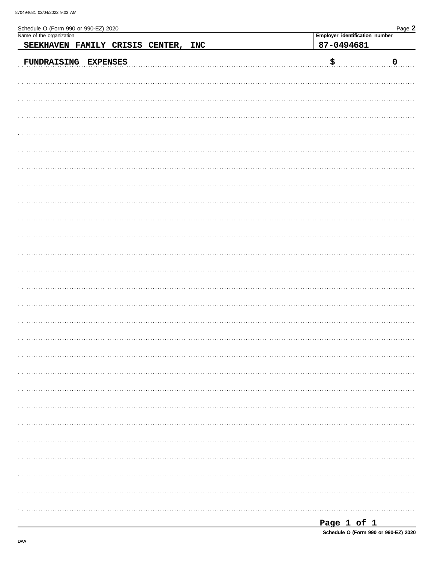| Schedule O (Form 990 or 990-EZ) 2020<br>Name of the organization | Page 2                         |
|------------------------------------------------------------------|--------------------------------|
|                                                                  | Employer identification number |
| SEEKHAVEN FAMILY CRISIS CENTER, INC                              | 87-0494681                     |
| FUNDRAISING EXPENSES                                             | \$<br>$\overline{0}$           |
|                                                                  |                                |
|                                                                  |                                |
|                                                                  |                                |
|                                                                  |                                |
|                                                                  |                                |
|                                                                  |                                |
|                                                                  |                                |
|                                                                  |                                |
|                                                                  |                                |
|                                                                  |                                |
|                                                                  |                                |
|                                                                  |                                |
|                                                                  |                                |
|                                                                  |                                |
|                                                                  |                                |
|                                                                  |                                |
|                                                                  |                                |
|                                                                  |                                |
|                                                                  |                                |
|                                                                  |                                |
|                                                                  |                                |
|                                                                  |                                |
|                                                                  |                                |
|                                                                  |                                |
|                                                                  |                                |
|                                                                  |                                |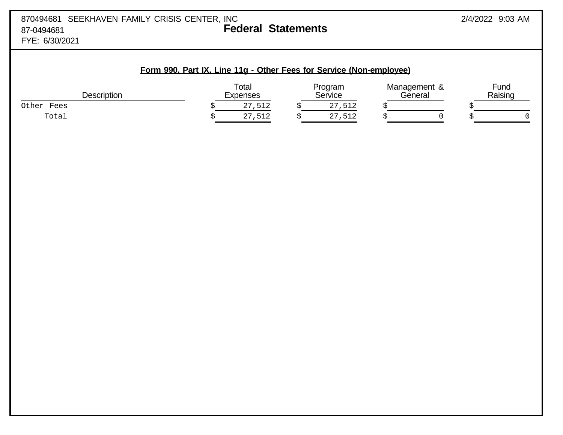| 870494681 SEEKHAVEN FAMILY CRISIS CENTER, INC<br>87-0494681<br>FYE: 6/30/2021 | <b>Federal Statements</b>                                           |                              |                                 | 2/4/2022 9:03 AM |
|-------------------------------------------------------------------------------|---------------------------------------------------------------------|------------------------------|---------------------------------|------------------|
|                                                                               | Form 990, Part IX, Line 11g - Other Fees for Service (Non-employee) |                              |                                 |                  |
| Description                                                                   | Total<br>Expenses                                                   | Program<br>Service           | Management &<br>General         | Fund<br>Raising  |
| Other Fees<br>Total                                                           | 27,512<br>\$<br>27,512<br>\$                                        | 27,512<br>\$<br>27,512<br>\$ | \$<br>$\mathsf{O}\xspace$<br>\$ | \$<br>\$<br>0    |
|                                                                               |                                                                     |                              |                                 |                  |
|                                                                               |                                                                     |                              |                                 |                  |
|                                                                               |                                                                     |                              |                                 |                  |
|                                                                               |                                                                     |                              |                                 |                  |
|                                                                               |                                                                     |                              |                                 |                  |
|                                                                               |                                                                     |                              |                                 |                  |
|                                                                               |                                                                     |                              |                                 |                  |
|                                                                               |                                                                     |                              |                                 |                  |
|                                                                               |                                                                     |                              |                                 |                  |
|                                                                               |                                                                     |                              |                                 |                  |
|                                                                               |                                                                     |                              |                                 |                  |
|                                                                               |                                                                     |                              |                                 |                  |
|                                                                               |                                                                     |                              |                                 |                  |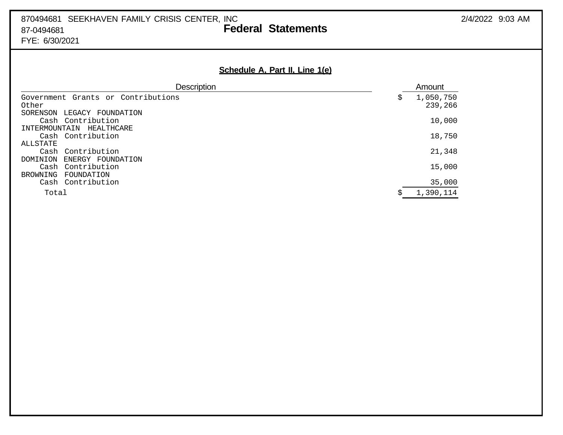| 870494681 SEEKHAVEN FAMILY CRISIS CENTER, INC |                           |
|-----------------------------------------------|---------------------------|
| 87-0494681                                    | <b>Federal Statements</b> |
| FYE: 6/30/2021                                |                           |

# **Schedule A, Part II, Line 1(e)**

| <b>Description</b>                 |    | Amount    |
|------------------------------------|----|-----------|
| Government Grants or Contributions | \$ | 1,050,750 |
| Other                              |    | 239,266   |
| SORENSON<br>LEGACY FOUNDATION      |    |           |
| Cash Contribution                  |    | 10,000    |
| INTERMOUNTAIN<br>HEALTHCARE        |    |           |
| Cash Contribution                  |    | 18,750    |
| ALLSTATE                           |    |           |
| Cash Contribution                  |    | 21,348    |
| ENERGY FOUNDATION<br>DOMINION      |    |           |
| Cash Contribution                  |    | 15,000    |
| BROWNING<br>FOUNDATION             |    |           |
| Cash Contribution                  |    | 35,000    |
| Total                              | S  | 1,390,114 |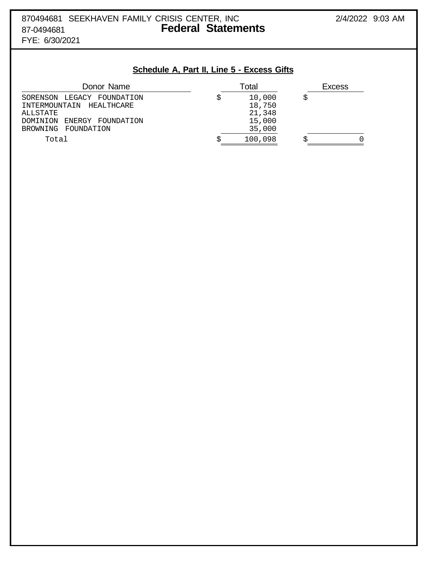# 870494681 SEEKHAVEN FAMILY CRISIS CENTER, INC 2/4/2022 9:03 AM 87-0494681 **Federal Statements**

FYE: 6/30/2021

# **Schedule A, Part II, Line 5 - Excess Gifts**

| Donor Name                                                    | Total |                            | <b>Excess</b> |
|---------------------------------------------------------------|-------|----------------------------|---------------|
| SORENSON LEGACY FOUNDATION<br>INTERMOUNTAIN HEALTHCARE        |       | 10,000<br>18,750           |               |
| ALLSTATE<br>DOMINION ENERGY FOUNDATION<br>BROWNING FOUNDATION |       | 21,348<br>15,000<br>35,000 |               |
| Total                                                         |       | 100,098                    |               |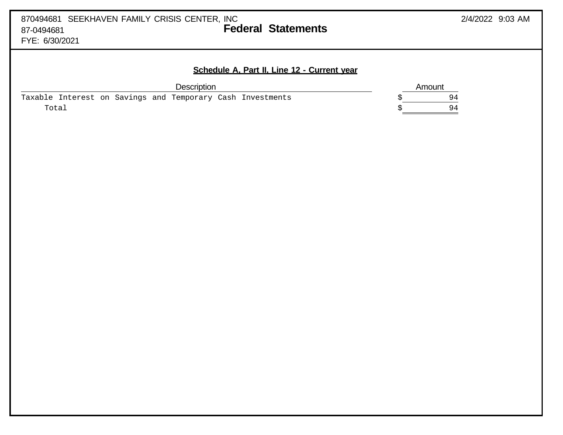| 870494681 SEEKHAVEN FAMILY CRISIS CENTER, INC | 2/4/2022 9:03 AM |  |
|-----------------------------------------------|------------------|--|
| <b>Federal Statements</b><br>87-0494681       |                  |  |
| FYE: 6/30/2021                                |                  |  |

| Schedule A, Part II, Line 12 - Current year                |        |
|------------------------------------------------------------|--------|
| Description                                                | Amount |
| Taxable Interest on Savings and Temporary Cash Investments | 94     |
| Total                                                      | 94     |